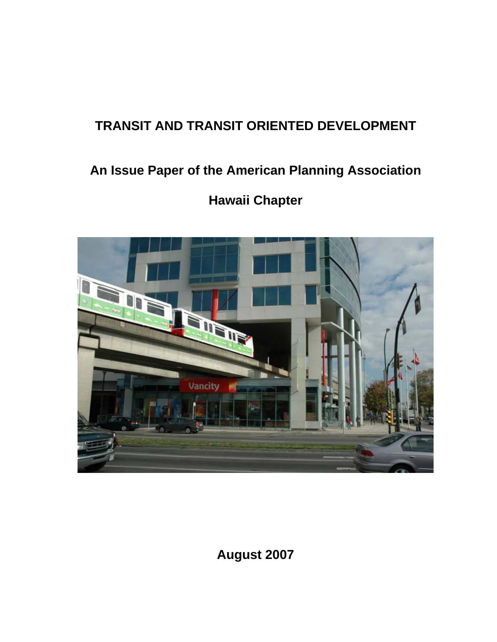# **TRANSIT AND TRANSIT ORIENTED DEVELOPMENT**

# **An Issue Paper of the American Planning Association**

# **Hawaii Chapter**



**August 2007**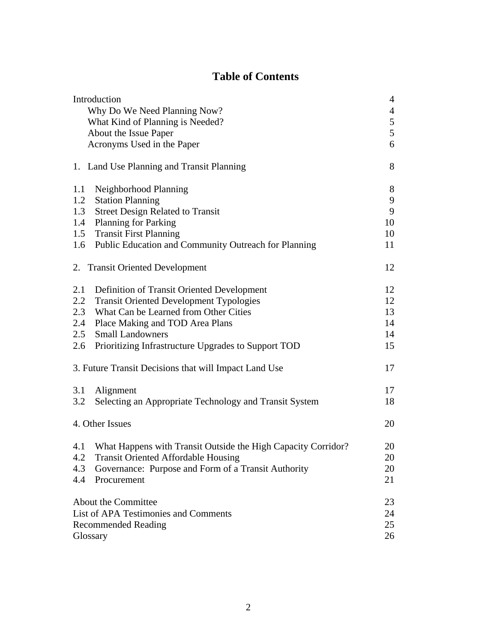## **Table of Contents**

| Introduction                 |                                                                   |                |  |
|------------------------------|-------------------------------------------------------------------|----------------|--|
| Why Do We Need Planning Now? |                                                                   | $\overline{4}$ |  |
|                              | What Kind of Planning is Needed?                                  | 5              |  |
|                              | About the Issue Paper                                             | 5              |  |
|                              | Acronyms Used in the Paper                                        | 6              |  |
|                              | 1. Land Use Planning and Transit Planning                         | 8              |  |
| 1.1                          | Neighborhood Planning                                             | $8\,$          |  |
| 1.2                          | <b>Station Planning</b>                                           | 9              |  |
| 1.3                          | <b>Street Design Related to Transit</b>                           | 9              |  |
| 1.4                          | <b>Planning for Parking</b>                                       | 10             |  |
|                              | 1.5 Transit First Planning                                        | 10             |  |
| 1.6                          | Public Education and Community Outreach for Planning              | 11             |  |
|                              | 2. Transit Oriented Development                                   | 12             |  |
| 2.1                          | Definition of Transit Oriented Development                        | 12             |  |
| 2.2                          | <b>Transit Oriented Development Typologies</b>                    | 12             |  |
| 2.3                          | What Can be Learned from Other Cities                             | 13             |  |
| 2.4                          | Place Making and TOD Area Plans                                   | 14             |  |
| 2.5                          | <b>Small Landowners</b>                                           | 14             |  |
| 2.6                          | Prioritizing Infrastructure Upgrades to Support TOD               | 15             |  |
|                              | 3. Future Transit Decisions that will Impact Land Use             | 17             |  |
| 3.1                          | Alignment                                                         | 17             |  |
| 3.2                          | Selecting an Appropriate Technology and Transit System            | 18             |  |
|                              | 4. Other Issues                                                   | 20             |  |
|                              | 4.1 What Happens with Transit Outside the High Capacity Corridor? | 20             |  |
| 4.2                          | Transit Oriented Affordable Housing                               | 20             |  |
| 4.3                          | Governance: Purpose and Form of a Transit Authority               | 20             |  |
| 4.4                          | Procurement                                                       | 21             |  |
|                              | About the Committee                                               | 23             |  |
|                              | <b>List of APA Testimonies and Comments</b>                       |                |  |
| <b>Recommended Reading</b>   |                                                                   |                |  |
| Glossary                     |                                                                   |                |  |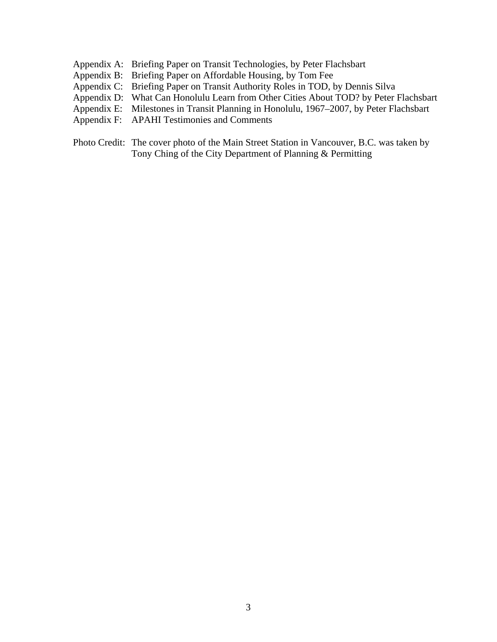- Appendix A: Briefing Paper on Transit Technologies, by Peter Flachsbart
- Appendix B: Briefing Paper on Affordable Housing, by Tom Fee
- Appendix C: Briefing Paper on Transit Authority Roles in TOD, by Dennis Silva
- Appendix D: What Can Honolulu Learn from Other Cities About TOD? by Peter Flachsbart
- Appendix E: Milestones in Transit Planning in Honolulu, 1967–2007, by Peter Flachsbart
- Appendix F: APAHI Testimonies and Comments
- Photo Credit: The cover photo of the Main Street Station in Vancouver, B.C. was taken by Tony Ching of the City Department of Planning & Permitting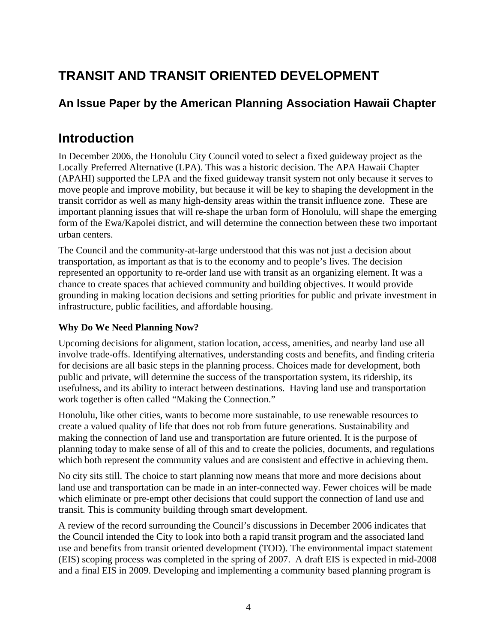# **TRANSIT AND TRANSIT ORIENTED DEVELOPMENT**

# **An Issue Paper by the American Planning Association Hawaii Chapter**

# **Introduction**

In December 2006, the Honolulu City Council voted to select a fixed guideway project as the Locally Preferred Alternative (LPA). This was a historic decision. The APA Hawaii Chapter (APAHI) supported the LPA and the fixed guideway transit system not only because it serves to move people and improve mobility, but because it will be key to shaping the development in the transit corridor as well as many high-density areas within the transit influence zone. These are important planning issues that will re-shape the urban form of Honolulu, will shape the emerging form of the Ewa/Kapolei district, and will determine the connection between these two important urban centers.

The Council and the community-at-large understood that this was not just a decision about transportation, as important as that is to the economy and to people's lives. The decision represented an opportunity to re-order land use with transit as an organizing element. It was a chance to create spaces that achieved community and building objectives. It would provide grounding in making location decisions and setting priorities for public and private investment in infrastructure, public facilities, and affordable housing.

### **Why Do We Need Planning Now?**

Upcoming decisions for alignment, station location, access, amenities, and nearby land use all involve trade-offs. Identifying alternatives, understanding costs and benefits, and finding criteria for decisions are all basic steps in the planning process. Choices made for development, both public and private, will determine the success of the transportation system, its ridership, its usefulness, and its ability to interact between destinations. Having land use and transportation work together is often called "Making the Connection."

Honolulu, like other cities, wants to become more sustainable, to use renewable resources to create a valued quality of life that does not rob from future generations. Sustainability and making the connection of land use and transportation are future oriented. It is the purpose of planning today to make sense of all of this and to create the policies, documents, and regulations which both represent the community values and are consistent and effective in achieving them.

No city sits still. The choice to start planning now means that more and more decisions about land use and transportation can be made in an inter-connected way. Fewer choices will be made which eliminate or pre-empt other decisions that could support the connection of land use and transit. This is community building through smart development.

A review of the record surrounding the Council's discussions in December 2006 indicates that the Council intended the City to look into both a rapid transit program and the associated land use and benefits from transit oriented development (TOD). The environmental impact statement (EIS) scoping process was completed in the spring of 2007. A draft EIS is expected in mid-2008 and a final EIS in 2009. Developing and implementing a community based planning program is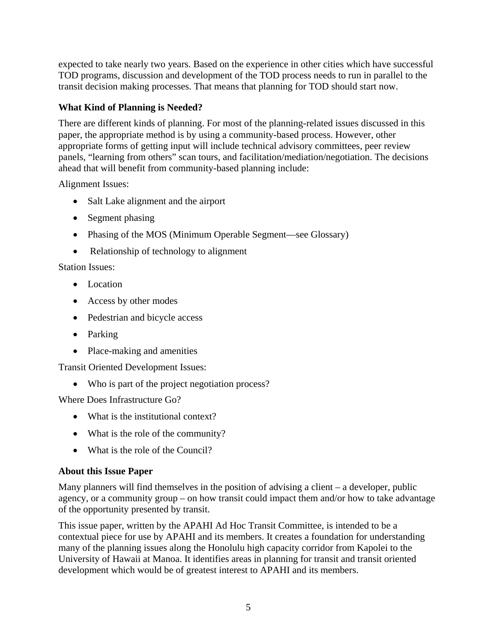expected to take nearly two years. Based on the experience in other cities which have successful TOD programs, discussion and development of the TOD process needs to run in parallel to the transit decision making processes. That means that planning for TOD should start now.

#### **What Kind of Planning is Needed?**

There are different kinds of planning. For most of the planning-related issues discussed in this paper, the appropriate method is by using a community-based process. However, other appropriate forms of getting input will include technical advisory committees, peer review panels, "learning from others" scan tours, and facilitation/mediation/negotiation. The decisions ahead that will benefit from community-based planning include:

Alignment Issues:

- Salt Lake alignment and the airport
- Segment phasing
- Phasing of the MOS (Minimum Operable Segment—see Glossary)
- Relationship of technology to alignment

#### Station Issues:

- Location
- Access by other modes
- Pedestrian and bicycle access
- Parking
- Place-making and amenities

Transit Oriented Development Issues:

• Who is part of the project negotiation process?

Where Does Infrastructure Go?

- What is the institutional context?
- What is the role of the community?
- What is the role of the Council?

#### **About this Issue Paper**

Many planners will find themselves in the position of advising a client – a developer, public agency, or a community group – on how transit could impact them and/or how to take advantage of the opportunity presented by transit.

This issue paper, written by the APAHI Ad Hoc Transit Committee, is intended to be a contextual piece for use by APAHI and its members. It creates a foundation for understanding many of the planning issues along the Honolulu high capacity corridor from Kapolei to the University of Hawaii at Manoa. It identifies areas in planning for transit and transit oriented development which would be of greatest interest to APAHI and its members.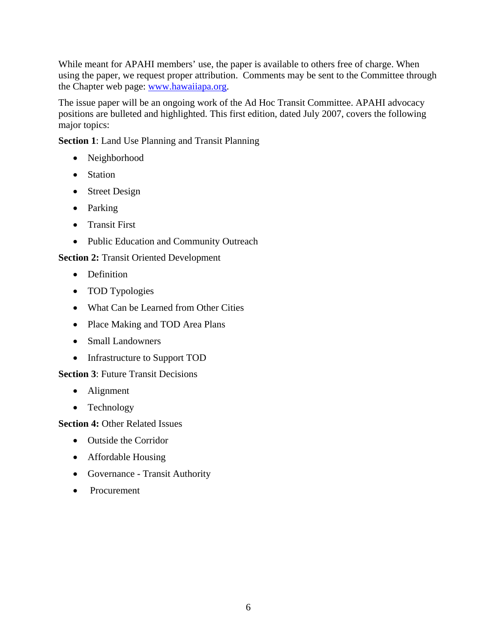While meant for APAHI members' use, the paper is available to others free of charge. When using the paper, we request proper attribution. Comments may be sent to the Committee through the Chapter web page: [www.hawaiiapa.org](http://www.apahi.org/).

The issue paper will be an ongoing work of the Ad Hoc Transit Committee. APAHI advocacy positions are bulleted and highlighted. This first edition, dated July 2007, covers the following major topics:

**Section 1**: Land Use Planning and Transit Planning

- Neighborhood
- Station
- Street Design
- Parking
- Transit First
- Public Education and Community Outreach

**Section 2:** Transit Oriented Development

- Definition
- TOD Typologies
- What Can be Learned from Other Cities
- Place Making and TOD Area Plans
- Small Landowners
- Infrastructure to Support TOD

#### **Section 3: Future Transit Decisions**

- Alignment
- Technology

#### **Section 4:** Other Related Issues

- Outside the Corridor
- Affordable Housing
- Governance Transit Authority
- Procurement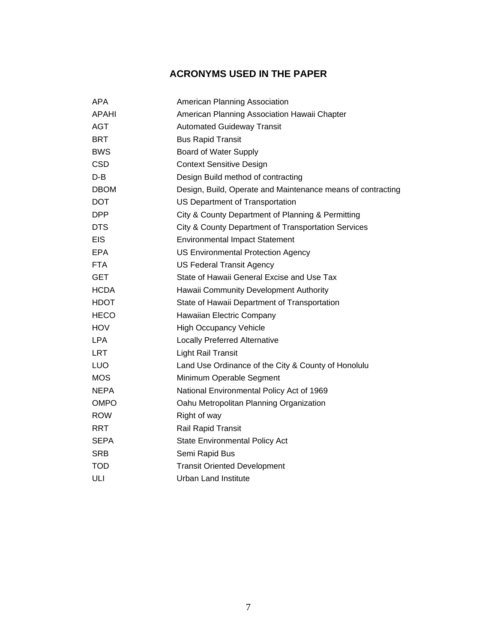## **ACRONYMS USED IN THE PAPER**

| APA          | American Planning Association                               |
|--------------|-------------------------------------------------------------|
| <b>APAHI</b> | American Planning Association Hawaii Chapter                |
| <b>AGT</b>   | <b>Automated Guideway Transit</b>                           |
| <b>BRT</b>   | <b>Bus Rapid Transit</b>                                    |
| <b>BWS</b>   | Board of Water Supply                                       |
| <b>CSD</b>   | <b>Context Sensitive Design</b>                             |
| D-B          | Design Build method of contracting                          |
| <b>DBOM</b>  | Design, Build, Operate and Maintenance means of contracting |
| <b>DOT</b>   | US Department of Transportation                             |
| <b>DPP</b>   | City & County Department of Planning & Permitting           |
| <b>DTS</b>   | City & County Department of Transportation Services         |
| <b>EIS</b>   | <b>Environmental Impact Statement</b>                       |
| EPA          | <b>US Environmental Protection Agency</b>                   |
| <b>FTA</b>   | <b>US Federal Transit Agency</b>                            |
| <b>GET</b>   | State of Hawaii General Excise and Use Tax                  |
| <b>HCDA</b>  | Hawaii Community Development Authority                      |
| <b>HDOT</b>  | State of Hawaii Department of Transportation                |
| <b>HECO</b>  | Hawaiian Electric Company                                   |
| <b>HOV</b>   | <b>High Occupancy Vehicle</b>                               |
| <b>LPA</b>   | <b>Locally Preferred Alternative</b>                        |
| <b>LRT</b>   | <b>Light Rail Transit</b>                                   |
| LUO          | Land Use Ordinance of the City & County of Honolulu         |
| <b>MOS</b>   | Minimum Operable Segment                                    |
| <b>NEPA</b>  | National Environmental Policy Act of 1969                   |
| <b>OMPO</b>  | Oahu Metropolitan Planning Organization                     |
| <b>ROW</b>   | Right of way                                                |
| <b>RRT</b>   | Rail Rapid Transit                                          |
| <b>SEPA</b>  | <b>State Environmental Policy Act</b>                       |
| <b>SRB</b>   | Semi Rapid Bus                                              |
| <b>TOD</b>   | <b>Transit Oriented Development</b>                         |
| ULI          | <b>Urban Land Institute</b>                                 |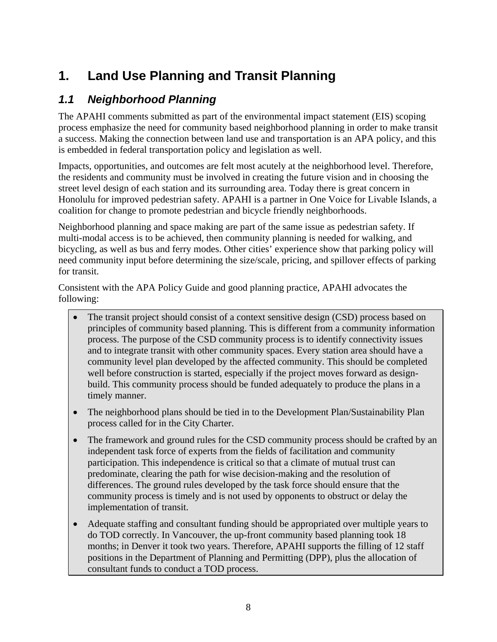# **1. Land Use Planning and Transit Planning**

# *1.1 Neighborhood Planning*

The APAHI comments submitted as part of the environmental impact statement (EIS) scoping process emphasize the need for community based neighborhood planning in order to make transit a success. Making the connection between land use and transportation is an APA policy, and this is embedded in federal transportation policy and legislation as well.

Impacts, opportunities, and outcomes are felt most acutely at the neighborhood level. Therefore, the residents and community must be involved in creating the future vision and in choosing the street level design of each station and its surrounding area. Today there is great concern in Honolulu for improved pedestrian safety. APAHI is a partner in One Voice for Livable Islands, a coalition for change to promote pedestrian and bicycle friendly neighborhoods.

Neighborhood planning and space making are part of the same issue as pedestrian safety. If multi-modal access is to be achieved, then community planning is needed for walking, and bicycling, as well as bus and ferry modes. Other cities' experience show that parking policy will need community input before determining the size/scale, pricing, and spillover effects of parking for transit.

Consistent with the APA Policy Guide and good planning practice, APAHI advocates the following:

- The transit project should consist of a context sensitive design (CSD) process based on principles of community based planning. This is different from a community information process. The purpose of the CSD community process is to identify connectivity issues and to integrate transit with other community spaces. Every station area should have a community level plan developed by the affected community. This should be completed well before construction is started, especially if the project moves forward as designbuild. This community process should be funded adequately to produce the plans in a timely manner.
- The neighborhood plans should be tied in to the Development Plan/Sustainability Plan process called for in the City Charter.
- The framework and ground rules for the CSD community process should be crafted by an independent task force of experts from the fields of facilitation and community participation. This independence is critical so that a climate of mutual trust can predominate, clearing the path for wise decision-making and the resolution of differences. The ground rules developed by the task force should ensure that the community process is timely and is not used by opponents to obstruct or delay the implementation of transit.
- Adequate staffing and consultant funding should be appropriated over multiple years to do TOD correctly. In Vancouver, the up-front community based planning took 18 months; in Denver it took two years. Therefore, APAHI supports the filling of 12 staff positions in the Department of Planning and Permitting (DPP), plus the allocation of consultant funds to conduct a TOD process.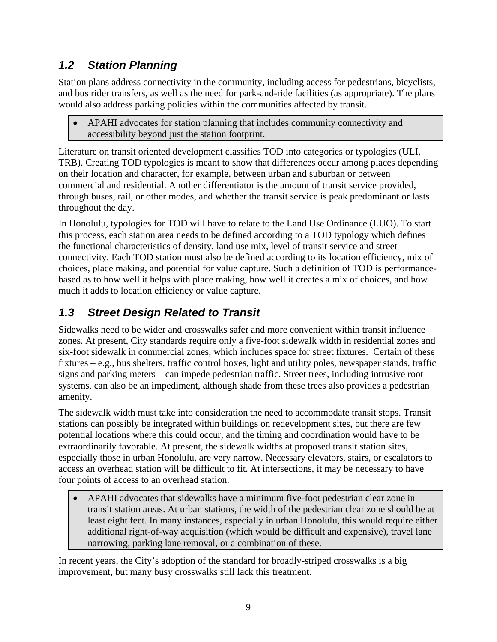# *1.2 Station Planning*

Station plans address connectivity in the community, including access for pedestrians, bicyclists, and bus rider transfers, as well as the need for park-and-ride facilities (as appropriate). The plans would also address parking policies within the communities affected by transit.

• APAHI advocates for station planning that includes community connectivity and accessibility beyond just the station footprint.

Literature on transit oriented development classifies TOD into categories or typologies (ULI, TRB). Creating TOD typologies is meant to show that differences occur among places depending on their location and character, for example, between urban and suburban or between commercial and residential. Another differentiator is the amount of transit service provided, through buses, rail, or other modes, and whether the transit service is peak predominant or lasts throughout the day.

In Honolulu, typologies for TOD will have to relate to the Land Use Ordinance (LUO). To start this process, each station area needs to be defined according to a TOD typology which defines the functional characteristics of density, land use mix, level of transit service and street connectivity. Each TOD station must also be defined according to its location efficiency, mix of choices, place making, and potential for value capture. Such a definition of TOD is performancebased as to how well it helps with place making, how well it creates a mix of choices, and how much it adds to location efficiency or value capture.

# *1.3 Street Design Related to Transit*

Sidewalks need to be wider and crosswalks safer and more convenient within transit influence zones. At present, City standards require only a five-foot sidewalk width in residential zones and six-foot sidewalk in commercial zones, which includes space for street fixtures. Certain of these fixtures – e.g., bus shelters, traffic control boxes, light and utility poles, newspaper stands, traffic signs and parking meters – can impede pedestrian traffic. Street trees, including intrusive root systems, can also be an impediment, although shade from these trees also provides a pedestrian amenity.

The sidewalk width must take into consideration the need to accommodate transit stops. Transit stations can possibly be integrated within buildings on redevelopment sites, but there are few potential locations where this could occur, and the timing and coordination would have to be extraordinarily favorable. At present, the sidewalk widths at proposed transit station sites, especially those in urban Honolulu, are very narrow. Necessary elevators, stairs, or escalators to access an overhead station will be difficult to fit. At intersections, it may be necessary to have four points of access to an overhead station.

• APAHI advocates that sidewalks have a minimum five-foot pedestrian clear zone in transit station areas. At urban stations, the width of the pedestrian clear zone should be at least eight feet. In many instances, especially in urban Honolulu, this would require either additional right-of-way acquisition (which would be difficult and expensive), travel lane narrowing, parking lane removal, or a combination of these.

In recent years, the City's adoption of the standard for broadly-striped crosswalks is a big improvement, but many busy crosswalks still lack this treatment.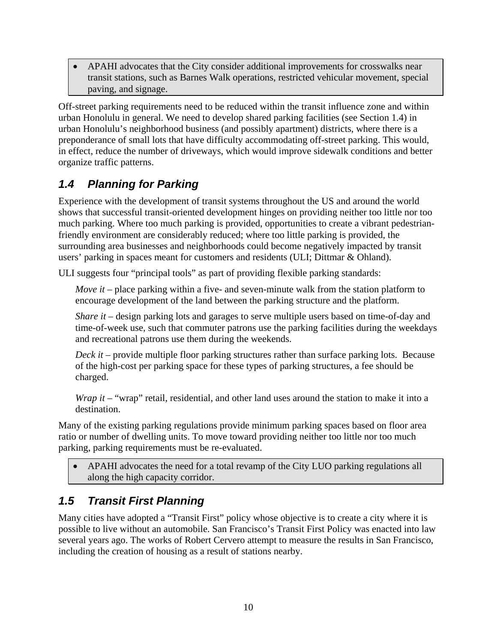• APAHI advocates that the City consider additional improvements for crosswalks near transit stations, such as Barnes Walk operations, restricted vehicular movement, special paving, and signage.

Off-street parking requirements need to be reduced within the transit influence zone and within urban Honolulu in general. We need to develop shared parking facilities (see Section 1.4) in urban Honolulu's neighborhood business (and possibly apartment) districts, where there is a preponderance of small lots that have difficulty accommodating off-street parking. This would, in effect, reduce the number of driveways, which would improve sidewalk conditions and better organize traffic patterns.

# *1.4 Planning for Parking*

Experience with the development of transit systems throughout the US and around the world shows that successful transit-oriented development hinges on providing neither too little nor too much parking. Where too much parking is provided, opportunities to create a vibrant pedestrianfriendly environment are considerably reduced; where too little parking is provided, the surrounding area businesses and neighborhoods could become negatively impacted by transit users' parking in spaces meant for customers and residents (ULI; Dittmar & Ohland).

ULI suggests four "principal tools" as part of providing flexible parking standards:

*Move it* – place parking within a five- and seven-minute walk from the station platform to encourage development of the land between the parking structure and the platform.

*Share it* – design parking lots and garages to serve multiple users based on time-of-day and time-of-week use, such that commuter patrons use the parking facilities during the weekdays and recreational patrons use them during the weekends.

*Deck it* – provide multiple floor parking structures rather than surface parking lots. Because of the high-cost per parking space for these types of parking structures, a fee should be charged.

*Wrap it* – "wrap" retail, residential, and other land uses around the station to make it into a destination.

Many of the existing parking regulations provide minimum parking spaces based on floor area ratio or number of dwelling units. To move toward providing neither too little nor too much parking, parking requirements must be re-evaluated.

• APAHI advocates the need for a total revamp of the City LUO parking regulations all along the high capacity corridor.

# *1.5 Transit First Planning*

Many cities have adopted a "Transit First" policy whose objective is to create a city where it is possible to live without an automobile. San Francisco's Transit First Policy was enacted into law several years ago. The works of Robert Cervero attempt to measure the results in San Francisco, including the creation of housing as a result of stations nearby.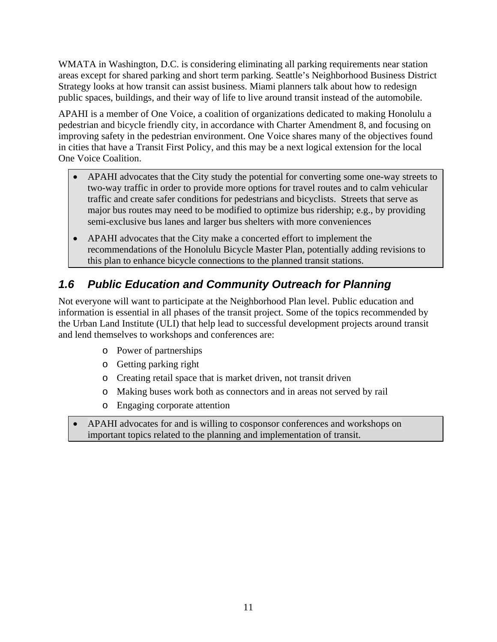WMATA in Washington, D.C. is considering eliminating all parking requirements near station areas except for shared parking and short term parking. Seattle's Neighborhood Business District Strategy looks at how transit can assist business. Miami planners talk about how to redesign public spaces, buildings, and their way of life to live around transit instead of the automobile.

APAHI is a member of One Voice, a coalition of organizations dedicated to making Honolulu a pedestrian and bicycle friendly city, in accordance with Charter Amendment 8, and focusing on improving safety in the pedestrian environment. One Voice shares many of the objectives found in cities that have a Transit First Policy, and this may be a next logical extension for the local One Voice Coalition.

- APAHI advocates that the City study the potential for converting some one-way streets to two-way traffic in order to provide more options for travel routes and to calm vehicular traffic and create safer conditions for pedestrians and bicyclists. Streets that serve as major bus routes may need to be modified to optimize bus ridership; e.g., by providing semi-exclusive bus lanes and larger bus shelters with more conveniences
- APAHI advocates that the City make a concerted effort to implement the recommendations of the Honolulu Bicycle Master Plan, potentially adding revisions to this plan to enhance bicycle connections to the planned transit stations.

# *1.6 Public Education and Community Outreach for Planning*

Not everyone will want to participate at the Neighborhood Plan level. Public education and information is essential in all phases of the transit project. Some of the topics recommended by the Urban Land Institute (ULI) that help lead to successful development projects around transit and lend themselves to workshops and conferences are:

- o Power of partnerships
- o Getting parking right
- o Creating retail space that is market driven, not transit driven
- o Making buses work both as connectors and in areas not served by rail
- o Engaging corporate attention
- APAHI advocates for and is willing to cosponsor conferences and workshops on important topics related to the planning and implementation of transit.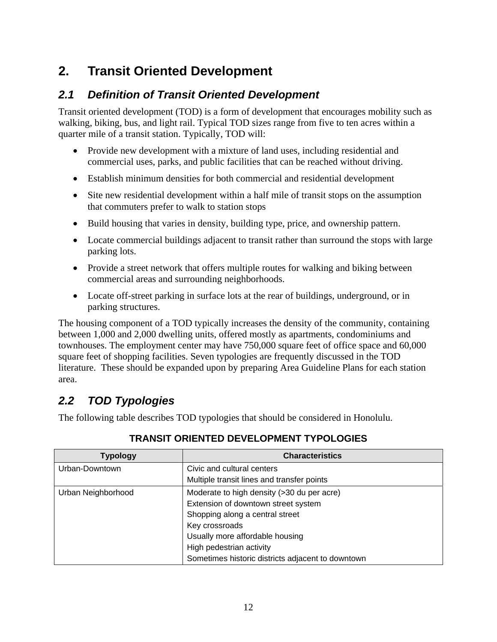# **2. Transit Oriented Development**

## *2.1 Definition of Transit Oriented Development*

Transit oriented development (TOD) is a form of development that encourages mobility such as walking, biking, bus, and light rail. Typical TOD sizes range from five to ten acres within a quarter mile of a transit station. Typically, TOD will:

- Provide new development with a mixture of land uses, including residential and commercial uses, parks, and public facilities that can be reached without driving.
- Establish minimum densities for both commercial and residential development
- Site new residential development within a half mile of transit stops on the assumption that commuters prefer to walk to station stops
- Build housing that varies in density, building type, price, and ownership pattern.
- Locate commercial buildings adjacent to transit rather than surround the stops with large parking lots.
- Provide a street network that offers multiple routes for walking and biking between commercial areas and surrounding neighborhoods.
- Locate off-street parking in surface lots at the rear of buildings, underground, or in parking structures.

The housing component of a TOD typically increases the density of the community, containing between 1,000 and 2,000 dwelling units, offered mostly as apartments, condominiums and townhouses. The employment center may have 750,000 square feet of office space and 60,000 square feet of shopping facilities. Seven typologies are frequently discussed in the TOD literature. These should be expanded upon by preparing Area Guideline Plans for each station area.

## *2.2 TOD Typologies*

The following table describes TOD typologies that should be considered in Honolulu.

| <b>Typology</b>    | <b>Characteristics</b>                            |
|--------------------|---------------------------------------------------|
| Urban-Downtown     | Civic and cultural centers                        |
|                    | Multiple transit lines and transfer points        |
| Urban Neighborhood | Moderate to high density (>30 du per acre)        |
|                    | Extension of downtown street system               |
|                    | Shopping along a central street                   |
|                    | Key crossroads                                    |
|                    | Usually more affordable housing                   |
|                    | High pedestrian activity                          |
|                    | Sometimes historic districts adjacent to downtown |

### **TRANSIT ORIENTED DEVELOPMENT TYPOLOGIES**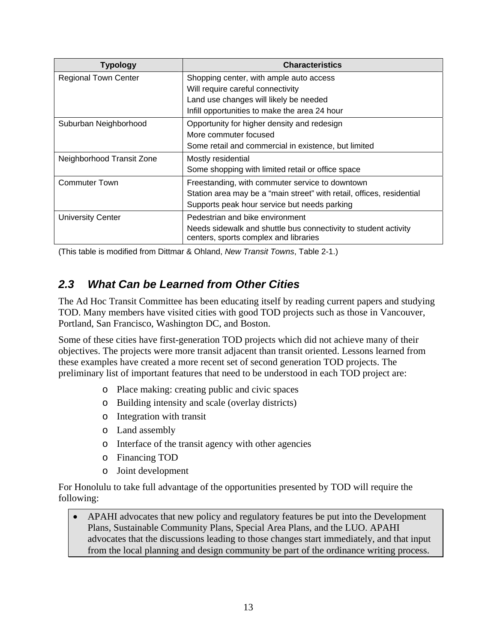| <b>Typology</b>             | <b>Characteristics</b>                                                                                   |
|-----------------------------|----------------------------------------------------------------------------------------------------------|
| <b>Regional Town Center</b> | Shopping center, with ample auto access                                                                  |
|                             | Will require careful connectivity                                                                        |
|                             | Land use changes will likely be needed                                                                   |
|                             | Infill opportunities to make the area 24 hour                                                            |
| Suburban Neighborhood       | Opportunity for higher density and redesign                                                              |
|                             | More commuter focused                                                                                    |
|                             | Some retail and commercial in existence, but limited                                                     |
| Neighborhood Transit Zone   | Mostly residential                                                                                       |
|                             | Some shopping with limited retail or office space                                                        |
| <b>Commuter Town</b>        | Freestanding, with commuter service to downtown                                                          |
|                             | Station area may be a "main street" with retail, offices, residential                                    |
|                             | Supports peak hour service but needs parking                                                             |
| <b>University Center</b>    | Pedestrian and bike environment                                                                          |
|                             | Needs sidewalk and shuttle bus connectivity to student activity<br>centers, sports complex and libraries |

(This table is modified from Dittmar & Ohland, *New Transit Towns*, Table 2-1.)

## *2.3 What Can be Learned from Other Cities*

The Ad Hoc Transit Committee has been educating itself by reading current papers and studying TOD. Many members have visited cities with good TOD projects such as those in Vancouver, Portland, San Francisco, Washington DC, and Boston.

Some of these cities have first-generation TOD projects which did not achieve many of their objectives. The projects were more transit adjacent than transit oriented. Lessons learned from these examples have created a more recent set of second generation TOD projects. The preliminary list of important features that need to be understood in each TOD project are:

- o Place making: creating public and civic spaces
- o Building intensity and scale (overlay districts)
- o Integration with transit
- o Land assembly
- o Interface of the transit agency with other agencies
- o Financing TOD
- o Joint development

For Honolulu to take full advantage of the opportunities presented by TOD will require the following:

• APAHI advocates that new policy and regulatory features be put into the Development Plans, Sustainable Community Plans, Special Area Plans, and the LUO. APAHI advocates that the discussions leading to those changes start immediately, and that input from the local planning and design community be part of the ordinance writing process.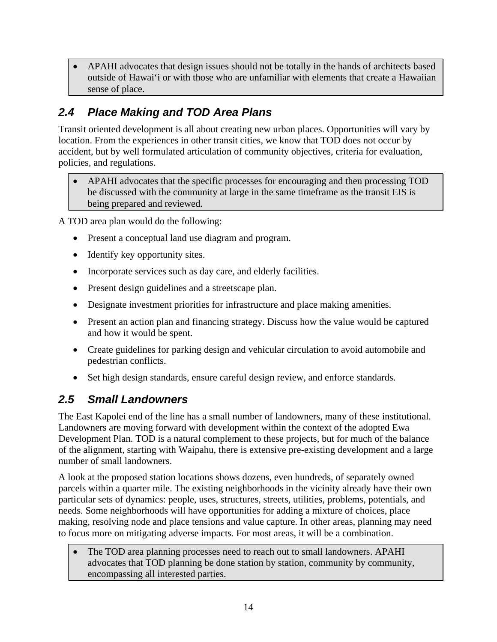• APAHI advocates that design issues should not be totally in the hands of architects based outside of Hawai'i or with those who are unfamiliar with elements that create a Hawaiian sense of place.

# *2.4 Place Making and TOD Area Plans*

Transit oriented development is all about creating new urban places. Opportunities will vary by location. From the experiences in other transit cities, we know that TOD does not occur by accident, but by well formulated articulation of community objectives, criteria for evaluation, policies, and regulations.

• APAHI advocates that the specific processes for encouraging and then processing TOD be discussed with the community at large in the same timeframe as the transit EIS is being prepared and reviewed.

A TOD area plan would do the following:

- Present a conceptual land use diagram and program.
- Identify key opportunity sites.
- Incorporate services such as day care, and elderly facilities.
- Present design guidelines and a streetscape plan.
- Designate investment priorities for infrastructure and place making amenities.
- Present an action plan and financing strategy. Discuss how the value would be captured and how it would be spent.
- Create guidelines for parking design and vehicular circulation to avoid automobile and pedestrian conflicts.
- Set high design standards, ensure careful design review, and enforce standards.

### *2.5 Small Landowners*

The East Kapolei end of the line has a small number of landowners, many of these institutional. Landowners are moving forward with development within the context of the adopted Ewa Development Plan. TOD is a natural complement to these projects, but for much of the balance of the alignment, starting with Waipahu, there is extensive pre-existing development and a large number of small landowners.

A look at the proposed station locations shows dozens, even hundreds, of separately owned parcels within a quarter mile. The existing neighborhoods in the vicinity already have their own particular sets of dynamics: people, uses, structures, streets, utilities, problems, potentials, and needs. Some neighborhoods will have opportunities for adding a mixture of choices, place making, resolving node and place tensions and value capture. In other areas, planning may need to focus more on mitigating adverse impacts. For most areas, it will be a combination.

• The TOD area planning processes need to reach out to small landowners. APAHI advocates that TOD planning be done station by station, community by community, encompassing all interested parties.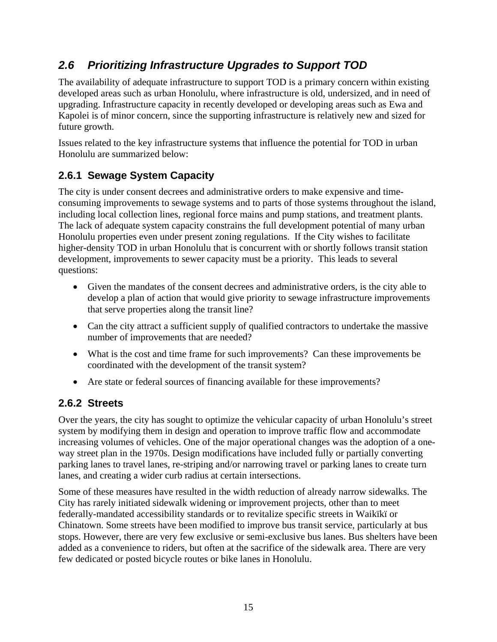## *2.6 Prioritizing Infrastructure Upgrades to Support TOD*

The availability of adequate infrastructure to support TOD is a primary concern within existing developed areas such as urban Honolulu, where infrastructure is old, undersized, and in need of upgrading. Infrastructure capacity in recently developed or developing areas such as Ewa and Kapolei is of minor concern, since the supporting infrastructure is relatively new and sized for future growth.

Issues related to the key infrastructure systems that influence the potential for TOD in urban Honolulu are summarized below:

## **2.6.1 Sewage System Capacity**

The city is under consent decrees and administrative orders to make expensive and timeconsuming improvements to sewage systems and to parts of those systems throughout the island, including local collection lines, regional force mains and pump stations, and treatment plants. The lack of adequate system capacity constrains the full development potential of many urban Honolulu properties even under present zoning regulations. If the City wishes to facilitate higher-density TOD in urban Honolulu that is concurrent with or shortly follows transit station development, improvements to sewer capacity must be a priority. This leads to several questions:

- Given the mandates of the consent decrees and administrative orders, is the city able to develop a plan of action that would give priority to sewage infrastructure improvements that serve properties along the transit line?
- Can the city attract a sufficient supply of qualified contractors to undertake the massive number of improvements that are needed?
- What is the cost and time frame for such improvements? Can these improvements be coordinated with the development of the transit system?
- Are state or federal sources of financing available for these improvements?

### **2.6.2 Streets**

Over the years, the city has sought to optimize the vehicular capacity of urban Honolulu's street system by modifying them in design and operation to improve traffic flow and accommodate increasing volumes of vehicles. One of the major operational changes was the adoption of a oneway street plan in the 1970s. Design modifications have included fully or partially converting parking lanes to travel lanes, re-striping and/or narrowing travel or parking lanes to create turn lanes, and creating a wider curb radius at certain intersections.

Some of these measures have resulted in the width reduction of already narrow sidewalks. The City has rarely initiated sidewalk widening or improvement projects, other than to meet federally-mandated accessibility standards or to revitalize specific streets in Waikïkï or Chinatown. Some streets have been modified to improve bus transit service, particularly at bus stops. However, there are very few exclusive or semi-exclusive bus lanes. Bus shelters have been added as a convenience to riders, but often at the sacrifice of the sidewalk area. There are very few dedicated or posted bicycle routes or bike lanes in Honolulu.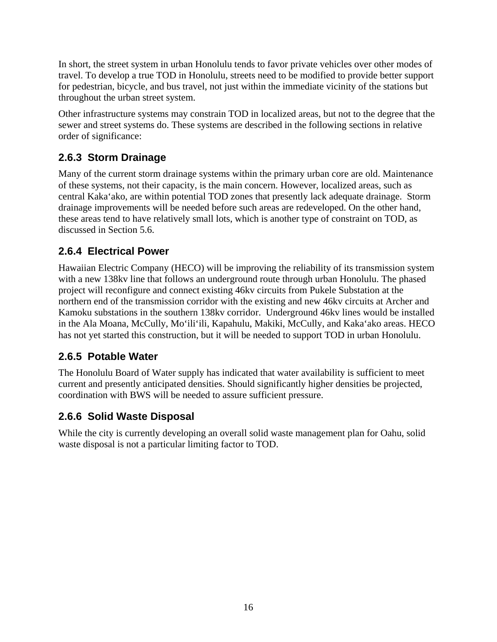In short, the street system in urban Honolulu tends to favor private vehicles over other modes of travel. To develop a true TOD in Honolulu, streets need to be modified to provide better support for pedestrian, bicycle, and bus travel, not just within the immediate vicinity of the stations but throughout the urban street system.

Other infrastructure systems may constrain TOD in localized areas, but not to the degree that the sewer and street systems do. These systems are described in the following sections in relative order of significance:

### **2.6.3 Storm Drainage**

Many of the current storm drainage systems within the primary urban core are old. Maintenance of these systems, not their capacity, is the main concern. However, localized areas, such as central Kaka'ako, are within potential TOD zones that presently lack adequate drainage. Storm drainage improvements will be needed before such areas are redeveloped. On the other hand, these areas tend to have relatively small lots, which is another type of constraint on TOD, as discussed in Section 5.6.

## **2.6.4 Electrical Power**

Hawaiian Electric Company (HECO) will be improving the reliability of its transmission system with a new 138kv line that follows an underground route through urban Honolulu. The phased project will reconfigure and connect existing 46kv circuits from Pukele Substation at the northern end of the transmission corridor with the existing and new 46kv circuits at Archer and Kamoku substations in the southern 138kv corridor. Underground 46kv lines would be installed in the Ala Moana, McCully, Mo'ili'ili, Kapahulu, Makiki, McCully, and Kaka'ako areas. HECO has not yet started this construction, but it will be needed to support TOD in urban Honolulu.

### **2.6.5 Potable Water**

The Honolulu Board of Water supply has indicated that water availability is sufficient to meet current and presently anticipated densities. Should significantly higher densities be projected, coordination with BWS will be needed to assure sufficient pressure.

### **2.6.6 Solid Waste Disposal**

While the city is currently developing an overall solid waste management plan for Oahu, solid waste disposal is not a particular limiting factor to TOD.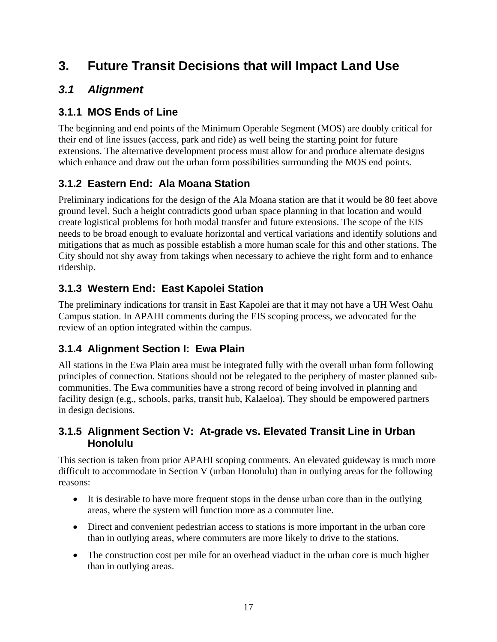# **3. Future Transit Decisions that will Impact Land Use**

## *3.1 Alignment*

## **3.1.1 MOS Ends of Line**

The beginning and end points of the Minimum Operable Segment (MOS) are doubly critical for their end of line issues (access, park and ride) as well being the starting point for future extensions. The alternative development process must allow for and produce alternate designs which enhance and draw out the urban form possibilities surrounding the MOS end points.

## **3.1.2 Eastern End: Ala Moana Station**

Preliminary indications for the design of the Ala Moana station are that it would be 80 feet above ground level. Such a height contradicts good urban space planning in that location and would create logistical problems for both modal transfer and future extensions. The scope of the EIS needs to be broad enough to evaluate horizontal and vertical variations and identify solutions and mitigations that as much as possible establish a more human scale for this and other stations. The City should not shy away from takings when necessary to achieve the right form and to enhance ridership.

## **3.1.3 Western End: East Kapolei Station**

The preliminary indications for transit in East Kapolei are that it may not have a UH West Oahu Campus station. In APAHI comments during the EIS scoping process, we advocated for the review of an option integrated within the campus.

### **3.1.4 Alignment Section I: Ewa Plain**

All stations in the Ewa Plain area must be integrated fully with the overall urban form following principles of connection. Stations should not be relegated to the periphery of master planned subcommunities. The Ewa communities have a strong record of being involved in planning and facility design (e.g., schools, parks, transit hub, Kalaeloa). They should be empowered partners in design decisions.

#### **3.1.5 Alignment Section V: At-grade vs. Elevated Transit Line in Urban Honolulu**

This section is taken from prior APAHI scoping comments. An elevated guideway is much more difficult to accommodate in Section V (urban Honolulu) than in outlying areas for the following reasons:

- It is desirable to have more frequent stops in the dense urban core than in the outlying areas, where the system will function more as a commuter line.
- Direct and convenient pedestrian access to stations is more important in the urban core than in outlying areas, where commuters are more likely to drive to the stations.
- The construction cost per mile for an overhead viaduct in the urban core is much higher than in outlying areas.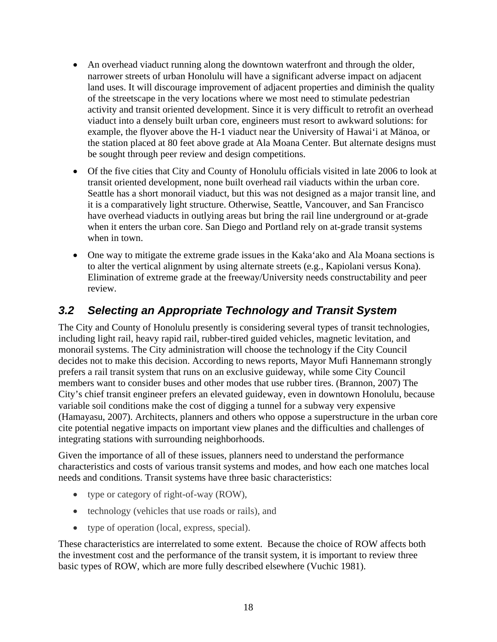- An overhead viaduct running along the downtown waterfront and through the older, narrower streets of urban Honolulu will have a significant adverse impact on adjacent land uses. It will discourage improvement of adjacent properties and diminish the quality of the streetscape in the very locations where we most need to stimulate pedestrian activity and transit oriented development. Since it is very difficult to retrofit an overhead viaduct into a densely built urban core, engineers must resort to awkward solutions: for example, the flyover above the H-1 viaduct near the University of Hawai'i at Mänoa, or the station placed at 80 feet above grade at Ala Moana Center. But alternate designs must be sought through peer review and design competitions.
- Of the five cities that City and County of Honolulu officials visited in late 2006 to look at transit oriented development, none built overhead rail viaducts within the urban core. Seattle has a short monorail viaduct, but this was not designed as a major transit line, and it is a comparatively light structure. Otherwise, Seattle, Vancouver, and San Francisco have overhead viaducts in outlying areas but bring the rail line underground or at-grade when it enters the urban core. San Diego and Portland rely on at-grade transit systems when in town.
- One way to mitigate the extreme grade issues in the Kaka'ako and Ala Moana sections is to alter the vertical alignment by using alternate streets (e.g., Kapiolani versus Kona). Elimination of extreme grade at the freeway/University needs constructability and peer review.

## *3.2 Selecting an Appropriate Technology and Transit System*

The City and County of Honolulu presently is considering several types of transit technologies, including light rail, heavy rapid rail, rubber-tired guided vehicles, magnetic levitation, and monorail systems. The City administration will choose the technology if the City Council decides not to make this decision. According to news reports, Mayor Mufi Hannemann strongly prefers a rail transit system that runs on an exclusive guideway, while some City Council members want to consider buses and other modes that use rubber tires. (Brannon, 2007) The City's chief transit engineer prefers an elevated guideway, even in downtown Honolulu, because variable soil conditions make the cost of digging a tunnel for a subway very expensive (Hamayasu, 2007). Architects, planners and others who oppose a superstructure in the urban core cite potential negative impacts on important view planes and the difficulties and challenges of integrating stations with surrounding neighborhoods.

Given the importance of all of these issues, planners need to understand the performance characteristics and costs of various transit systems and modes, and how each one matches local needs and conditions. Transit systems have three basic characteristics:

- type or category of right-of-way (ROW),
- technology (vehicles that use roads or rails), and
- type of operation (local, express, special).

These characteristics are interrelated to some extent. Because the choice of ROW affects both the investment cost and the performance of the transit system, it is important to review three basic types of ROW, which are more fully described elsewhere (Vuchic 1981).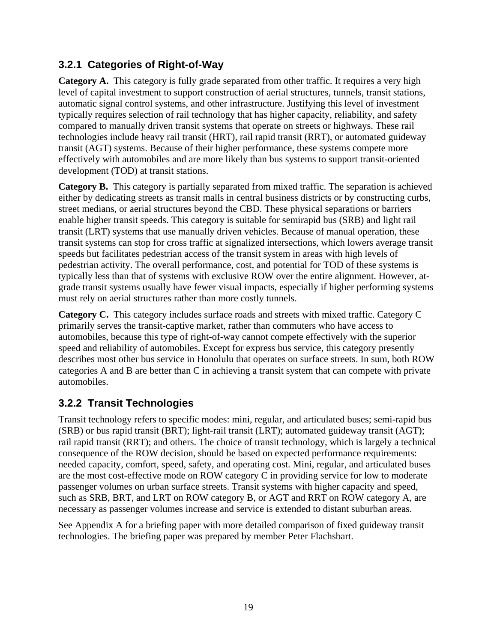## **3.2.1 Categories of Right-of-Way**

**Category A.** This category is fully grade separated from other traffic. It requires a very high level of capital investment to support construction of aerial structures, tunnels, transit stations, automatic signal control systems, and other infrastructure. Justifying this level of investment typically requires selection of rail technology that has higher capacity, reliability, and safety compared to manually driven transit systems that operate on streets or highways. These rail technologies include heavy rail transit (HRT), rail rapid transit (RRT), or automated guideway transit (AGT) systems. Because of their higher performance, these systems compete more effectively with automobiles and are more likely than bus systems to support transit-oriented development (TOD) at transit stations.

**Category B.** This category is partially separated from mixed traffic. The separation is achieved either by dedicating streets as transit malls in central business districts or by constructing curbs, street medians, or aerial structures beyond the CBD. These physical separations or barriers enable higher transit speeds. This category is suitable for semirapid bus (SRB) and light rail transit (LRT) systems that use manually driven vehicles. Because of manual operation, these transit systems can stop for cross traffic at signalized intersections, which lowers average transit speeds but facilitates pedestrian access of the transit system in areas with high levels of pedestrian activity. The overall performance, cost, and potential for TOD of these systems is typically less than that of systems with exclusive ROW over the entire alignment. However, atgrade transit systems usually have fewer visual impacts, especially if higher performing systems must rely on aerial structures rather than more costly tunnels.

**Category C.** This category includes surface roads and streets with mixed traffic. Category C primarily serves the transit-captive market, rather than commuters who have access to automobiles, because this type of right-of-way cannot compete effectively with the superior speed and reliability of automobiles. Except for express bus service, this category presently describes most other bus service in Honolulu that operates on surface streets. In sum, both ROW categories A and B are better than C in achieving a transit system that can compete with private automobiles.

## **3.2.2 Transit Technologies**

Transit technology refers to specific modes: mini, regular, and articulated buses; semi-rapid bus (SRB) or bus rapid transit (BRT); light-rail transit (LRT); automated guideway transit (AGT); rail rapid transit (RRT); and others. The choice of transit technology, which is largely a technical consequence of the ROW decision, should be based on expected performance requirements: needed capacity, comfort, speed, safety, and operating cost. Mini, regular, and articulated buses are the most cost-effective mode on ROW category C in providing service for low to moderate passenger volumes on urban surface streets. Transit systems with higher capacity and speed, such as SRB, BRT, and LRT on ROW category B, or AGT and RRT on ROW category A, are necessary as passenger volumes increase and service is extended to distant suburban areas.

See Appendix A for a briefing paper with more detailed comparison of fixed guideway transit technologies. The briefing paper was prepared by member Peter Flachsbart.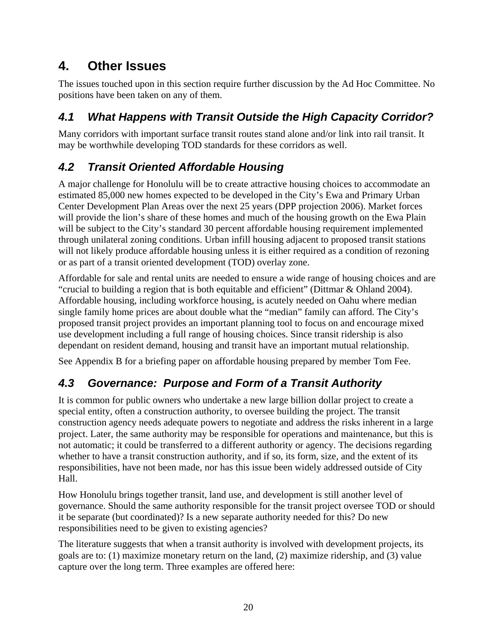# **4. Other Issues**

The issues touched upon in this section require further discussion by the Ad Hoc Committee. No positions have been taken on any of them.

# *4.1 What Happens with Transit Outside the High Capacity Corridor?*

Many corridors with important surface transit routes stand alone and/or link into rail transit. It may be worthwhile developing TOD standards for these corridors as well.

# *4.2 Transit Oriented Affordable Housing*

A major challenge for Honolulu will be to create attractive housing choices to accommodate an estimated 85,000 new homes expected to be developed in the City's Ewa and Primary Urban Center Development Plan Areas over the next 25 years (DPP projection 2006). Market forces will provide the lion's share of these homes and much of the housing growth on the Ewa Plain will be subject to the City's standard 30 percent affordable housing requirement implemented through unilateral zoning conditions. Urban infill housing adjacent to proposed transit stations will not likely produce affordable housing unless it is either required as a condition of rezoning or as part of a transit oriented development (TOD) overlay zone.

Affordable for sale and rental units are needed to ensure a wide range of housing choices and are "crucial to building a region that is both equitable and efficient" (Dittmar & Ohland 2004). Affordable housing, including workforce housing, is acutely needed on Oahu where median single family home prices are about double what the "median" family can afford. The City's proposed transit project provides an important planning tool to focus on and encourage mixed use development including a full range of housing choices. Since transit ridership is also dependant on resident demand, housing and transit have an important mutual relationship.

See Appendix B for a briefing paper on affordable housing prepared by member Tom Fee.

# *4.3 Governance: Purpose and Form of a Transit Authority*

It is common for public owners who undertake a new large billion dollar project to create a special entity, often a construction authority, to oversee building the project. The transit construction agency needs adequate powers to negotiate and address the risks inherent in a large project. Later, the same authority may be responsible for operations and maintenance, but this is not automatic; it could be transferred to a different authority or agency. The decisions regarding whether to have a transit construction authority, and if so, its form, size, and the extent of its responsibilities, have not been made, nor has this issue been widely addressed outside of City Hall.

How Honolulu brings together transit, land use, and development is still another level of governance. Should the same authority responsible for the transit project oversee TOD or should it be separate (but coordinated)? Is a new separate authority needed for this? Do new responsibilities need to be given to existing agencies?

The literature suggests that when a transit authority is involved with development projects, its goals are to: (1) maximize monetary return on the land, (2) maximize ridership, and (3) value capture over the long term. Three examples are offered here: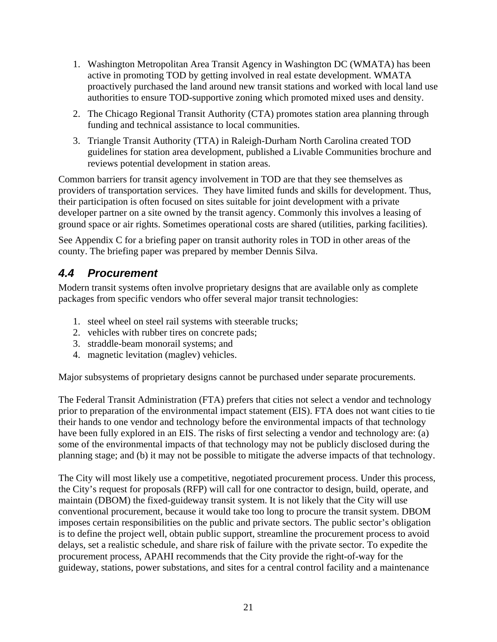- 1. Washington Metropolitan Area Transit Agency in Washington DC (WMATA) has been active in promoting TOD by getting involved in real estate development. WMATA proactively purchased the land around new transit stations and worked with local land use authorities to ensure TOD-supportive zoning which promoted mixed uses and density.
- 2. The Chicago Regional Transit Authority (CTA) promotes station area planning through funding and technical assistance to local communities.
- 3. Triangle Transit Authority (TTA) in Raleigh-Durham North Carolina created TOD guidelines for station area development, published a Livable Communities brochure and reviews potential development in station areas.

Common barriers for transit agency involvement in TOD are that they see themselves as providers of transportation services. They have limited funds and skills for development. Thus, their participation is often focused on sites suitable for joint development with a private developer partner on a site owned by the transit agency. Commonly this involves a leasing of ground space or air rights. Sometimes operational costs are shared (utilities, parking facilities).

See Appendix C for a briefing paper on transit authority roles in TOD in other areas of the county. The briefing paper was prepared by member Dennis Silva.

## *4.4 Procurement*

Modern transit systems often involve proprietary designs that are available only as complete packages from specific vendors who offer several major transit technologies:

- 1. steel wheel on steel rail systems with steerable trucks;
- 2. vehicles with rubber tires on concrete pads;
- 3. straddle-beam monorail systems; and
- 4. magnetic levitation (maglev) vehicles.

Major subsystems of proprietary designs cannot be purchased under separate procurements.

The Federal Transit Administration (FTA) prefers that cities not select a vendor and technology prior to preparation of the environmental impact statement (EIS). FTA does not want cities to tie their hands to one vendor and technology before the environmental impacts of that technology have been fully explored in an EIS. The risks of first selecting a vendor and technology are: (a) some of the environmental impacts of that technology may not be publicly disclosed during the planning stage; and (b) it may not be possible to mitigate the adverse impacts of that technology.

The City will most likely use a competitive, negotiated procurement process. Under this process, the City's request for proposals (RFP) will call for one contractor to design, build, operate, and maintain (DBOM) the fixed-guideway transit system. It is not likely that the City will use conventional procurement, because it would take too long to procure the transit system. DBOM imposes certain responsibilities on the public and private sectors. The public sector's obligation is to define the project well, obtain public support, streamline the procurement process to avoid delays, set a realistic schedule, and share risk of failure with the private sector. To expedite the procurement process, APAHI recommends that the City provide the right-of-way for the guideway, stations, power substations, and sites for a central control facility and a maintenance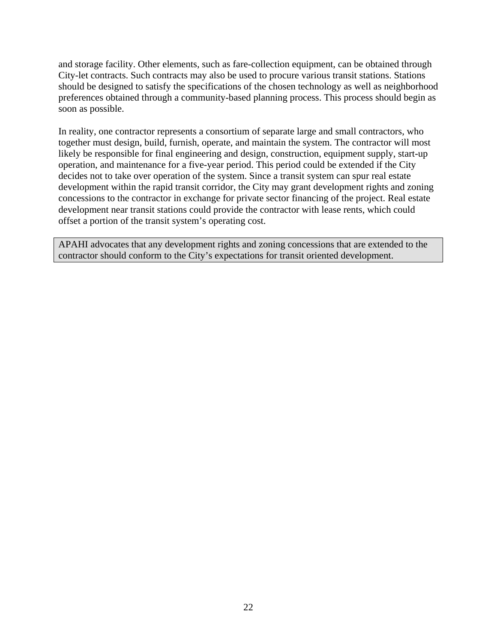and storage facility. Other elements, such as fare-collection equipment, can be obtained through City-let contracts. Such contracts may also be used to procure various transit stations. Stations should be designed to satisfy the specifications of the chosen technology as well as neighborhood preferences obtained through a community-based planning process. This process should begin as soon as possible.

In reality, one contractor represents a consortium of separate large and small contractors, who together must design, build, furnish, operate, and maintain the system. The contractor will most likely be responsible for final engineering and design, construction, equipment supply, start-up operation, and maintenance for a five-year period. This period could be extended if the City decides not to take over operation of the system. Since a transit system can spur real estate development within the rapid transit corridor, the City may grant development rights and zoning concessions to the contractor in exchange for private sector financing of the project. Real estate development near transit stations could provide the contractor with lease rents, which could offset a portion of the transit system's operating cost.

APAHI advocates that any development rights and zoning concessions that are extended to the contractor should conform to the City's expectations for transit oriented development.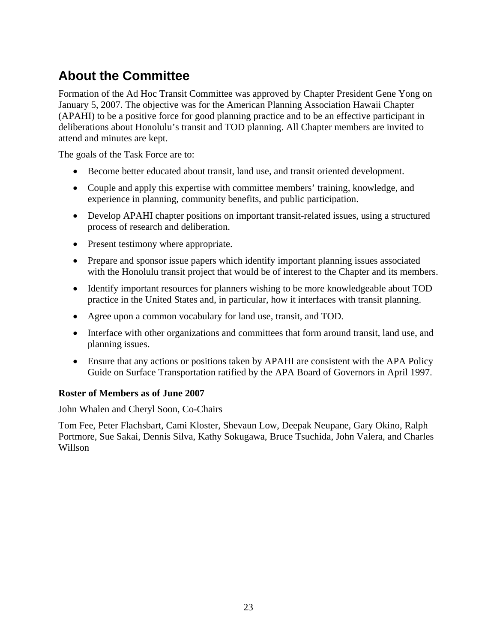# **About the Committee**

Formation of the Ad Hoc Transit Committee was approved by Chapter President Gene Yong on January 5, 2007. The objective was for the American Planning Association Hawaii Chapter (APAHI) to be a positive force for good planning practice and to be an effective participant in deliberations about Honolulu's transit and TOD planning. All Chapter members are invited to attend and minutes are kept.

The goals of the Task Force are to:

- Become better educated about transit, land use, and transit oriented development.
- Couple and apply this expertise with committee members' training, knowledge, and experience in planning, community benefits, and public participation.
- Develop APAHI chapter positions on important transit-related issues, using a structured process of research and deliberation.
- Present testimony where appropriate.
- Prepare and sponsor issue papers which identify important planning issues associated with the Honolulu transit project that would be of interest to the Chapter and its members.
- Identify important resources for planners wishing to be more knowledgeable about TOD practice in the United States and, in particular, how it interfaces with transit planning.
- Agree upon a common vocabulary for land use, transit, and TOD.
- Interface with other organizations and committees that form around transit, land use, and planning issues.
- Ensure that any actions or positions taken by APAHI are consistent with the APA Policy Guide on Surface Transportation ratified by the APA Board of Governors in April 1997.

#### **Roster of Members as of June 2007**

John Whalen and Cheryl Soon, Co-Chairs

Tom Fee, Peter Flachsbart, Cami Kloster, Shevaun Low, Deepak Neupane, Gary Okino, Ralph Portmore, Sue Sakai, Dennis Silva, Kathy Sokugawa, Bruce Tsuchida, John Valera, and Charles Willson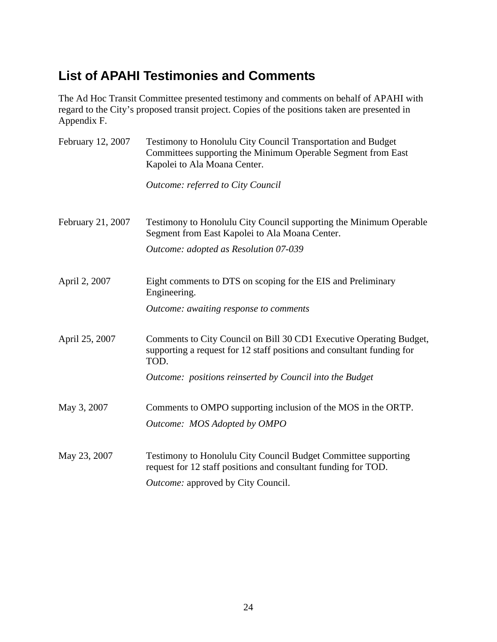# **List of APAHI Testimonies and Comments**

The Ad Hoc Transit Committee presented testimony and comments on behalf of APAHI with regard to the City's proposed transit project. Copies of the positions taken are presented in Appendix F.

| February 12, 2007 | Testimony to Honolulu City Council Transportation and Budget<br>Committees supporting the Minimum Operable Segment from East<br>Kapolei to Ala Moana Center. |  |  |
|-------------------|--------------------------------------------------------------------------------------------------------------------------------------------------------------|--|--|
|                   | Outcome: referred to City Council                                                                                                                            |  |  |
| February 21, 2007 | Testimony to Honolulu City Council supporting the Minimum Operable<br>Segment from East Kapolei to Ala Moana Center.                                         |  |  |
|                   | Outcome: adopted as Resolution 07-039                                                                                                                        |  |  |
| April 2, 2007     | Eight comments to DTS on scoping for the EIS and Preliminary<br>Engineering.                                                                                 |  |  |
|                   | Outcome: awaiting response to comments                                                                                                                       |  |  |
| April 25, 2007    | Comments to City Council on Bill 30 CD1 Executive Operating Budget,<br>supporting a request for 12 staff positions and consultant funding for<br>TOD.        |  |  |
|                   | Outcome: positions reinserted by Council into the Budget                                                                                                     |  |  |
| May 3, 2007       | Comments to OMPO supporting inclusion of the MOS in the ORTP.<br>Outcome: MOS Adopted by OMPO                                                                |  |  |
| May 23, 2007      | Testimony to Honolulu City Council Budget Committee supporting<br>request for 12 staff positions and consultant funding for TOD.                             |  |  |
|                   | Outcome: approved by City Council.                                                                                                                           |  |  |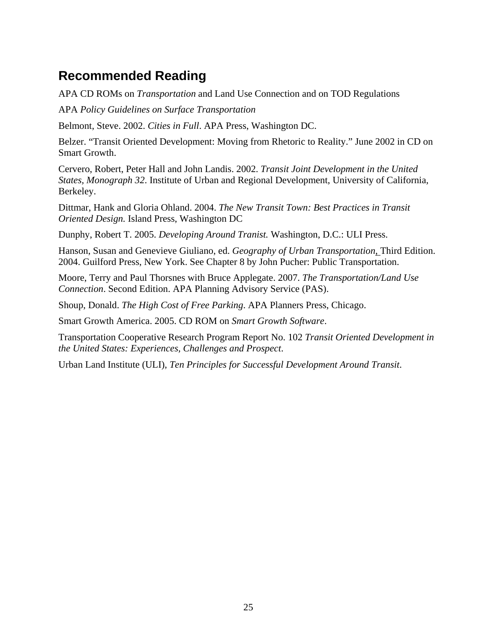# **Recommended Reading**

APA CD ROMs on *Transportation* and Land Use Connection and on TOD Regulations

APA *Policy Guidelines on Surface Transportation*

Belmont, Steve. 2002. *Cities in Full*. APA Press, Washington DC.

Belzer. "Transit Oriented Development: Moving from Rhetoric to Reality." June 2002 in CD on Smart Growth.

Cervero, Robert, Peter Hall and John Landis. 2002. *Transit Joint Development in the United States, Monograph 32*. Institute of Urban and Regional Development, University of California, Berkeley.

Dittmar, Hank and Gloria Ohland. 2004. *The New Transit Town: Best Practices in Transit Oriented Design.* Island Press, Washington DC

Dunphy, Robert T. 2005. *Developing Around Tranist.* Washington, D.C.: ULI Press.

Hanson, Susan and Genevieve Giuliano, ed. *Geography of Urban Transportation*, Third Edition. 2004. Guilford Press, New York. See Chapter 8 by John Pucher: Public Transportation.

Moore, Terry and Paul Thorsnes with Bruce Applegate. 2007. *The Transportation/Land Use Connection*. Second Edition. APA Planning Advisory Service (PAS).

Shoup, Donald. *The High Cost of Free Parking*. APA Planners Press, Chicago.

Smart Growth America. 2005. CD ROM on *Smart Growth Software*.

Transportation Cooperative Research Program Report No. 102 *Transit Oriented Development in the United States: Experiences, Challenges and Prospect*.

Urban Land Institute (ULI), *Ten Principles for Successful Development Around Transit*.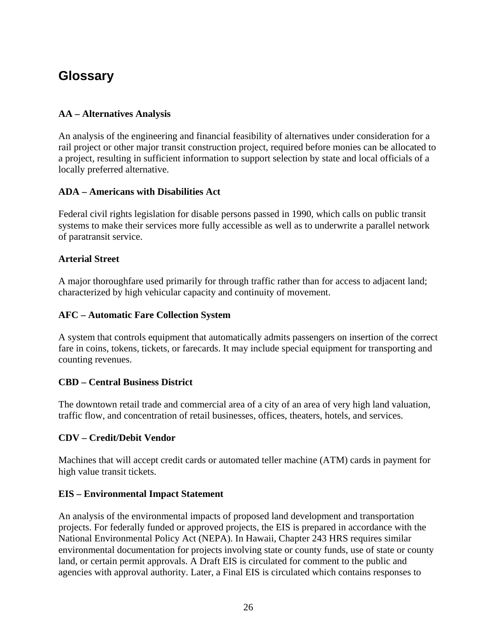# **Glossary**

#### **AA – Alternatives Analysis**

An analysis of the engineering and financial feasibility of alternatives under consideration for a rail project or other major transit construction project, required before monies can be allocated to a project, resulting in sufficient information to support selection by state and local officials of a locally preferred alternative.

#### **ADA – Americans with Disabilities Act**

Federal civil rights legislation for disable persons passed in 1990, which calls on public transit systems to make their services more fully accessible as well as to underwrite a parallel network of paratransit service.

#### **Arterial Street**

A major thoroughfare used primarily for through traffic rather than for access to adjacent land; characterized by high vehicular capacity and continuity of movement.

#### **AFC – Automatic Fare Collection System**

A system that controls equipment that automatically admits passengers on insertion of the correct fare in coins, tokens, tickets, or farecards. It may include special equipment for transporting and counting revenues.

#### **CBD – Central Business District**

The downtown retail trade and commercial area of a city of an area of very high land valuation, traffic flow, and concentration of retail businesses, offices, theaters, hotels, and services.

#### **CDV – Credit/Debit Vendor**

Machines that will accept credit cards or automated teller machine (ATM) cards in payment for high value transit tickets.

#### **EIS – Environmental Impact Statement**

An analysis of the environmental impacts of proposed land development and transportation projects. For federally funded or approved projects, the EIS is prepared in accordance with the National Environmental Policy Act (NEPA). In Hawaii, Chapter 243 HRS requires similar environmental documentation for projects involving state or county funds, use of state or county land, or certain permit approvals. A Draft EIS is circulated for comment to the public and agencies with approval authority. Later, a Final EIS is circulated which contains responses to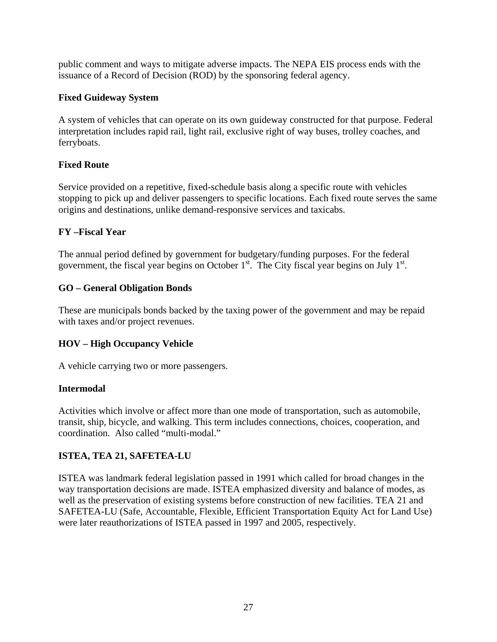public comment and ways to mitigate adverse impacts. The NEPA EIS process ends with the issuance of a Record of Decision (ROD) by the sponsoring federal agency.

#### **Fixed Guideway System**

A system of vehicles that can operate on its own guideway constructed for that purpose. Federal interpretation includes rapid rail, light rail, exclusive right of way buses, trolley coaches, and ferryboats.

#### **Fixed Route**

Service provided on a repetitive, fixed-schedule basis along a specific route with vehicles stopping to pick up and deliver passengers to specific locations. Each fixed route serves the same origins and destinations, unlike demand-responsive services and taxicabs.

#### **FY –Fiscal Year**

The annual period defined by government for budgetary/funding purposes. For the federal government, the fiscal year begins on October  $1<sup>st</sup>$ . The City fiscal year begins on July  $1<sup>st</sup>$ .

#### **GO – General Obligation Bonds**

These are municipals bonds backed by the taxing power of the government and may be repaid with taxes and/or project revenues.

### **HOV – High Occupancy Vehicle**

A vehicle carrying two or more passengers.

#### **Intermodal**

Activities which involve or affect more than one mode of transportation, such as automobile, transit, ship, bicycle, and walking. This term includes connections, choices, cooperation, and coordination. Also called "multi-modal."

#### **ISTEA, TEA 21, SAFETEA-LU**

ISTEA was landmark federal legislation passed in 1991 which called for broad changes in the way transportation decisions are made. ISTEA emphasized diversity and balance of modes, as well as the preservation of existing systems before construction of new facilities. TEA 21 and SAFETEA-LU (Safe, Accountable, Flexible, Efficient Transportation Equity Act for Land Use) were later reauthorizations of ISTEA passed in 1997 and 2005, respectively.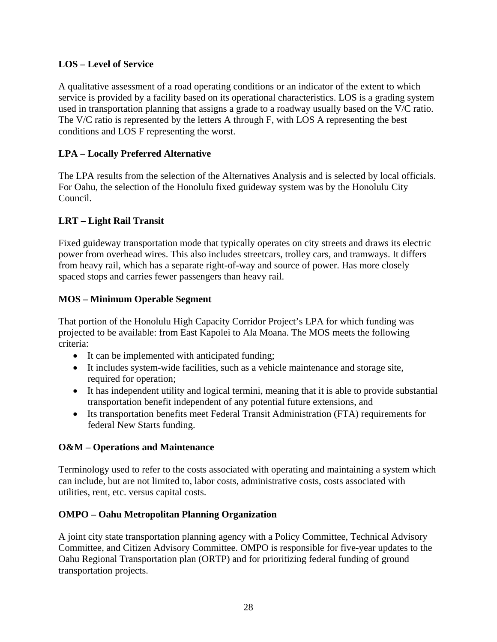#### **LOS – Level of Service**

A qualitative assessment of a road operating conditions or an indicator of the extent to which service is provided by a facility based on its operational characteristics. LOS is a grading system used in transportation planning that assigns a grade to a roadway usually based on the V/C ratio. The V/C ratio is represented by the letters A through F, with LOS A representing the best conditions and LOS F representing the worst.

#### **LPA – Locally Preferred Alternative**

The LPA results from the selection of the Alternatives Analysis and is selected by local officials. For Oahu, the selection of the Honolulu fixed guideway system was by the Honolulu City Council.

#### **LRT – Light Rail Transit**

Fixed guideway transportation mode that typically operates on city streets and draws its electric power from overhead wires. This also includes streetcars, trolley cars, and tramways. It differs from heavy rail, which has a separate right-of-way and source of power. Has more closely spaced stops and carries fewer passengers than heavy rail.

#### **MOS – Minimum Operable Segment**

That portion of the Honolulu High Capacity Corridor Project's LPA for which funding was projected to be available: from East Kapolei to Ala Moana. The MOS meets the following criteria:

- It can be implemented with anticipated funding;
- It includes system-wide facilities, such as a vehicle maintenance and storage site, required for operation;
- It has independent utility and logical termini, meaning that it is able to provide substantial transportation benefit independent of any potential future extensions, and
- Its transportation benefits meet Federal Transit Administration (FTA) requirements for federal New Starts funding.

#### **O&M – Operations and Maintenance**

Terminology used to refer to the costs associated with operating and maintaining a system which can include, but are not limited to, labor costs, administrative costs, costs associated with utilities, rent, etc. versus capital costs.

#### **OMPO – Oahu Metropolitan Planning Organization**

A joint city state transportation planning agency with a Policy Committee, Technical Advisory Committee, and Citizen Advisory Committee. OMPO is responsible for five-year updates to the Oahu Regional Transportation plan (ORTP) and for prioritizing federal funding of ground transportation projects.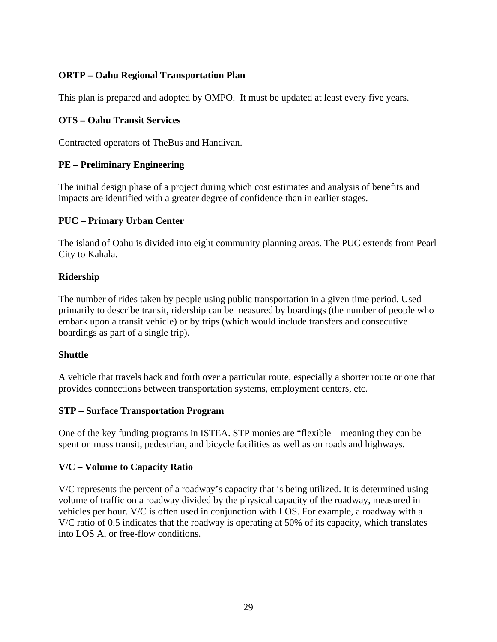#### **ORTP – Oahu Regional Transportation Plan**

This plan is prepared and adopted by OMPO. It must be updated at least every five years.

#### **OTS – Oahu Transit Services**

Contracted operators of TheBus and Handivan.

#### **PE – Preliminary Engineering**

The initial design phase of a project during which cost estimates and analysis of benefits and impacts are identified with a greater degree of confidence than in earlier stages.

#### **PUC – Primary Urban Center**

The island of Oahu is divided into eight community planning areas. The PUC extends from Pearl City to Kahala.

#### **Ridership**

The number of rides taken by people using public transportation in a given time period. Used primarily to describe transit, ridership can be measured by boardings (the number of people who embark upon a transit vehicle) or by trips (which would include transfers and consecutive boardings as part of a single trip).

#### **Shuttle**

A vehicle that travels back and forth over a particular route, especially a shorter route or one that provides connections between transportation systems, employment centers, etc.

#### **STP – Surface Transportation Program**

One of the key funding programs in ISTEA. STP monies are "flexible—meaning they can be spent on mass transit, pedestrian, and bicycle facilities as well as on roads and highways.

#### **V/C – Volume to Capacity Ratio**

V/C represents the percent of a roadway's capacity that is being utilized. It is determined using volume of traffic on a roadway divided by the physical capacity of the roadway, measured in vehicles per hour. V/C is often used in conjunction with LOS. For example, a roadway with a V/C ratio of 0.5 indicates that the roadway is operating at 50% of its capacity, which translates into LOS A, or free-flow conditions.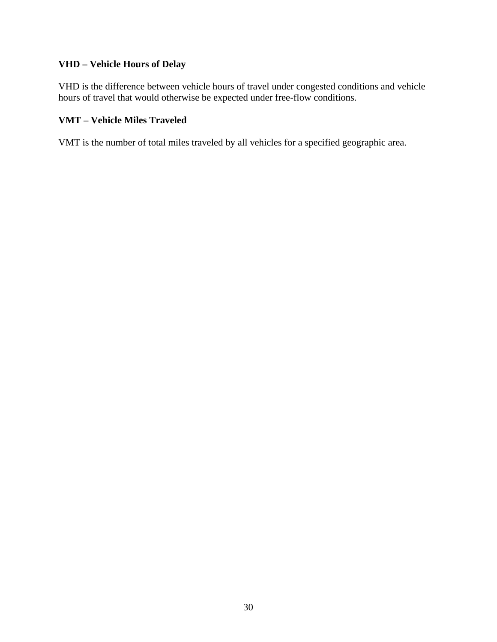#### **VHD – Vehicle Hours of Delay**

VHD is the difference between vehicle hours of travel under congested conditions and vehicle hours of travel that would otherwise be expected under free-flow conditions.

#### **VMT – Vehicle Miles Traveled**

VMT is the number of total miles traveled by all vehicles for a specified geographic area.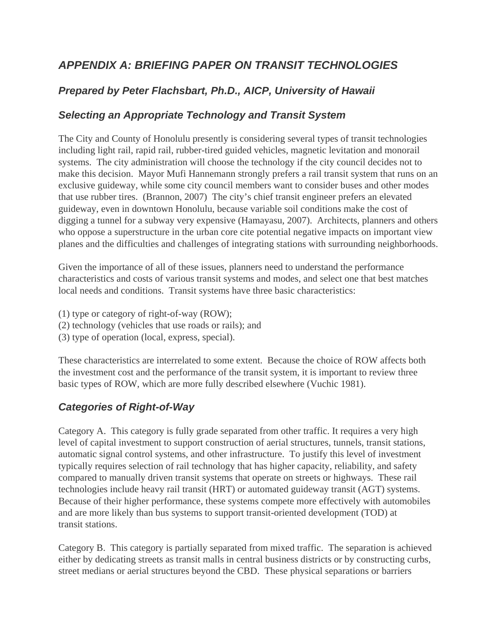## *APPENDIX A: BRIEFING PAPER ON TRANSIT TECHNOLOGIES*

## *Prepared by Peter Flachsbart, Ph.D., AICP, University of Hawaii*

### *Selecting an Appropriate Technology and Transit System*

The City and County of Honolulu presently is considering several types of transit technologies including light rail, rapid rail, rubber-tired guided vehicles, magnetic levitation and monorail systems. The city administration will choose the technology if the city council decides not to make this decision. Mayor Mufi Hannemann strongly prefers a rail transit system that runs on an exclusive guideway, while some city council members want to consider buses and other modes that use rubber tires. (Brannon, 2007) The city's chief transit engineer prefers an elevated guideway, even in downtown Honolulu, because variable soil conditions make the cost of digging a tunnel for a subway very expensive (Hamayasu, 2007). Architects, planners and others who oppose a superstructure in the urban core cite potential negative impacts on important view planes and the difficulties and challenges of integrating stations with surrounding neighborhoods.

Given the importance of all of these issues, planners need to understand the performance characteristics and costs of various transit systems and modes, and select one that best matches local needs and conditions. Transit systems have three basic characteristics:

- (1) type or category of right-of-way (ROW);
- (2) technology (vehicles that use roads or rails); and
- (3) type of operation (local, express, special).

These characteristics are interrelated to some extent. Because the choice of ROW affects both the investment cost and the performance of the transit system, it is important to review three basic types of ROW, which are more fully described elsewhere (Vuchic 1981).

### *Categories of Right-of-Way*

Category A. This category is fully grade separated from other traffic. It requires a very high level of capital investment to support construction of aerial structures, tunnels, transit stations, automatic signal control systems, and other infrastructure. To justify this level of investment typically requires selection of rail technology that has higher capacity, reliability, and safety compared to manually driven transit systems that operate on streets or highways. These rail technologies include heavy rail transit (HRT) or automated guideway transit (AGT) systems. Because of their higher performance, these systems compete more effectively with automobiles and are more likely than bus systems to support transit-oriented development (TOD) at transit stations.

Category B. This category is partially separated from mixed traffic. The separation is achieved either by dedicating streets as transit malls in central business districts or by constructing curbs, street medians or aerial structures beyond the CBD. These physical separations or barriers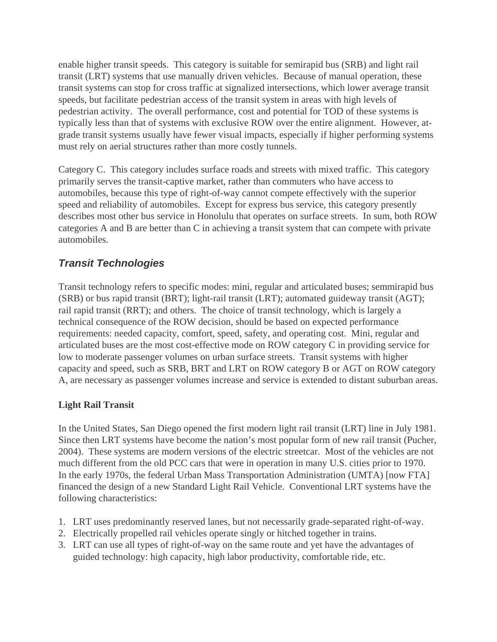enable higher transit speeds. This category is suitable for semirapid bus (SRB) and light rail transit (LRT) systems that use manually driven vehicles. Because of manual operation, these transit systems can stop for cross traffic at signalized intersections, which lower average transit speeds, but facilitate pedestrian access of the transit system in areas with high levels of pedestrian activity. The overall performance, cost and potential for TOD of these systems is typically less than that of systems with exclusive ROW over the entire alignment. However, atgrade transit systems usually have fewer visual impacts, especially if higher performing systems must rely on aerial structures rather than more costly tunnels.

Category C. This category includes surface roads and streets with mixed traffic. This category primarily serves the transit-captive market, rather than commuters who have access to automobiles, because this type of right-of-way cannot compete effectively with the superior speed and reliability of automobiles. Except for express bus service, this category presently describes most other bus service in Honolulu that operates on surface streets. In sum, both ROW categories A and B are better than C in achieving a transit system that can compete with private automobiles.

### *Transit Technologies*

Transit technology refers to specific modes: mini, regular and articulated buses; semmirapid bus (SRB) or bus rapid transit (BRT); light-rail transit (LRT); automated guideway transit (AGT); rail rapid transit (RRT); and others. The choice of transit technology, which is largely a technical consequence of the ROW decision, should be based on expected performance requirements: needed capacity, comfort, speed, safety, and operating cost. Mini, regular and articulated buses are the most cost-effective mode on ROW category C in providing service for low to moderate passenger volumes on urban surface streets. Transit systems with higher capacity and speed, such as SRB, BRT and LRT on ROW category B or AGT on ROW category A, are necessary as passenger volumes increase and service is extended to distant suburban areas.

#### **Light Rail Transit**

In the United States, San Diego opened the first modern light rail transit (LRT) line in July 1981. Since then LRT systems have become the nation's most popular form of new rail transit (Pucher, 2004). These systems are modern versions of the electric streetcar. Most of the vehicles are not much different from the old PCC cars that were in operation in many U.S. cities prior to 1970. In the early 1970s, the federal Urban Mass Transportation Administration (UMTA) [now FTA] financed the design of a new Standard Light Rail Vehicle. Conventional LRT systems have the following characteristics:

- 1. LRT uses predominantly reserved lanes, but not necessarily grade-separated right-of-way.
- 2. Electrically propelled rail vehicles operate singly or hitched together in trains.
- 3. LRT can use all types of right-of-way on the same route and yet have the advantages of guided technology: high capacity, high labor productivity, comfortable ride, etc.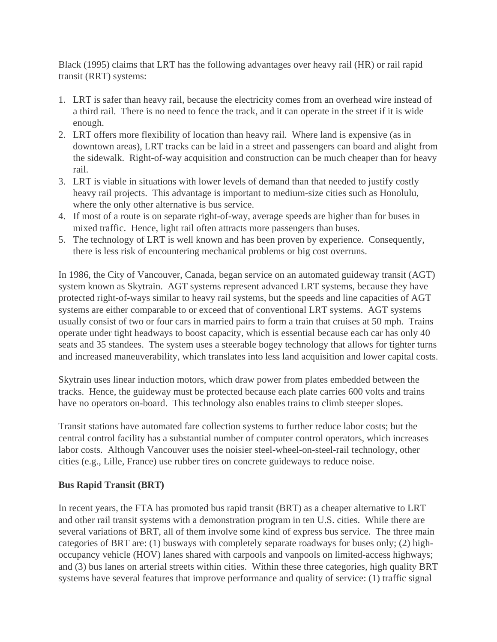Black (1995) claims that LRT has the following advantages over heavy rail (HR) or rail rapid transit (RRT) systems:

- 1. LRT is safer than heavy rail, because the electricity comes from an overhead wire instead of a third rail. There is no need to fence the track, and it can operate in the street if it is wide enough.
- 2. LRT offers more flexibility of location than heavy rail. Where land is expensive (as in downtown areas), LRT tracks can be laid in a street and passengers can board and alight from the sidewalk. Right-of-way acquisition and construction can be much cheaper than for heavy rail.
- 3. LRT is viable in situations with lower levels of demand than that needed to justify costly heavy rail projects. This advantage is important to medium-size cities such as Honolulu, where the only other alternative is bus service.
- 4. If most of a route is on separate right-of-way, average speeds are higher than for buses in mixed traffic. Hence, light rail often attracts more passengers than buses.
- 5. The technology of LRT is well known and has been proven by experience. Consequently, there is less risk of encountering mechanical problems or big cost overruns.

In 1986, the City of Vancouver, Canada, began service on an automated guideway transit (AGT) system known as Skytrain. AGT systems represent advanced LRT systems, because they have protected right-of-ways similar to heavy rail systems, but the speeds and line capacities of AGT systems are either comparable to or exceed that of conventional LRT systems. AGT systems usually consist of two or four cars in married pairs to form a train that cruises at 50 mph. Trains operate under tight headways to boost capacity, which is essential because each car has only 40 seats and 35 standees. The system uses a steerable bogey technology that allows for tighter turns and increased maneuverability, which translates into less land acquisition and lower capital costs.

Skytrain uses linear induction motors, which draw power from plates embedded between the tracks. Hence, the guideway must be protected because each plate carries 600 volts and trains have no operators on-board. This technology also enables trains to climb steeper slopes.

Transit stations have automated fare collection systems to further reduce labor costs; but the central control facility has a substantial number of computer control operators, which increases labor costs. Although Vancouver uses the noisier steel-wheel-on-steel-rail technology, other cities (e.g., Lille, France) use rubber tires on concrete guideways to reduce noise.

#### **Bus Rapid Transit (BRT)**

In recent years, the FTA has promoted bus rapid transit (BRT) as a cheaper alternative to LRT and other rail transit systems with a demonstration program in ten U.S. cities. While there are several variations of BRT, all of them involve some kind of express bus service. The three main categories of BRT are: (1) busways with completely separate roadways for buses only; (2) highoccupancy vehicle (HOV) lanes shared with carpools and vanpools on limited-access highways; and (3) bus lanes on arterial streets within cities. Within these three categories, high quality BRT systems have several features that improve performance and quality of service: (1) traffic signal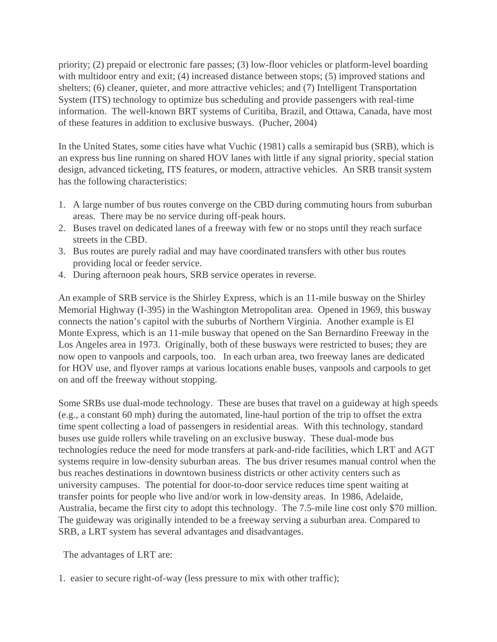priority; (2) prepaid or electronic fare passes; (3) low-floor vehicles or platform-level boarding with multidoor entry and exit; (4) increased distance between stops; (5) improved stations and shelters; (6) cleaner, quieter, and more attractive vehicles; and (7) Intelligent Transportation System (ITS) technology to optimize bus scheduling and provide passengers with real-time information. The well-known BRT systems of Curitiba, Brazil, and Ottawa, Canada, have most of these features in addition to exclusive busways. (Pucher, 2004)

In the United States, some cities have what Vuchic (1981) calls a semirapid bus (SRB), which is an express bus line running on shared HOV lanes with little if any signal priority, special station design, advanced ticketing, ITS features, or modern, attractive vehicles. An SRB transit system has the following characteristics:

- 1. A large number of bus routes converge on the CBD during commuting hours from suburban areas. There may be no service during off-peak hours.
- 2. Buses travel on dedicated lanes of a freeway with few or no stops until they reach surface streets in the CBD.
- 3. Bus routes are purely radial and may have coordinated transfers with other bus routes providing local or feeder service.
- 4. During afternoon peak hours, SRB service operates in reverse.

An example of SRB service is the Shirley Express, which is an 11-mile busway on the Shirley Memorial Highway (I-395) in the Washington Metropolitan area. Opened in 1969, this busway connects the nation's capitol with the suburbs of Northern Virginia. Another example is El Monte Express, which is an 11-mile busway that opened on the San Bernardino Freeway in the Los Angeles area in 1973. Originally, both of these busways were restricted to buses; they are now open to vanpools and carpools, too. In each urban area, two freeway lanes are dedicated for HOV use, and flyover ramps at various locations enable buses, vanpools and carpools to get on and off the freeway without stopping.

Some SRBs use dual-mode technology. These are buses that travel on a guideway at high speeds (e.g., a constant 60 mph) during the automated, line-haul portion of the trip to offset the extra time spent collecting a load of passengers in residential areas. With this technology, standard buses use guide rollers while traveling on an exclusive busway. These dual-mode bus technologies reduce the need for mode transfers at park-and-ride facilities, which LRT and AGT systems require in low-density suburban areas. The bus driver resumes manual control when the bus reaches destinations in downtown business districts or other activity centers such as university campuses. The potential for door-to-door service reduces time spent waiting at transfer points for people who live and/or work in low-density areas. In 1986, Adelaide, Australia, became the first city to adopt this technology. The 7.5-mile line cost only \$70 million. The guideway was originally intended to be a freeway serving a suburban area. Compared to SRB, a LRT system has several advantages and disadvantages.

The advantages of LRT are:

1. easier to secure right-of-way (less pressure to mix with other traffic);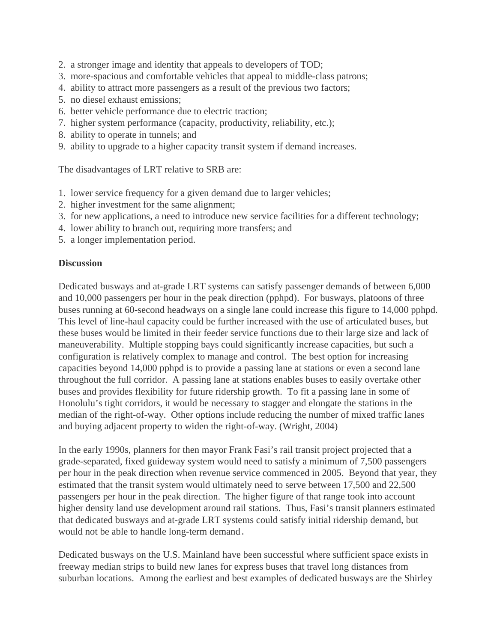- 2. a stronger image and identity that appeals to developers of TOD;
- 3. more-spacious and comfortable vehicles that appeal to middle-class patrons;
- 4. ability to attract more passengers as a result of the previous two factors;
- 5. no diesel exhaust emissions;
- 6. better vehicle performance due to electric traction;
- 7. higher system performance (capacity, productivity, reliability, etc.);
- 8. ability to operate in tunnels; and
- 9. ability to upgrade to a higher capacity transit system if demand increases.

The disadvantages of LRT relative to SRB are:

- 1. lower service frequency for a given demand due to larger vehicles;
- 2. higher investment for the same alignment;
- 3. for new applications, a need to introduce new service facilities for a different technology;
- 4. lower ability to branch out, requiring more transfers; and
- 5. a longer implementation period.

#### **Discussion**

Dedicated busways and at-grade LRT systems can satisfy passenger demands of between 6,000 and 10,000 passengers per hour in the peak direction (pphpd). For busways, platoons of three buses running at 60-second headways on a single lane could increase this figure to 14,000 pphpd. This level of line-haul capacity could be further increased with the use of articulated buses, but these buses would be limited in their feeder service functions due to their large size and lack of maneuverability. Multiple stopping bays could significantly increase capacities, but such a configuration is relatively complex to manage and control. The best option for increasing capacities beyond 14,000 pphpd is to provide a passing lane at stations or even a second lane throughout the full corridor. A passing lane at stations enables buses to easily overtake other buses and provides flexibility for future ridership growth. To fit a passing lane in some of Honolulu's tight corridors, it would be necessary to stagger and elongate the stations in the median of the right-of-way. Other options include reducing the number of mixed traffic lanes and buying adjacent property to widen the right-of-way. (Wright, 2004)

In the early 1990s, planners for then mayor Frank Fasi's rail transit project projected that a grade-separated, fixed guideway system would need to satisfy a minimum of 7,500 passengers per hour in the peak direction when revenue service commenced in 2005. Beyond that year, they estimated that the transit system would ultimately need to serve between 17,500 and 22,500 passengers per hour in the peak direction. The higher figure of that range took into account higher density land use development around rail stations. Thus, Fasi's transit planners estimated that dedicated busways and at-grade LRT systems could satisfy initial ridership demand, but would not be able to handle long-term demand.

Dedicated busways on the U.S. Mainland have been successful where sufficient space exists in freeway median strips to build new lanes for express buses that travel long distances from suburban locations. Among the earliest and best examples of dedicated busways are the Shirley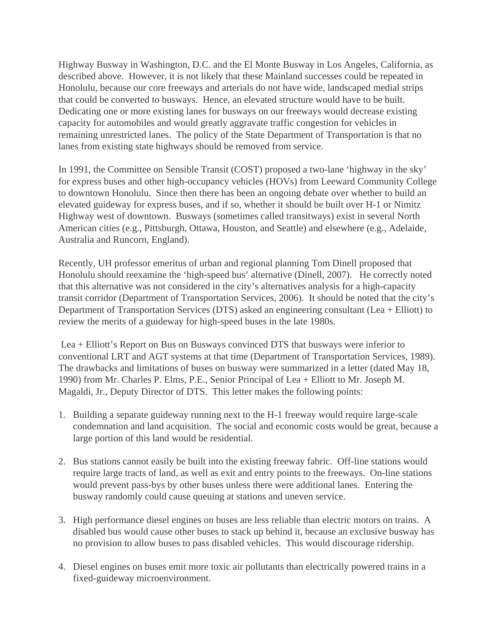Highway Busway in Washington, D.C. and the El Monte Busway in Los Angeles, California, as described above. However, it is not likely that these Mainland successes could be repeated in Honolulu, because our core freeways and arterials do not have wide, landscaped medial strips that could be converted to busways. Hence, an elevated structure would have to be built. Dedicating one or more existing lanes for busways on our freeways would decrease existing capacity for automobiles and would greatly aggravate traffic congestion for vehicles in remaining unrestricted lanes. The policy of the State Department of Transportation is that no lanes from existing state highways should be removed from service.

In 1991, the Committee on Sensible Transit (COST) proposed a two-lane 'highway in the sky' for express buses and other high-occupancy vehicles (HOVs) from Leeward Community College to downtown Honolulu. Since then there has been an ongoing debate over whether to build an elevated guideway for express buses, and if so, whether it should be built over H-1 or Nimitz Highway west of downtown. Busways (sometimes called transitways) exist in several North American cities (e.g., Pittsburgh, Ottawa, Houston, and Seattle) and elsewhere (e.g., Adelaide, Australia and Runcorn, England).

Recently, UH professor emeritus of urban and regional planning Tom Dinell proposed that Honolulu should reexamine the 'high-speed bus' alternative (Dinell, 2007). He correctly noted that this alternative was not considered in the city's alternatives analysis for a high-capacity transit corridor (Department of Transportation Services, 2006). It should be noted that the city's Department of Transportation Services (DTS) asked an engineering consultant (Lea + Elliott) to review the merits of a guideway for high-speed buses in the late 1980s.

 Lea + Elliott's Report on Bus on Busways convinced DTS that busways were inferior to conventional LRT and AGT systems at that time (Department of Transportation Services, 1989). The drawbacks and limitations of buses on busway were summarized in a letter (dated May 18, 1990) from Mr. Charles P. Elms, P.E., Senior Principal of Lea + Elliott to Mr. Joseph M. Magaldi, Jr., Deputy Director of DTS. This letter makes the following points:

- 1. Building a separate guideway running next to the H-1 freeway would require large-scale condemnation and land acquisition. The social and economic costs would be great, because a large portion of this land would be residential.
- 2. Bus stations cannot easily be built into the existing freeway fabric. Off-line stations would require large tracts of land, as well as exit and entry points to the freeways. On-line stations would prevent pass-bys by other buses unless there were additional lanes. Entering the busway randomly could cause queuing at stations and uneven service.
- 3. High performance diesel engines on buses are less reliable than electric motors on trains. A disabled bus would cause other buses to stack up behind it, because an exclusive busway has no provision to allow buses to pass disabled vehicles. This would discourage ridership.
- 4. Diesel engines on buses emit more toxic air pollutants than electrically powered trains in a fixed-guideway microenvironment.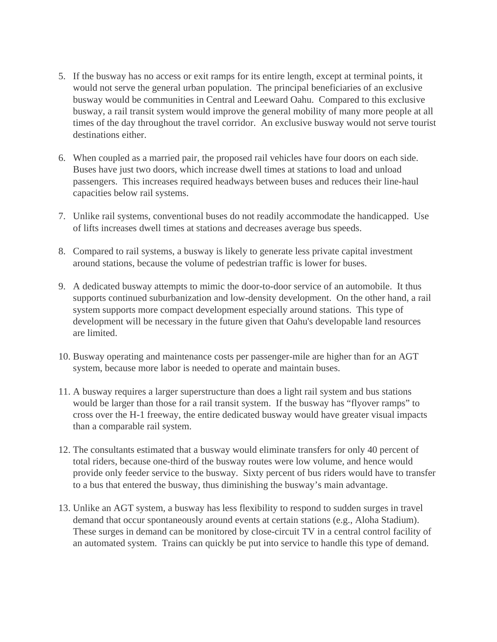- 5. If the busway has no access or exit ramps for its entire length, except at terminal points, it would not serve the general urban population. The principal beneficiaries of an exclusive busway would be communities in Central and Leeward Oahu. Compared to this exclusive busway, a rail transit system would improve the general mobility of many more people at all times of the day throughout the travel corridor. An exclusive busway would not serve tourist destinations either.
- 6. When coupled as a married pair, the proposed rail vehicles have four doors on each side. Buses have just two doors, which increase dwell times at stations to load and unload passengers. This increases required headways between buses and reduces their line-haul capacities below rail systems.
- 7. Unlike rail systems, conventional buses do not readily accommodate the handicapped. Use of lifts increases dwell times at stations and decreases average bus speeds.
- 8. Compared to rail systems, a busway is likely to generate less private capital investment around stations, because the volume of pedestrian traffic is lower for buses.
- 9. A dedicated busway attempts to mimic the door-to-door service of an automobile. It thus supports continued suburbanization and low-density development. On the other hand, a rail system supports more compact development especially around stations. This type of development will be necessary in the future given that Oahu's developable land resources are limited.
- 10. Busway operating and maintenance costs per passenger-mile are higher than for an AGT system, because more labor is needed to operate and maintain buses.
- 11. A busway requires a larger superstructure than does a light rail system and bus stations would be larger than those for a rail transit system. If the busway has "flyover ramps" to cross over the H-1 freeway, the entire dedicated busway would have greater visual impacts than a comparable rail system.
- 12. The consultants estimated that a busway would eliminate transfers for only 40 percent of total riders, because one-third of the busway routes were low volume, and hence would provide only feeder service to the busway. Sixty percent of bus riders would have to transfer to a bus that entered the busway, thus diminishing the busway's main advantage.
- 13. Unlike an AGT system, a busway has less flexibility to respond to sudden surges in travel demand that occur spontaneously around events at certain stations (e.g., Aloha Stadium). These surges in demand can be monitored by close-circuit TV in a central control facility of an automated system. Trains can quickly be put into service to handle this type of demand.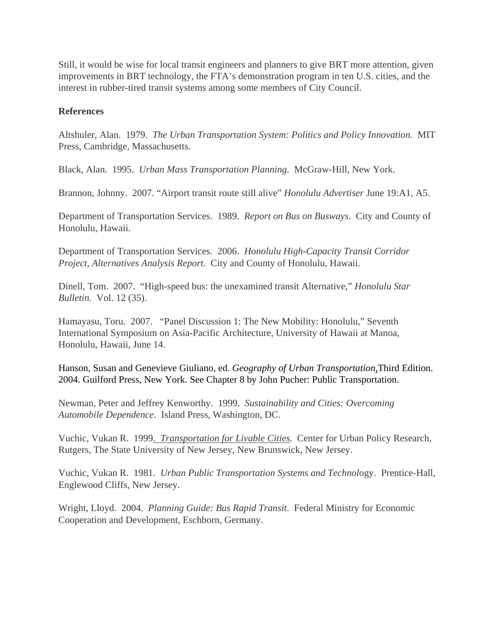Still, it would be wise for local transit engineers and planners to give BRT more attention, given improvements in BRT technology, the FTA's demonstration program in ten U.S. cities, and the interest in rubber-tired transit systems among some members of City Council.

## **References**

Altshuler, Alan. 1979. *The Urban Transportation System: Politics and Policy Innovation.* MIT Press, Cambridge, Massachusetts.

Black, Alan. 1995. *Urban Mass Transportation Planning.* McGraw-Hill, New York.

Brannon, Johnny. 2007. "Airport transit route still alive" *Honolulu Advertiser* June 19:A1, A5.

Department of Transportation Services. 1989. *Report on Bus on Busways*. City and County of Honolulu, Hawaii.

Department of Transportation Services. 2006. *Honolulu High-Capacity Transit Corridor Project, Alternatives Analysis Report.* City and County of Honolulu, Hawaii.

Dinell, Tom. 2007. "High-speed bus: the unexamined transit Alternative," *Honolulu Star Bulletin.* Vol. 12 (35).

Hamayasu, Toru. 2007. "Panel Discussion 1: The New Mobility: Honolulu," Seventh International Symposium on Asia-Pacific Architecture, University of Hawaii at Manoa, Honolulu, Hawaii, June 14.

Hanson, Susan and Genevieve Giuliano, ed. *Geography of Urban Transportation*,Third Edition. 2004. Guilford Press, New York. See Chapter 8 by John Pucher: Public Transportation.

Newman, Peter and Jeffrey Kenworthy. 1999. *Sustainability and Cities: Overcoming Automobile Dependence*. Island Press, Washington, DC.

Vuchic, Vukan R. 1999*. Transportation for Livable Cities*. Center for Urban Policy Research, Rutgers, The State University of New Jersey, New Brunswick, New Jersey.

Vuchic, Vukan R. 1981. *Urban Public Transportation Systems and Technol*ogy. Prentice-Hall, Englewood Cliffs, New Jersey.

Wright, Lloyd. 2004. *Planning Guide: Bus Rapid Transit*. Federal Ministry for Economic Cooperation and Development, Eschborn, Germany.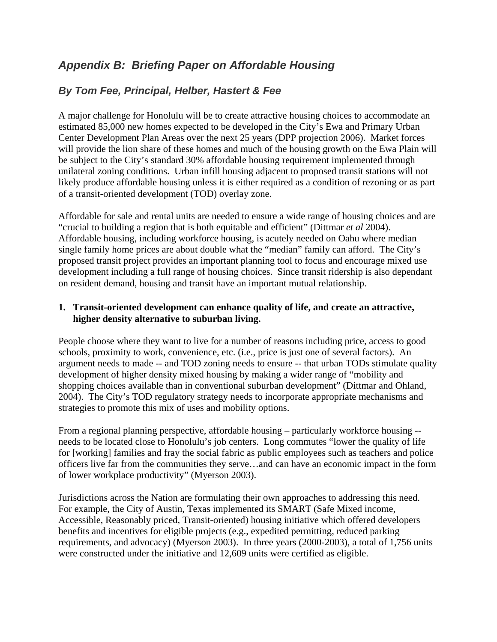# *Appendix B: Briefing Paper on Affordable Housing*

## *By Tom Fee, Principal, Helber, Hastert & Fee*

A major challenge for Honolulu will be to create attractive housing choices to accommodate an estimated 85,000 new homes expected to be developed in the City's Ewa and Primary Urban Center Development Plan Areas over the next 25 years (DPP projection 2006). Market forces will provide the lion share of these homes and much of the housing growth on the Ewa Plain will be subject to the City's standard 30% affordable housing requirement implemented through unilateral zoning conditions. Urban infill housing adjacent to proposed transit stations will not likely produce affordable housing unless it is either required as a condition of rezoning or as part of a transit-oriented development (TOD) overlay zone.

Affordable for sale and rental units are needed to ensure a wide range of housing choices and are "crucial to building a region that is both equitable and efficient" (Dittmar *et al* 2004). Affordable housing, including workforce housing, is acutely needed on Oahu where median single family home prices are about double what the "median" family can afford. The City's proposed transit project provides an important planning tool to focus and encourage mixed use development including a full range of housing choices. Since transit ridership is also dependant on resident demand, housing and transit have an important mutual relationship.

## **1. Transit-oriented development can enhance quality of life, and create an attractive, higher density alternative to suburban living.**

People choose where they want to live for a number of reasons including price, access to good schools, proximity to work, convenience, etc. (i.e., price is just one of several factors). An argument needs to made -- and TOD zoning needs to ensure -- that urban TODs stimulate quality development of higher density mixed housing by making a wider range of "mobility and shopping choices available than in conventional suburban development" (Dittmar and Ohland, 2004). The City's TOD regulatory strategy needs to incorporate appropriate mechanisms and strategies to promote this mix of uses and mobility options.

From a regional planning perspective, affordable housing – particularly workforce housing - needs to be located close to Honolulu's job centers. Long commutes "lower the quality of life for [working] families and fray the social fabric as public employees such as teachers and police officers live far from the communities they serve…and can have an economic impact in the form of lower workplace productivity" (Myerson 2003).

Jurisdictions across the Nation are formulating their own approaches to addressing this need. For example, the City of Austin, Texas implemented its SMART (Safe Mixed income, Accessible, Reasonably priced, Transit-oriented) housing initiative which offered developers benefits and incentives for eligible projects (e.g., expedited permitting, reduced parking requirements, and advocacy) (Myerson 2003). In three years (2000-2003), a total of 1,756 units were constructed under the initiative and 12,609 units were certified as eligible.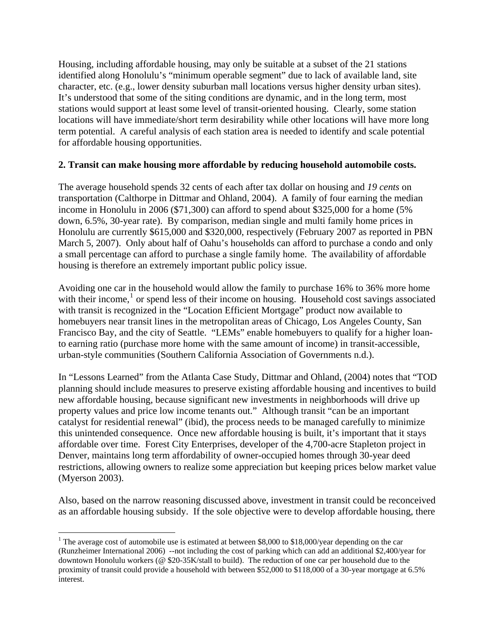Housing, including affordable housing, may only be suitable at a subset of the 21 stations identified along Honolulu's "minimum operable segment" due to lack of available land, site character, etc. (e.g., lower density suburban mall locations versus higher density urban sites). It's understood that some of the siting conditions are dynamic, and in the long term, most stations would support at least some level of transit-oriented housing. Clearly, some station locations will have immediate/short term desirability while other locations will have more long term potential. A careful analysis of each station area is needed to identify and scale potential for affordable housing opportunities.

## **2. Transit can make housing more affordable by reducing household automobile costs.**

The average household spends 32 cents of each after tax dollar on housing and *19 cents* on transportation (Calthorpe in Dittmar and Ohland, 2004). A family of four earning the median income in Honolulu in 2006 (\$71,300) can afford to spend about \$325,000 for a home (5% down, 6.5%, 30-year rate). By comparison, median single and multi family home prices in Honolulu are currently \$615,000 and \$320,000, respectively (February 2007 as reported in PBN March 5, 2007). Only about half of Oahu's households can afford to purchase a condo and only a small percentage can afford to purchase a single family home. The availability of affordable housing is therefore an extremely important public policy issue.

Avoiding one car in the household would allow the family to purchase 16% to 36% more home with their income,<sup>[1](#page-39-0)</sup> or spend less of their income on housing. Household cost savings associated with transit is recognized in the "Location Efficient Mortgage" product now available to homebuyers near transit lines in the metropolitan areas of Chicago, Los Angeles County, San Francisco Bay, and the city of Seattle. "LEMs" enable homebuyers to qualify for a higher loanto earning ratio (purchase more home with the same amount of income) in transit-accessible, urban-style communities (Southern California Association of Governments n.d.).

In "Lessons Learned" from the Atlanta Case Study, Dittmar and Ohland, (2004) notes that "TOD planning should include measures to preserve existing affordable housing and incentives to build new affordable housing, because significant new investments in neighborhoods will drive up property values and price low income tenants out." Although transit "can be an important catalyst for residential renewal" (ibid), the process needs to be managed carefully to minimize this unintended consequence. Once new affordable housing is built, it's important that it stays affordable over time. Forest City Enterprises, developer of the 4,700-acre Stapleton project in Denver, maintains long term affordability of owner-occupied homes through 30-year deed restrictions, allowing owners to realize some appreciation but keeping prices below market value (Myerson 2003).

Also, based on the narrow reasoning discussed above, investment in transit could be reconceived as an affordable housing subsidy. If the sole objective were to develop affordable housing, there

 $\overline{a}$ 

<span id="page-39-0"></span><sup>&</sup>lt;sup>1</sup> The average cost of automobile use is estimated at between \$8,000 to \$18,000/year depending on the car (Runzheimer International 2006) --not including the cost of parking which can add an additional \$2,400/year for downtown Honolulu workers (@ \$20-35K/stall to build). The reduction of one car per household due to the proximity of transit could provide a household with between \$52,000 to \$118,000 of a 30-year mortgage at 6.5% interest.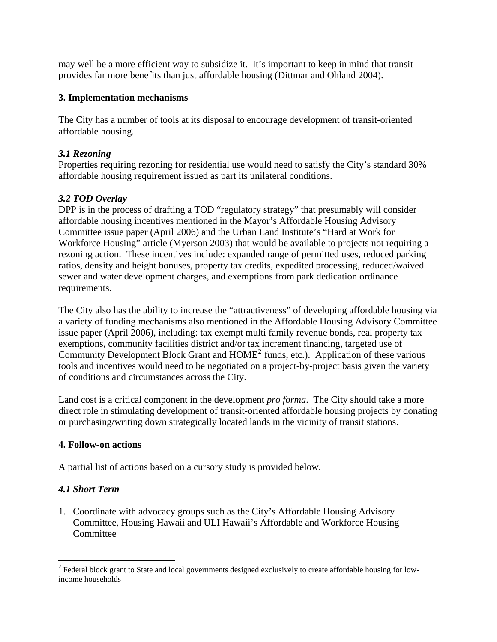may well be a more efficient way to subsidize it. It's important to keep in mind that transit provides far more benefits than just affordable housing (Dittmar and Ohland 2004).

## **3. Implementation mechanisms**

The City has a number of tools at its disposal to encourage development of transit-oriented affordable housing.

## *3.1 Rezoning*

Properties requiring rezoning for residential use would need to satisfy the City's standard 30% affordable housing requirement issued as part its unilateral conditions.

## *3.2 TOD Overlay*

DPP is in the process of drafting a TOD "regulatory strategy" that presumably will consider affordable housing incentives mentioned in the Mayor's Affordable Housing Advisory Committee issue paper (April 2006) and the Urban Land Institute's "Hard at Work for Workforce Housing" article (Myerson 2003) that would be available to projects not requiring a rezoning action. These incentives include: expanded range of permitted uses, reduced parking ratios, density and height bonuses, property tax credits, expedited processing, reduced/waived sewer and water development charges, and exemptions from park dedication ordinance requirements.

The City also has the ability to increase the "attractiveness" of developing affordable housing via a variety of funding mechanisms also mentioned in the Affordable Housing Advisory Committee issue paper (April 2006), including: tax exempt multi family revenue bonds, real property tax exemptions, community facilities district and/or tax increment financing, targeted use of Community Development Block Grant and  $HOME<sup>2</sup>$  $HOME<sup>2</sup>$  $HOME<sup>2</sup>$  funds, etc.). Application of these various tools and incentives would need to be negotiated on a project-by-project basis given the variety of conditions and circumstances across the City.

Land cost is a critical component in the development *pro forma*. The City should take a more direct role in stimulating development of transit-oriented affordable housing projects by donating or purchasing/writing down strategically located lands in the vicinity of transit stations.

## **4. Follow-on actions**

A partial list of actions based on a cursory study is provided below.

## *4.1 Short Term*

 $\overline{a}$ 

1. Coordinate with advocacy groups such as the City's Affordable Housing Advisory Committee, Housing Hawaii and ULI Hawaii's Affordable and Workforce Housing **Committee** 

<span id="page-40-0"></span> $2$  Federal block grant to State and local governments designed exclusively to create affordable housing for lowincome households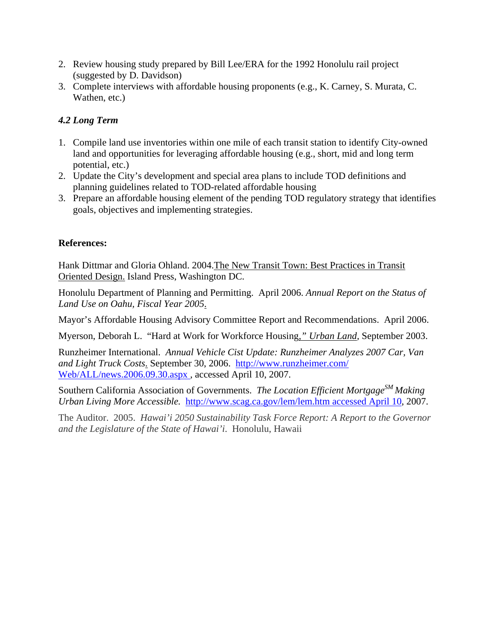- 2. Review housing study prepared by Bill Lee/ERA for the 1992 Honolulu rail project (suggested by D. Davidson)
- 3. Complete interviews with affordable housing proponents (e.g., K. Carney, S. Murata, C. Wathen, etc.)

## *4.2 Long Term*

- 1. Compile land use inventories within one mile of each transit station to identify City-owned land and opportunities for leveraging affordable housing (e.g., short, mid and long term potential, etc.)
- 2. Update the City's development and special area plans to include TOD definitions and planning guidelines related to TOD-related affordable housing
- 3. Prepare an affordable housing element of the pending TOD regulatory strategy that identifies goals, objectives and implementing strategies.

## **References:**

Hank Dittmar and Gloria Ohland. 2004.The New Transit Town: Best Practices in Transit Oriented Design. Island Press, Washington DC.

Honolulu Department of Planning and Permitting. April 2006. *Annual Report on the Status of Land Use on Oahu, Fiscal Year 2005*.

Mayor's Affordable Housing Advisory Committee Report and Recommendations. April 2006.

Myerson, Deborah L. "Hard at Work for Workforce Housing*," Urban Land,* September 2003.

Runzheimer International. *Annual Vehicle Cist Update: Runzheimer Analyzes 2007 Car, Van and Light Truck Costs*. September 30, 2006.[http://www.runzheimer.com/](http://www.runzheimer.com/Web/ALL/news.2006.09.30.aspx%20accessde%20April%2010)  [Web/ALL/news.2006.09.30.aspx](http://www.runzheimer.com/Web/ALL/news.2006.09.30.aspx%20accessde%20April%2010) *,* accessed April 10, 2007.

Southern California Association of Governments. *The Location Efficient Mortgage*<sup>SM</sup> Making *Urban Living More Accessible.* [http://www.scag.ca.gov/lem/lem.htm accessed April 10,](http://www.scag.ca.gov/lem/lem.htm%20accessed%20April%2010) 2007.

The Auditor. 2005. *Hawai'i 2050 Sustainability Task Force Report: A Report to the Governor and the Legislature of the State of Hawai'i*. Honolulu, Hawaii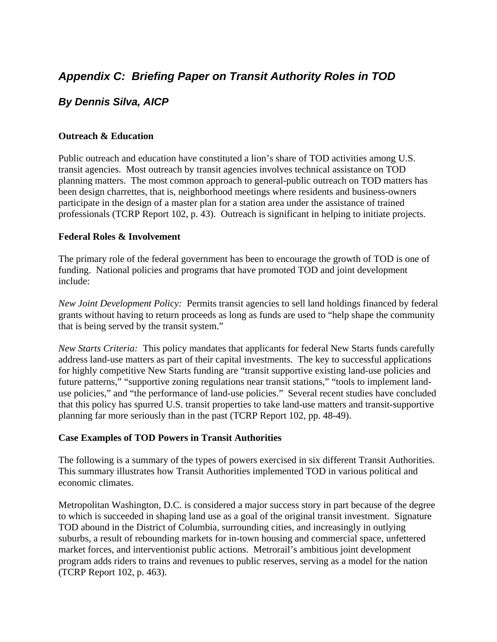# *Appendix C: Briefing Paper on Transit Authority Roles in TOD*

## *By Dennis Silva, AICP*

## **Outreach & Education**

Public outreach and education have constituted a lion's share of TOD activities among U.S. transit agencies. Most outreach by transit agencies involves technical assistance on TOD planning matters. The most common approach to general-public outreach on TOD matters has been design charrettes, that is, neighborhood meetings where residents and business-owners participate in the design of a master plan for a station area under the assistance of trained professionals (TCRP Report 102, p. 43). Outreach is significant in helping to initiate projects.

## **Federal Roles & Involvement**

The primary role of the federal government has been to encourage the growth of TOD is one of funding. National policies and programs that have promoted TOD and joint development include:

*New Joint Development Policy:* Permits transit agencies to sell land holdings financed by federal grants without having to return proceeds as long as funds are used to "help shape the community that is being served by the transit system."

*New Starts Criteria:* This policy mandates that applicants for federal New Starts funds carefully address land-use matters as part of their capital investments. The key to successful applications for highly competitive New Starts funding are "transit supportive existing land-use policies and future patterns," "supportive zoning regulations near transit stations," "tools to implement landuse policies," and "the performance of land-use policies." Several recent studies have concluded that this policy has spurred U.S. transit properties to take land-use matters and transit-supportive planning far more seriously than in the past (TCRP Report 102, pp. 48-49).

## **Case Examples of TOD Powers in Transit Authorities**

The following is a summary of the types of powers exercised in six different Transit Authorities. This summary illustrates how Transit Authorities implemented TOD in various political and economic climates.

Metropolitan Washington, D.C. is considered a major success story in part because of the degree to which is succeeded in shaping land use as a goal of the original transit investment. Signature TOD abound in the District of Columbia, surrounding cities, and increasingly in outlying suburbs, a result of rebounding markets for in-town housing and commercial space, unfettered market forces, and interventionist public actions. Metrorail's ambitious joint development program adds riders to trains and revenues to public reserves, serving as a model for the nation (TCRP Report 102, p. 463).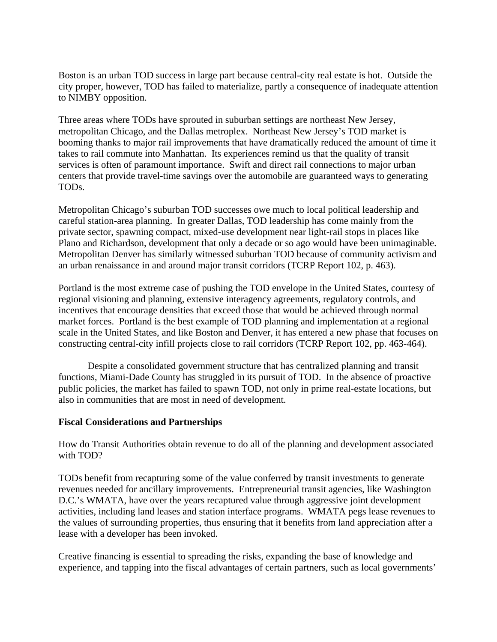Boston is an urban TOD success in large part because central-city real estate is hot. Outside the city proper, however, TOD has failed to materialize, partly a consequence of inadequate attention to NIMBY opposition.

Three areas where TODs have sprouted in suburban settings are northeast New Jersey, metropolitan Chicago, and the Dallas metroplex. Northeast New Jersey's TOD market is booming thanks to major rail improvements that have dramatically reduced the amount of time it takes to rail commute into Manhattan. Its experiences remind us that the quality of transit services is often of paramount importance. Swift and direct rail connections to major urban centers that provide travel-time savings over the automobile are guaranteed ways to generating TODs.

Metropolitan Chicago's suburban TOD successes owe much to local political leadership and careful station-area planning. In greater Dallas, TOD leadership has come mainly from the private sector, spawning compact, mixed-use development near light-rail stops in places like Plano and Richardson, development that only a decade or so ago would have been unimaginable. Metropolitan Denver has similarly witnessed suburban TOD because of community activism and an urban renaissance in and around major transit corridors (TCRP Report 102, p. 463).

Portland is the most extreme case of pushing the TOD envelope in the United States, courtesy of regional visioning and planning, extensive interagency agreements, regulatory controls, and incentives that encourage densities that exceed those that would be achieved through normal market forces. Portland is the best example of TOD planning and implementation at a regional scale in the United States, and like Boston and Denver, it has entered a new phase that focuses on constructing central-city infill projects close to rail corridors (TCRP Report 102, pp. 463-464).

Despite a consolidated government structure that has centralized planning and transit functions, Miami-Dade County has struggled in its pursuit of TOD. In the absence of proactive public policies, the market has failed to spawn TOD, not only in prime real-estate locations, but also in communities that are most in need of development.

## **Fiscal Considerations and Partnerships**

How do Transit Authorities obtain revenue to do all of the planning and development associated with TOD?

TODs benefit from recapturing some of the value conferred by transit investments to generate revenues needed for ancillary improvements. Entrepreneurial transit agencies, like Washington D.C.'s WMATA, have over the years recaptured value through aggressive joint development activities, including land leases and station interface programs. WMATA pegs lease revenues to the values of surrounding properties, thus ensuring that it benefits from land appreciation after a lease with a developer has been invoked.

Creative financing is essential to spreading the risks, expanding the base of knowledge and experience, and tapping into the fiscal advantages of certain partners, such as local governments'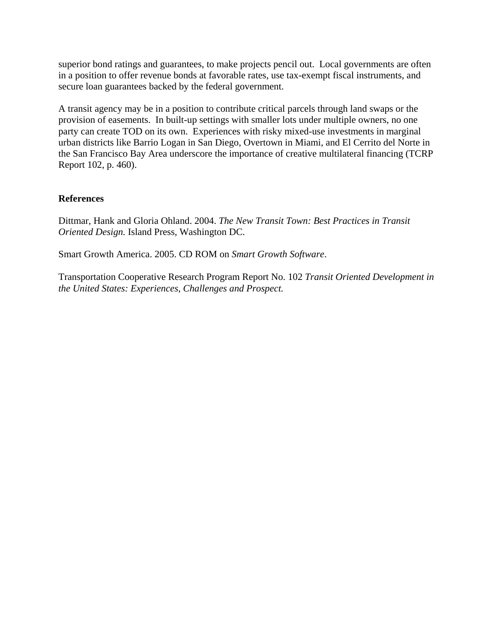superior bond ratings and guarantees, to make projects pencil out. Local governments are often in a position to offer revenue bonds at favorable rates, use tax-exempt fiscal instruments, and secure loan guarantees backed by the federal government.

A transit agency may be in a position to contribute critical parcels through land swaps or the provision of easements. In built-up settings with smaller lots under multiple owners, no one party can create TOD on its own. Experiences with risky mixed-use investments in marginal urban districts like Barrio Logan in San Diego, Overtown in Miami, and El Cerrito del Norte in the San Francisco Bay Area underscore the importance of creative multilateral financing (TCRP Report 102, p. 460).

## **References**

Dittmar, Hank and Gloria Ohland. 2004. *The New Transit Town: Best Practices in Transit Oriented Design.* Island Press, Washington DC.

Smart Growth America. 2005. CD ROM on *Smart Growth Software*.

Transportation Cooperative Research Program Report No. 102 *Transit Oriented Development in the United States: Experiences, Challenges and Prospect.*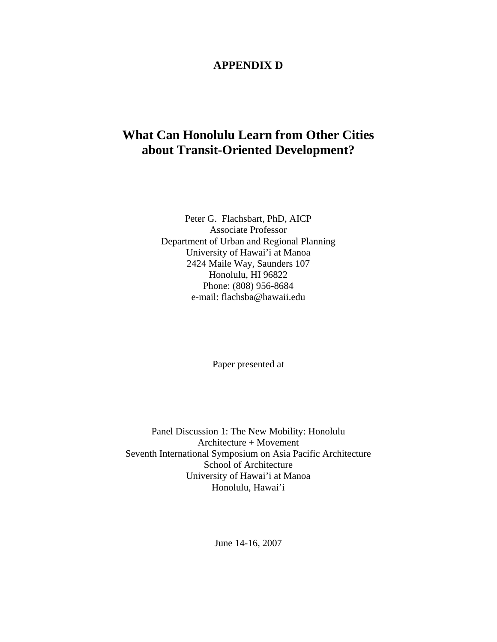## **APPENDIX D**

# **What Can Honolulu Learn from Other Cities about Transit-Oriented Development?**

Peter G. Flachsbart, PhD, AICP Associate Professor Department of Urban and Regional Planning University of Hawai'i at Manoa 2424 Maile Way, Saunders 107 Honolulu, HI 96822 Phone: (808) 956-8684 e-mail: flachsba@hawaii.edu

Paper presented at

Panel Discussion 1: The New Mobility: Honolulu Architecture + Movement Seventh International Symposium on Asia Pacific Architecture School of Architecture University of Hawai'i at Manoa Honolulu, Hawai'i

June 14-16, 2007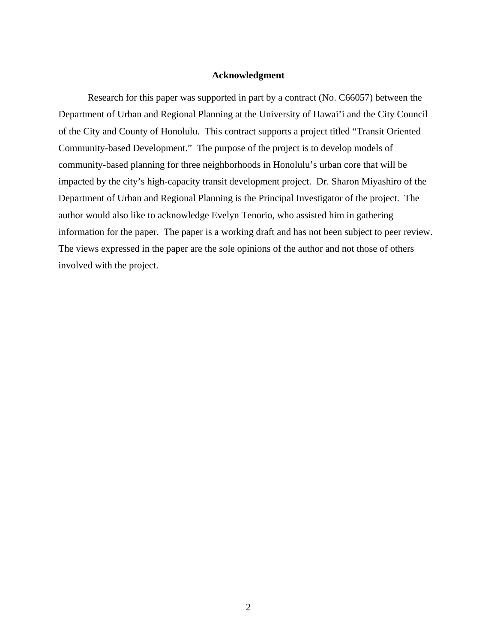#### **Acknowledgment**

Research for this paper was supported in part by a contract (No. C66057) between the Department of Urban and Regional Planning at the University of Hawai'i and the City Council of the City and County of Honolulu. This contract supports a project titled "Transit Oriented Community-based Development." The purpose of the project is to develop models of community-based planning for three neighborhoods in Honolulu's urban core that will be impacted by the city's high-capacity transit development project. Dr. Sharon Miyashiro of the Department of Urban and Regional Planning is the Principal Investigator of the project. The author would also like to acknowledge Evelyn Tenorio, who assisted him in gathering information for the paper. The paper is a working draft and has not been subject to peer review. The views expressed in the paper are the sole opinions of the author and not those of others involved with the project.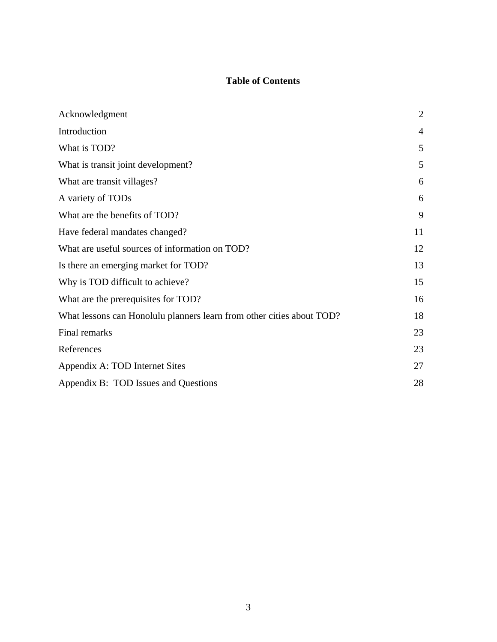## **Table of Contents**

| Acknowledgment                                                        | $\overline{2}$ |
|-----------------------------------------------------------------------|----------------|
| Introduction                                                          | $\overline{4}$ |
| What is TOD?                                                          | 5              |
| What is transit joint development?                                    | 5              |
| What are transit villages?                                            | 6              |
| A variety of TODs                                                     | 6              |
| What are the benefits of TOD?                                         | 9              |
| Have federal mandates changed?                                        | 11             |
| What are useful sources of information on TOD?                        | 12             |
| Is there an emerging market for TOD?                                  | 13             |
| Why is TOD difficult to achieve?                                      | 15             |
| What are the prerequisites for TOD?                                   | 16             |
| What lessons can Honolulu planners learn from other cities about TOD? | 18             |
| Final remarks                                                         | 23             |
| References                                                            | 23             |
| Appendix A: TOD Internet Sites                                        | 27             |
| Appendix B: TOD Issues and Questions                                  | 28             |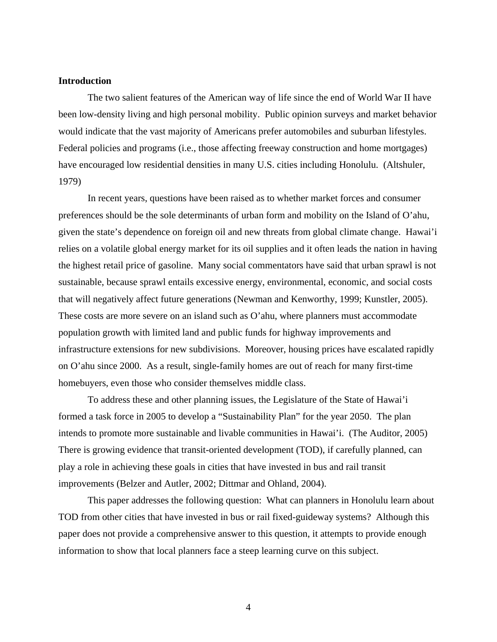#### **Introduction**

 The two salient features of the American way of life since the end of World War II have been low-density living and high personal mobility. Public opinion surveys and market behavior would indicate that the vast majority of Americans prefer automobiles and suburban lifestyles. Federal policies and programs (i.e., those affecting freeway construction and home mortgages) have encouraged low residential densities in many U.S. cities including Honolulu. (Altshuler, 1979)

In recent years, questions have been raised as to whether market forces and consumer preferences should be the sole determinants of urban form and mobility on the Island of O'ahu, given the state's dependence on foreign oil and new threats from global climate change. Hawai'i relies on a volatile global energy market for its oil supplies and it often leads the nation in having the highest retail price of gasoline. Many social commentators have said that urban sprawl is not sustainable, because sprawl entails excessive energy, environmental, economic, and social costs that will negatively affect future generations (Newman and Kenworthy, 1999; Kunstler, 2005). These costs are more severe on an island such as O'ahu, where planners must accommodate population growth with limited land and public funds for highway improvements and infrastructure extensions for new subdivisions. Moreover, housing prices have escalated rapidly on O'ahu since 2000. As a result, single-family homes are out of reach for many first-time homebuyers, even those who consider themselves middle class.

To address these and other planning issues, the Legislature of the State of Hawai'i formed a task force in 2005 to develop a "Sustainability Plan" for the year 2050. The plan intends to promote more sustainable and livable communities in Hawai'i. (The Auditor, 2005) There is growing evidence that transit-oriented development (TOD), if carefully planned, can play a role in achieving these goals in cities that have invested in bus and rail transit improvements (Belzer and Autler, 2002; Dittmar and Ohland, 2004).

This paper addresses the following question: What can planners in Honolulu learn about TOD from other cities that have invested in bus or rail fixed-guideway systems? Although this paper does not provide a comprehensive answer to this question, it attempts to provide enough information to show that local planners face a steep learning curve on this subject.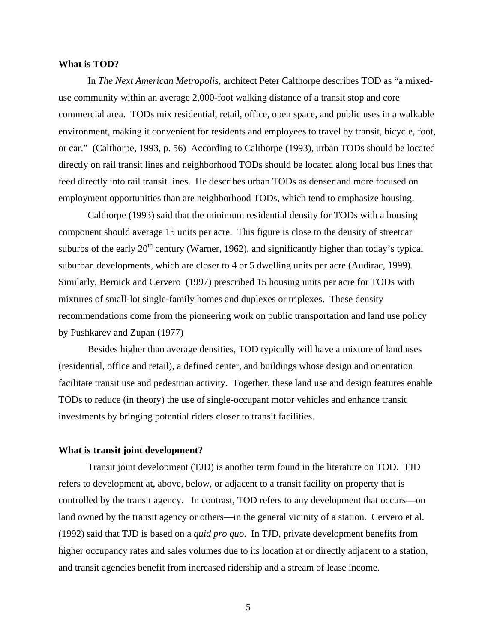#### **What is TOD?**

In *The Next American Metropolis*, architect Peter Calthorpe describes TOD as "a mixeduse community within an average 2,000-foot walking distance of a transit stop and core commercial area. TODs mix residential, retail, office, open space, and public uses in a walkable environment, making it convenient for residents and employees to travel by transit, bicycle, foot, or car." (Calthorpe, 1993, p. 56) According to Calthorpe (1993), urban TODs should be located directly on rail transit lines and neighborhood TODs should be located along local bus lines that feed directly into rail transit lines. He describes urban TODs as denser and more focused on employment opportunities than are neighborhood TODs, which tend to emphasize housing.

Calthorpe (1993) said that the minimum residential density for TODs with a housing component should average 15 units per acre. This figure is close to the density of streetcar suburbs of the early  $20<sup>th</sup>$  century (Warner, 1962), and significantly higher than today's typical suburban developments, which are closer to 4 or 5 dwelling units per acre (Audirac, 1999). Similarly, Bernick and Cervero (1997) prescribed 15 housing units per acre for TODs with mixtures of small-lot single-family homes and duplexes or triplexes. These density recommendations come from the pioneering work on public transportation and land use policy by Pushkarev and Zupan (1977)

Besides higher than average densities, TOD typically will have a mixture of land uses (residential, office and retail), a defined center, and buildings whose design and orientation facilitate transit use and pedestrian activity. Together, these land use and design features enable TODs to reduce (in theory) the use of single-occupant motor vehicles and enhance transit investments by bringing potential riders closer to transit facilities.

#### **What is transit joint development?**

Transit joint development (TJD) is another term found in the literature on TOD. TJD refers to development at, above, below, or adjacent to a transit facility on property that is controlled by the transit agency. In contrast, TOD refers to any development that occurs—on land owned by the transit agency or others—in the general vicinity of a station. Cervero et al. (1992) said that TJD is based on a *quid pro quo*. In TJD, private development benefits from higher occupancy rates and sales volumes due to its location at or directly adjacent to a station, and transit agencies benefit from increased ridership and a stream of lease income.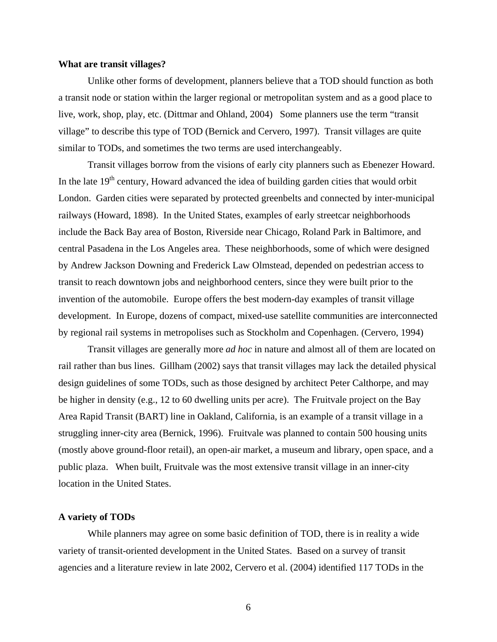#### **What are transit villages?**

Unlike other forms of development, planners believe that a TOD should function as both a transit node or station within the larger regional or metropolitan system and as a good place to live, work, shop, play, etc. (Dittmar and Ohland, 2004) Some planners use the term "transit village" to describe this type of TOD (Bernick and Cervero, 1997). Transit villages are quite similar to TODs, and sometimes the two terms are used interchangeably.

Transit villages borrow from the visions of early city planners such as Ebenezer Howard. In the late  $19<sup>th</sup>$  century, Howard advanced the idea of building garden cities that would orbit London. Garden cities were separated by protected greenbelts and connected by inter-municipal railways (Howard, 1898). In the United States, examples of early streetcar neighborhoods include the Back Bay area of Boston, Riverside near Chicago, Roland Park in Baltimore, and central Pasadena in the Los Angeles area. These neighborhoods, some of which were designed by Andrew Jackson Downing and Frederick Law Olmstead, depended on pedestrian access to transit to reach downtown jobs and neighborhood centers, since they were built prior to the invention of the automobile. Europe offers the best modern-day examples of transit village development. In Europe, dozens of compact, mixed-use satellite communities are interconnected by regional rail systems in metropolises such as Stockholm and Copenhagen. (Cervero, 1994)

Transit villages are generally more *ad hoc* in nature and almost all of them are located on rail rather than bus lines. Gillham (2002) says that transit villages may lack the detailed physical design guidelines of some TODs, such as those designed by architect Peter Calthorpe, and may be higher in density (e.g., 12 to 60 dwelling units per acre). The Fruitvale project on the Bay Area Rapid Transit (BART) line in Oakland, California, is an example of a transit village in a struggling inner-city area (Bernick, 1996). Fruitvale was planned to contain 500 housing units (mostly above ground-floor retail), an open-air market, a museum and library, open space, and a public plaza. When built, Fruitvale was the most extensive transit village in an inner-city location in the United States.

#### **A variety of TODs**

While planners may agree on some basic definition of TOD, there is in reality a wide variety of transit-oriented development in the United States. Based on a survey of transit agencies and a literature review in late 2002, Cervero et al. (2004) identified 117 TODs in the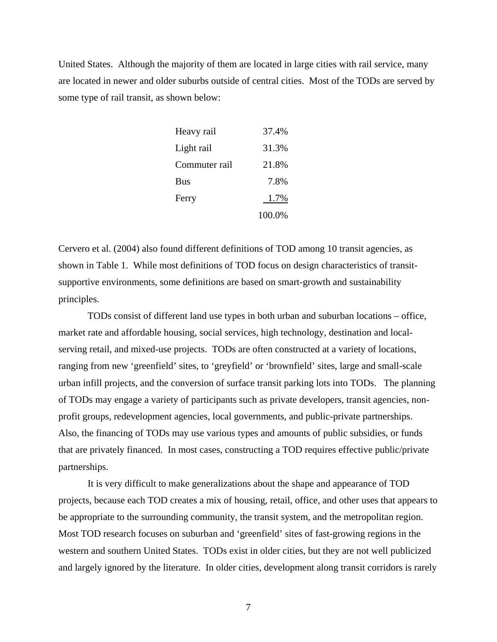United States. Although the majority of them are located in large cities with rail service, many are located in newer and older suburbs outside of central cities. Most of the TODs are served by some type of rail transit, as shown below:

| Heavy rail    | 37.4%  |
|---------------|--------|
| Light rail    | 31.3%  |
| Commuter rail | 21.8%  |
| <b>Bus</b>    | 7.8%   |
| Ferry         | 1.7%   |
|               | 100.0% |

Cervero et al. (2004) also found different definitions of TOD among 10 transit agencies, as shown in Table 1. While most definitions of TOD focus on design characteristics of transitsupportive environments, some definitions are based on smart-growth and sustainability principles.

TODs consist of different land use types in both urban and suburban locations – office, market rate and affordable housing, social services, high technology, destination and localserving retail, and mixed-use projects. TODs are often constructed at a variety of locations, ranging from new 'greenfield' sites, to 'greyfield' or 'brownfield' sites, large and small-scale urban infill projects, and the conversion of surface transit parking lots into TODs. The planning of TODs may engage a variety of participants such as private developers, transit agencies, nonprofit groups, redevelopment agencies, local governments, and public-private partnerships. Also, the financing of TODs may use various types and amounts of public subsidies, or funds that are privately financed. In most cases, constructing a TOD requires effective public/private partnerships.

It is very difficult to make generalizations about the shape and appearance of TOD projects, because each TOD creates a mix of housing, retail, office, and other uses that appears to be appropriate to the surrounding community, the transit system, and the metropolitan region. Most TOD research focuses on suburban and 'greenfield' sites of fast-growing regions in the western and southern United States. TODs exist in older cities, but they are not well publicized and largely ignored by the literature. In older cities, development along transit corridors is rarely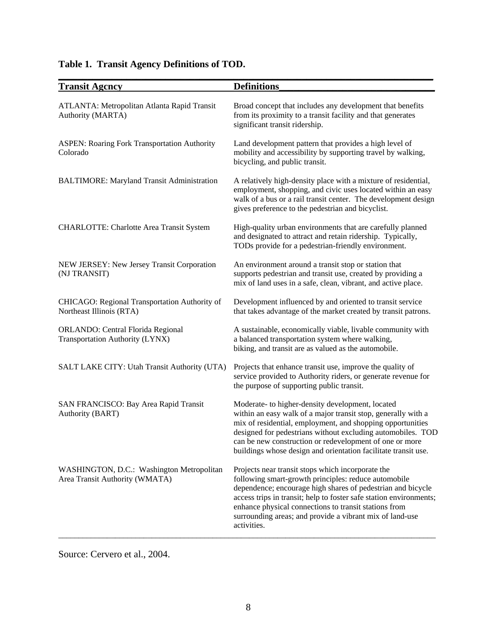| <b>Transit Agency</b>                                                       | <b>Definitions</b>                                                                                                                                                                                                                                                                                                                                                                 |
|-----------------------------------------------------------------------------|------------------------------------------------------------------------------------------------------------------------------------------------------------------------------------------------------------------------------------------------------------------------------------------------------------------------------------------------------------------------------------|
| ATLANTA: Metropolitan Atlanta Rapid Transit<br>Authority (MARTA)            | Broad concept that includes any development that benefits<br>from its proximity to a transit facility and that generates<br>significant transit ridership.                                                                                                                                                                                                                         |
| <b>ASPEN: Roaring Fork Transportation Authority</b><br>Colorado             | Land development pattern that provides a high level of<br>mobility and accessibility by supporting travel by walking,<br>bicycling, and public transit.                                                                                                                                                                                                                            |
| <b>BALTIMORE: Maryland Transit Administration</b>                           | A relatively high-density place with a mixture of residential,<br>employment, shopping, and civic uses located within an easy<br>walk of a bus or a rail transit center. The development design<br>gives preference to the pedestrian and bicyclist.                                                                                                                               |
| CHARLOTTE: Charlotte Area Transit System                                    | High-quality urban environments that are carefully planned<br>and designated to attract and retain ridership. Typically,<br>TODs provide for a pedestrian-friendly environment.                                                                                                                                                                                                    |
| NEW JERSEY: New Jersey Transit Corporation<br>(NJ TRANSIT)                  | An environment around a transit stop or station that<br>supports pedestrian and transit use, created by providing a<br>mix of land uses in a safe, clean, vibrant, and active place.                                                                                                                                                                                               |
| CHICAGO: Regional Transportation Authority of<br>Northeast Illinois (RTA)   | Development influenced by and oriented to transit service<br>that takes advantage of the market created by transit patrons.                                                                                                                                                                                                                                                        |
| ORLANDO: Central Florida Regional<br>Transportation Authority (LYNX)        | A sustainable, economically viable, livable community with<br>a balanced transportation system where walking,<br>biking, and transit are as valued as the automobile.                                                                                                                                                                                                              |
| SALT LAKE CITY: Utah Transit Authority (UTA)                                | Projects that enhance transit use, improve the quality of<br>service provided to Authority riders, or generate revenue for<br>the purpose of supporting public transit.                                                                                                                                                                                                            |
| SAN FRANCISCO: Bay Area Rapid Transit<br>Authority (BART)                   | Moderate- to higher-density development, located<br>within an easy walk of a major transit stop, generally with a<br>mix of residential, employment, and shopping opportunities<br>designed for pedestrians without excluding automobiles. TOD<br>can be new construction or redevelopment of one or more<br>buildings whose design and orientation facilitate transit use.        |
| WASHINGTON, D.C.: Washington Metropolitan<br>Area Transit Authority (WMATA) | Projects near transit stops which incorporate the<br>following smart-growth principles: reduce automobile<br>dependence; encourage high shares of pedestrian and bicycle<br>access trips in transit; help to foster safe station environments;<br>enhance physical connections to transit stations from<br>surrounding areas; and provide a vibrant mix of land-use<br>activities. |

# **Table 1. Transit Agency Definitions of TOD.**

Source: Cervero et al., 2004.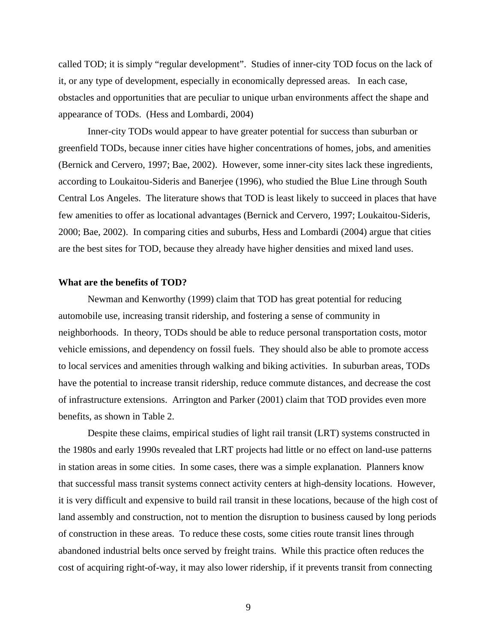called TOD; it is simply "regular development". Studies of inner-city TOD focus on the lack of it, or any type of development, especially in economically depressed areas. In each case, obstacles and opportunities that are peculiar to unique urban environments affect the shape and appearance of TODs. (Hess and Lombardi, 2004)

Inner-city TODs would appear to have greater potential for success than suburban or greenfield TODs, because inner cities have higher concentrations of homes, jobs, and amenities (Bernick and Cervero, 1997; Bae, 2002). However, some inner-city sites lack these ingredients, according to Loukaitou-Sideris and Banerjee (1996), who studied the Blue Line through South Central Los Angeles. The literature shows that TOD is least likely to succeed in places that have few amenities to offer as locational advantages (Bernick and Cervero, 1997; Loukaitou-Sideris, 2000; Bae, 2002). In comparing cities and suburbs, Hess and Lombardi (2004) argue that cities are the best sites for TOD, because they already have higher densities and mixed land uses.

#### **What are the benefits of TOD?**

Newman and Kenworthy (1999) claim that TOD has great potential for reducing automobile use, increasing transit ridership, and fostering a sense of community in neighborhoods. In theory, TODs should be able to reduce personal transportation costs, motor vehicle emissions, and dependency on fossil fuels. They should also be able to promote access to local services and amenities through walking and biking activities. In suburban areas, TODs have the potential to increase transit ridership, reduce commute distances, and decrease the cost of infrastructure extensions. Arrington and Parker (2001) claim that TOD provides even more benefits, as shown in Table 2.

Despite these claims, empirical studies of light rail transit (LRT) systems constructed in the 1980s and early 1990s revealed that LRT projects had little or no effect on land-use patterns in station areas in some cities. In some cases, there was a simple explanation. Planners know that successful mass transit systems connect activity centers at high-density locations. However, it is very difficult and expensive to build rail transit in these locations, because of the high cost of land assembly and construction, not to mention the disruption to business caused by long periods of construction in these areas. To reduce these costs, some cities route transit lines through abandoned industrial belts once served by freight trains. While this practice often reduces the cost of acquiring right-of-way, it may also lower ridership, if it prevents transit from connecting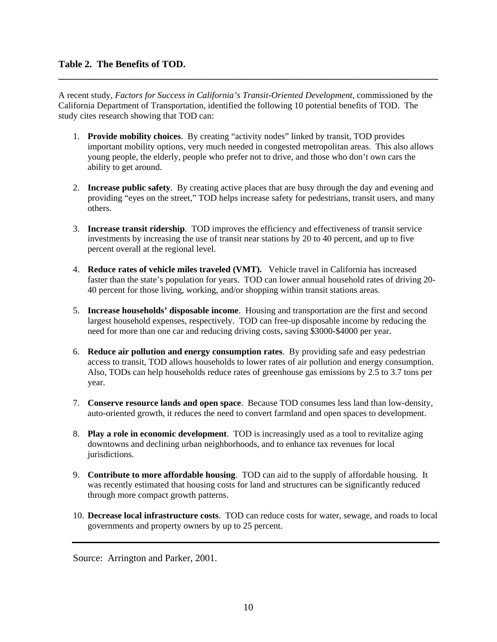A recent study, *Factors for Success in California's Transit-Oriented Development*, commissioned by the California Department of Transportation, identified the following 10 potential benefits of TOD. The study cites research showing that TOD can:

**\_\_\_\_\_\_\_\_\_\_\_\_\_\_\_\_\_\_\_\_\_\_\_\_\_\_\_\_\_\_\_\_\_\_\_\_\_\_\_\_\_\_\_\_\_\_\_\_\_\_\_\_\_\_\_\_\_\_\_\_\_\_\_\_\_\_\_\_\_\_\_\_\_\_\_\_\_\_** 

- 1. **Provide mobility choices**. By creating "activity nodes" linked by transit, TOD provides important mobility options, very much needed in congested metropolitan areas. This also allows young people, the elderly, people who prefer not to drive, and those who don't own cars the ability to get around.
- 2. **Increase public safety**. By creating active places that are busy through the day and evening and providing "eyes on the street," TOD helps increase safety for pedestrians, transit users, and many others.
- 3. **Increase transit ridership**. TOD improves the efficiency and effectiveness of transit service investments by increasing the use of transit near stations by 20 to 40 percent, and up to five percent overall at the regional level.
- 4. **Reduce rates of vehicle miles traveled (VMT).** Vehicle travel in California has increased faster than the state's population for years. TOD can lower annual household rates of driving 20- 40 percent for those living, working, and/or shopping within transit stations areas.
- 5. **Increase households' disposable income**. Housing and transportation are the first and second largest household expenses, respectively. TOD can free-up disposable income by reducing the need for more than one car and reducing driving costs, saving \$3000-\$4000 per year.
- 6. **Reduce air pollution and energy consumption rates**. By providing safe and easy pedestrian access to transit, TOD allows households to lower rates of air pollution and energy consumption. Also, TODs can help households reduce rates of greenhouse gas emissions by 2.5 to 3.7 tons per year.
- 7. **Conserve resource lands and open space**. Because TOD consumes less land than low-density, auto-oriented growth, it reduces the need to convert farmland and open spaces to development.
- 8. **Play a role in economic development**. TOD is increasingly used as a tool to revitalize aging downtowns and declining urban neighborhoods, and to enhance tax revenues for local jurisdictions.
- 9. **Contribute to more affordable housing**. TOD can aid to the supply of affordable housing. It was recently estimated that housing costs for land and structures can be significantly reduced through more compact growth patterns.
- 10. **Decrease local infrastructure costs**. TOD can reduce costs for water, sewage, and roads to local governments and property owners by up to 25 percent.

Source: Arrington and Parker, 2001.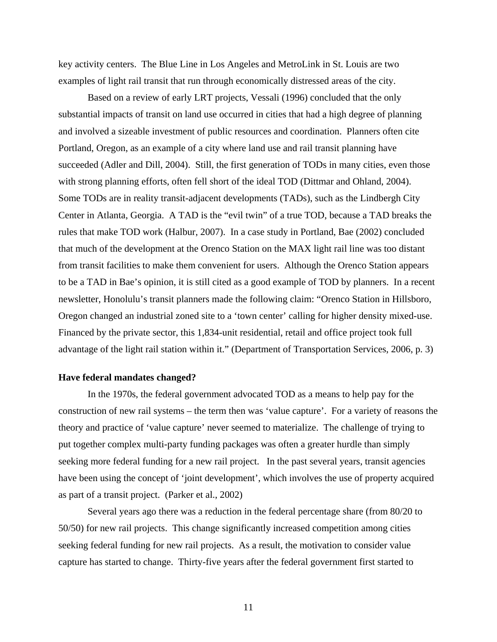key activity centers. The Blue Line in Los Angeles and MetroLink in St. Louis are two examples of light rail transit that run through economically distressed areas of the city.

Based on a review of early LRT projects, Vessali (1996) concluded that the only substantial impacts of transit on land use occurred in cities that had a high degree of planning and involved a sizeable investment of public resources and coordination. Planners often cite Portland, Oregon, as an example of a city where land use and rail transit planning have succeeded (Adler and Dill, 2004). Still, the first generation of TODs in many cities, even those with strong planning efforts, often fell short of the ideal TOD (Dittmar and Ohland, 2004). Some TODs are in reality transit-adjacent developments (TADs), such as the Lindbergh City Center in Atlanta, Georgia. A TAD is the "evil twin" of a true TOD, because a TAD breaks the rules that make TOD work (Halbur, 2007). In a case study in Portland, Bae (2002) concluded that much of the development at the Orenco Station on the MAX light rail line was too distant from transit facilities to make them convenient for users. Although the Orenco Station appears to be a TAD in Bae's opinion, it is still cited as a good example of TOD by planners. In a recent newsletter, Honolulu's transit planners made the following claim: "Orenco Station in Hillsboro, Oregon changed an industrial zoned site to a 'town center' calling for higher density mixed-use. Financed by the private sector, this 1,834-unit residential, retail and office project took full advantage of the light rail station within it." (Department of Transportation Services, 2006, p. 3)

#### **Have federal mandates changed?**

In the 1970s, the federal government advocated TOD as a means to help pay for the construction of new rail systems – the term then was 'value capture'. For a variety of reasons the theory and practice of 'value capture' never seemed to materialize. The challenge of trying to put together complex multi-party funding packages was often a greater hurdle than simply seeking more federal funding for a new rail project. In the past several years, transit agencies have been using the concept of 'joint development', which involves the use of property acquired as part of a transit project. (Parker et al., 2002)

Several years ago there was a reduction in the federal percentage share (from 80/20 to 50/50) for new rail projects. This change significantly increased competition among cities seeking federal funding for new rail projects. As a result, the motivation to consider value capture has started to change. Thirty-five years after the federal government first started to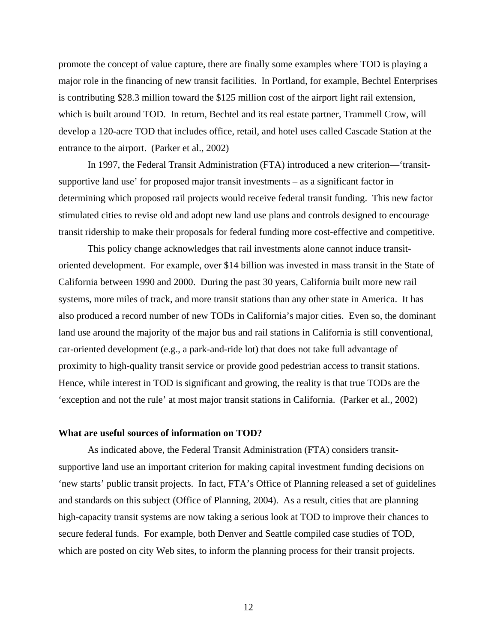promote the concept of value capture, there are finally some examples where TOD is playing a major role in the financing of new transit facilities. In Portland, for example, Bechtel Enterprises is contributing \$28.3 million toward the \$125 million cost of the airport light rail extension, which is built around TOD. In return, Bechtel and its real estate partner, Trammell Crow, will develop a 120-acre TOD that includes office, retail, and hotel uses called Cascade Station at the entrance to the airport. (Parker et al., 2002)

In 1997, the Federal Transit Administration (FTA) introduced a new criterion—'transitsupportive land use' for proposed major transit investments – as a significant factor in determining which proposed rail projects would receive federal transit funding. This new factor stimulated cities to revise old and adopt new land use plans and controls designed to encourage transit ridership to make their proposals for federal funding more cost-effective and competitive.

This policy change acknowledges that rail investments alone cannot induce transitoriented development. For example, over \$14 billion was invested in mass transit in the State of California between 1990 and 2000. During the past 30 years, California built more new rail systems, more miles of track, and more transit stations than any other state in America. It has also produced a record number of new TODs in California's major cities. Even so, the dominant land use around the majority of the major bus and rail stations in California is still conventional, car-oriented development (e.g., a park-and-ride lot) that does not take full advantage of proximity to high-quality transit service or provide good pedestrian access to transit stations. Hence, while interest in TOD is significant and growing, the reality is that true TODs are the 'exception and not the rule' at most major transit stations in California. (Parker et al., 2002)

#### **What are useful sources of information on TOD?**

As indicated above, the Federal Transit Administration (FTA) considers transitsupportive land use an important criterion for making capital investment funding decisions on 'new starts' public transit projects. In fact, FTA's Office of Planning released a set of guidelines and standards on this subject (Office of Planning, 2004). As a result, cities that are planning high-capacity transit systems are now taking a serious look at TOD to improve their chances to secure federal funds. For example, both Denver and Seattle compiled case studies of TOD, which are posted on city Web sites, to inform the planning process for their transit projects.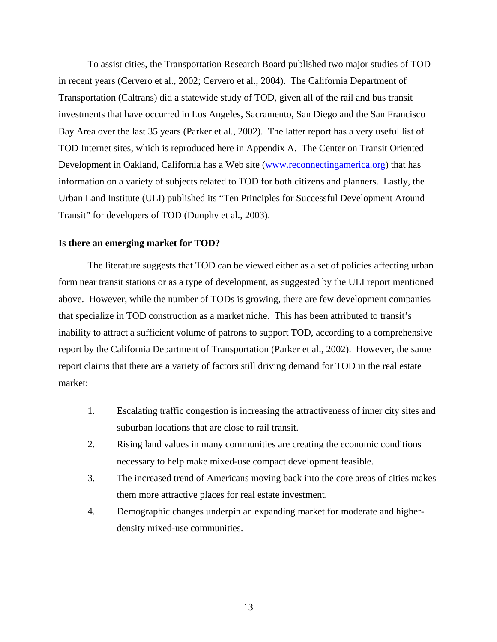To assist cities, the Transportation Research Board published two major studies of TOD in recent years (Cervero et al., 2002; Cervero et al., 2004). The California Department of Transportation (Caltrans) did a statewide study of TOD, given all of the rail and bus transit investments that have occurred in Los Angeles, Sacramento, San Diego and the San Francisco Bay Area over the last 35 years (Parker et al., 2002). The latter report has a very useful list of TOD Internet sites, which is reproduced here in Appendix A. The Center on Transit Oriented Development in Oakland, California has a Web site [\(www.reconnectingamerica.org\)](http://www.reconnectingamerica.org/) that has information on a variety of subjects related to TOD for both citizens and planners. Lastly, the Urban Land Institute (ULI) published its "Ten Principles for Successful Development Around Transit" for developers of TOD (Dunphy et al., 2003).

#### **Is there an emerging market for TOD?**

The literature suggests that TOD can be viewed either as a set of policies affecting urban form near transit stations or as a type of development, as suggested by the ULI report mentioned above. However, while the number of TODs is growing, there are few development companies that specialize in TOD construction as a market niche. This has been attributed to transit's inability to attract a sufficient volume of patrons to support TOD, according to a comprehensive report by the California Department of Transportation (Parker et al., 2002). However, the same report claims that there are a variety of factors still driving demand for TOD in the real estate market:

- 1. Escalating traffic congestion is increasing the attractiveness of inner city sites and suburban locations that are close to rail transit.
- 2. Rising land values in many communities are creating the economic conditions necessary to help make mixed-use compact development feasible.
- 3. The increased trend of Americans moving back into the core areas of cities makes them more attractive places for real estate investment.
- 4. Demographic changes underpin an expanding market for moderate and higherdensity mixed-use communities.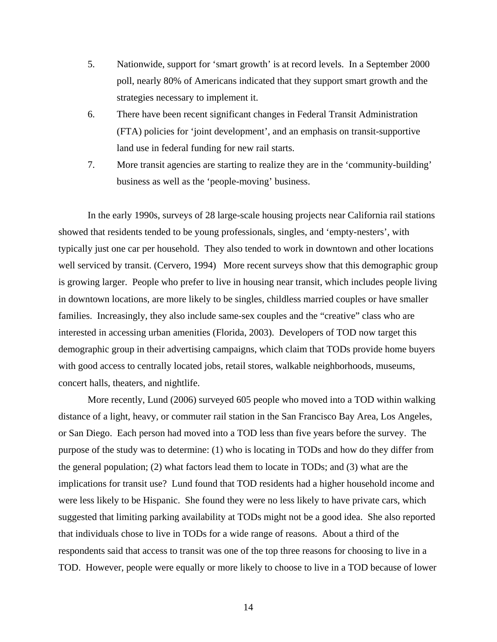- 5. Nationwide, support for 'smart growth' is at record levels. In a September 2000 poll, nearly 80% of Americans indicated that they support smart growth and the strategies necessary to implement it.
- 6. There have been recent significant changes in Federal Transit Administration (FTA) policies for 'joint development', and an emphasis on transit-supportive land use in federal funding for new rail starts.
- 7. More transit agencies are starting to realize they are in the 'community-building' business as well as the 'people-moving' business.

In the early 1990s, surveys of 28 large-scale housing projects near California rail stations showed that residents tended to be young professionals, singles, and 'empty-nesters', with typically just one car per household. They also tended to work in downtown and other locations well serviced by transit. (Cervero, 1994) More recent surveys show that this demographic group is growing larger. People who prefer to live in housing near transit, which includes people living in downtown locations, are more likely to be singles, childless married couples or have smaller families. Increasingly, they also include same-sex couples and the "creative" class who are interested in accessing urban amenities (Florida, 2003). Developers of TOD now target this demographic group in their advertising campaigns, which claim that TODs provide home buyers with good access to centrally located jobs, retail stores, walkable neighborhoods, museums, concert halls, theaters, and nightlife.

 More recently, Lund (2006) surveyed 605 people who moved into a TOD within walking distance of a light, heavy, or commuter rail station in the San Francisco Bay Area, Los Angeles, or San Diego. Each person had moved into a TOD less than five years before the survey. The purpose of the study was to determine: (1) who is locating in TODs and how do they differ from the general population; (2) what factors lead them to locate in TODs; and (3) what are the implications for transit use? Lund found that TOD residents had a higher household income and were less likely to be Hispanic. She found they were no less likely to have private cars, which suggested that limiting parking availability at TODs might not be a good idea. She also reported that individuals chose to live in TODs for a wide range of reasons. About a third of the respondents said that access to transit was one of the top three reasons for choosing to live in a TOD. However, people were equally or more likely to choose to live in a TOD because of lower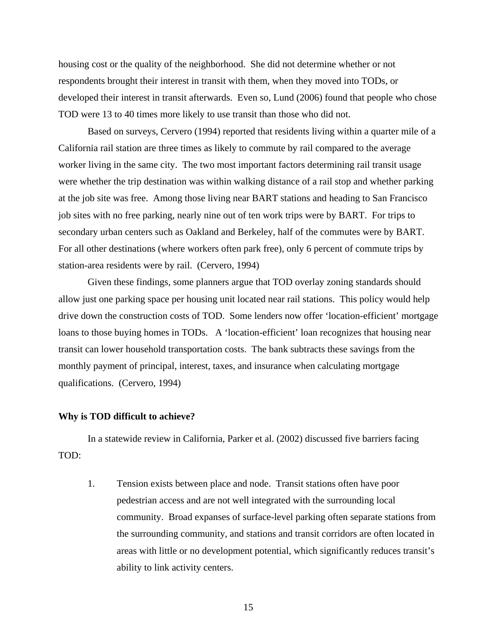housing cost or the quality of the neighborhood. She did not determine whether or not respondents brought their interest in transit with them, when they moved into TODs, or developed their interest in transit afterwards. Even so, Lund (2006) found that people who chose TOD were 13 to 40 times more likely to use transit than those who did not.

Based on surveys, Cervero (1994) reported that residents living within a quarter mile of a California rail station are three times as likely to commute by rail compared to the average worker living in the same city. The two most important factors determining rail transit usage were whether the trip destination was within walking distance of a rail stop and whether parking at the job site was free. Among those living near BART stations and heading to San Francisco job sites with no free parking, nearly nine out of ten work trips were by BART. For trips to secondary urban centers such as Oakland and Berkeley, half of the commutes were by BART. For all other destinations (where workers often park free), only 6 percent of commute trips by station-area residents were by rail. (Cervero, 1994)

Given these findings, some planners argue that TOD overlay zoning standards should allow just one parking space per housing unit located near rail stations. This policy would help drive down the construction costs of TOD. Some lenders now offer 'location-efficient' mortgage loans to those buying homes in TODs. A 'location-efficient' loan recognizes that housing near transit can lower household transportation costs. The bank subtracts these savings from the monthly payment of principal, interest, taxes, and insurance when calculating mortgage qualifications. (Cervero, 1994)

#### **Why is TOD difficult to achieve?**

In a statewide review in California, Parker et al. (2002) discussed five barriers facing TOD:

1. Tension exists between place and node.Transit stations often have poor pedestrian access and are not well integrated with the surrounding local community. Broad expanses of surface-level parking often separate stations from the surrounding community, and stations and transit corridors are often located in areas with little or no development potential, which significantly reduces transit's ability to link activity centers.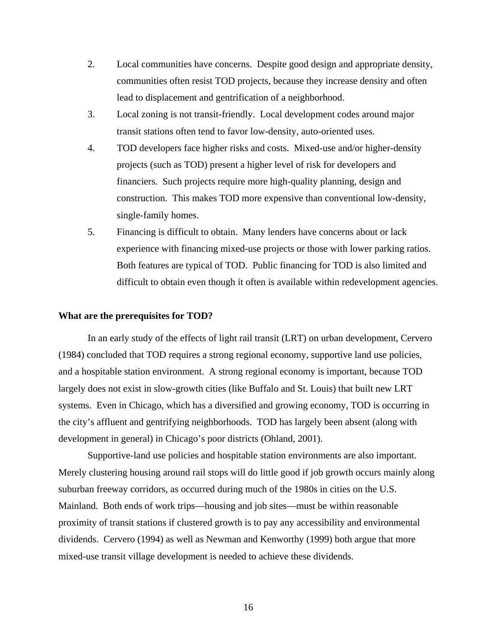- 2. Local communities have concerns.Despite good design and appropriate density, communities often resist TOD projects, because they increase density and often lead to displacement and gentrification of a neighborhood.
- 3. Local zoning is not transit-friendly. Local development codes around major transit stations often tend to favor low-density, auto-oriented uses.
- 4. TOD developers face higher risks and costs. Mixed-use and/or higher-density projects (such as TOD) present a higher level of risk for developers and financiers. Such projects require more high-quality planning, design and construction. This makes TOD more expensive than conventional low-density, single-family homes.
- 5. Financing is difficult to obtain. Many lenders have concerns about or lack experience with financing mixed-use projects or those with lower parking ratios. Both features are typical of TOD. Public financing for TOD is also limited and difficult to obtain even though it often is available within redevelopment agencies.

#### **What are the prerequisites for TOD?**

In an early study of the effects of light rail transit (LRT) on urban development, Cervero (1984) concluded that TOD requires a strong regional economy, supportive land use policies, and a hospitable station environment. A strong regional economy is important, because TOD largely does not exist in slow-growth cities (like Buffalo and St. Louis) that built new LRT systems. Even in Chicago, which has a diversified and growing economy, TOD is occurring in the city's affluent and gentrifying neighborhoods. TOD has largely been absent (along with development in general) in Chicago's poor districts (Ohland, 2001).

Supportive-land use policies and hospitable station environments are also important. Merely clustering housing around rail stops will do little good if job growth occurs mainly along suburban freeway corridors, as occurred during much of the 1980s in cities on the U.S. Mainland. Both ends of work trips—housing and job sites—must be within reasonable proximity of transit stations if clustered growth is to pay any accessibility and environmental dividends. Cervero (1994) as well as Newman and Kenworthy (1999) both argue that more mixed-use transit village development is needed to achieve these dividends.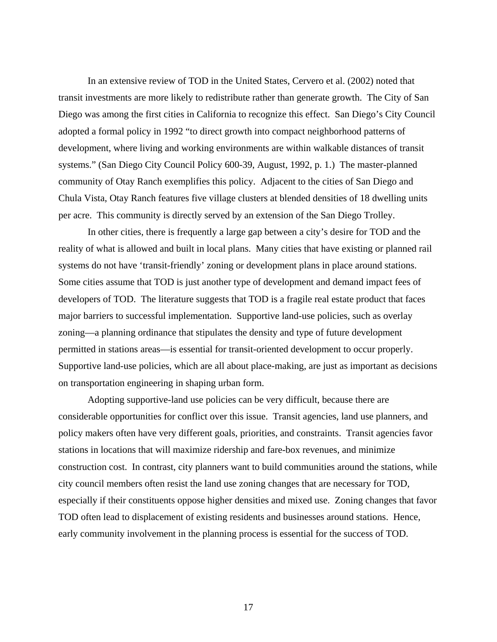In an extensive review of TOD in the United States, Cervero et al. (2002) noted that transit investments are more likely to redistribute rather than generate growth. The City of San Diego was among the first cities in California to recognize this effect. San Diego's City Council adopted a formal policy in 1992 "to direct growth into compact neighborhood patterns of development, where living and working environments are within walkable distances of transit systems." (San Diego City Council Policy 600-39, August, 1992, p. 1.) The master-planned community of Otay Ranch exemplifies this policy. Adjacent to the cities of San Diego and Chula Vista, Otay Ranch features five village clusters at blended densities of 18 dwelling units per acre. This community is directly served by an extension of the San Diego Trolley.

In other cities, there is frequently a large gap between a city's desire for TOD and the reality of what is allowed and built in local plans. Many cities that have existing or planned rail systems do not have 'transit-friendly' zoning or development plans in place around stations. Some cities assume that TOD is just another type of development and demand impact fees of developers of TOD. The literature suggests that TOD is a fragile real estate product that faces major barriers to successful implementation. Supportive land-use policies, such as overlay zoning—a planning ordinance that stipulates the density and type of future development permitted in stations areas—is essential for transit-oriented development to occur properly. Supportive land-use policies, which are all about place-making, are just as important as decisions on transportation engineering in shaping urban form.

Adopting supportive-land use policies can be very difficult, because there are considerable opportunities for conflict over this issue. Transit agencies, land use planners, and policy makers often have very different goals, priorities, and constraints. Transit agencies favor stations in locations that will maximize ridership and fare-box revenues, and minimize construction cost. In contrast, city planners want to build communities around the stations, while city council members often resist the land use zoning changes that are necessary for TOD, especially if their constituents oppose higher densities and mixed use. Zoning changes that favor TOD often lead to displacement of existing residents and businesses around stations. Hence, early community involvement in the planning process is essential for the success of TOD.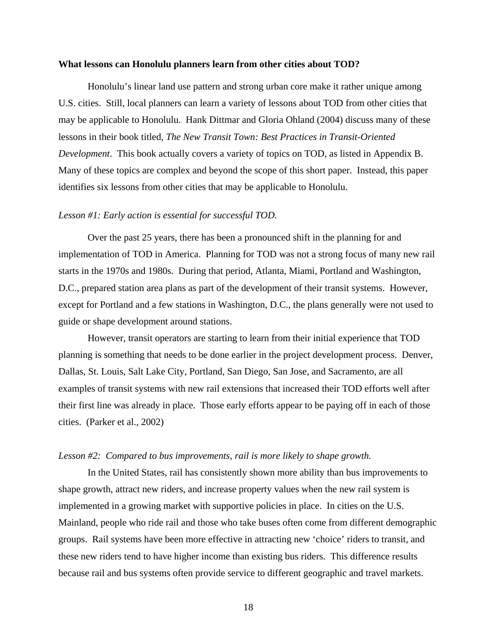#### **What lessons can Honolulu planners learn from other cities about TOD?**

 Honolulu's linear land use pattern and strong urban core make it rather unique among U.S. cities. Still, local planners can learn a variety of lessons about TOD from other cities that may be applicable to Honolulu. Hank Dittmar and Gloria Ohland (2004) discuss many of these lessons in their book titled, *The New Transit Town: Best Practices in Transit-Oriented Development*. This book actually covers a variety of topics on TOD, as listed in Appendix B. Many of these topics are complex and beyond the scope of this short paper. Instead, this paper identifies six lessons from other cities that may be applicable to Honolulu.

#### *Lesson #1: Early action is essential for successful TOD.*

Over the past 25 years, there has been a pronounced shift in the planning for and implementation of TOD in America. Planning for TOD was not a strong focus of many new rail starts in the 1970s and 1980s. During that period, Atlanta, Miami, Portland and Washington, D.C., prepared station area plans as part of the development of their transit systems. However, except for Portland and a few stations in Washington, D.C., the plans generally were not used to guide or shape development around stations.

However, transit operators are starting to learn from their initial experience that TOD planning is something that needs to be done earlier in the project development process. Denver, Dallas, St. Louis, Salt Lake City, Portland, San Diego, San Jose, and Sacramento, are all examples of transit systems with new rail extensions that increased their TOD efforts well after their first line was already in place. Those early efforts appear to be paying off in each of those cities. (Parker et al., 2002)

#### *Lesson #2: Compared to bus improvements, rail is more likely to shape growth.*

In the United States, rail has consistently shown more ability than bus improvements to shape growth, attract new riders, and increase property values when the new rail system is implemented in a growing market with supportive policies in place. In cities on the U.S. Mainland, people who ride rail and those who take buses often come from different demographic groups. Rail systems have been more effective in attracting new 'choice' riders to transit, and these new riders tend to have higher income than existing bus riders. This difference results because rail and bus systems often provide service to different geographic and travel markets.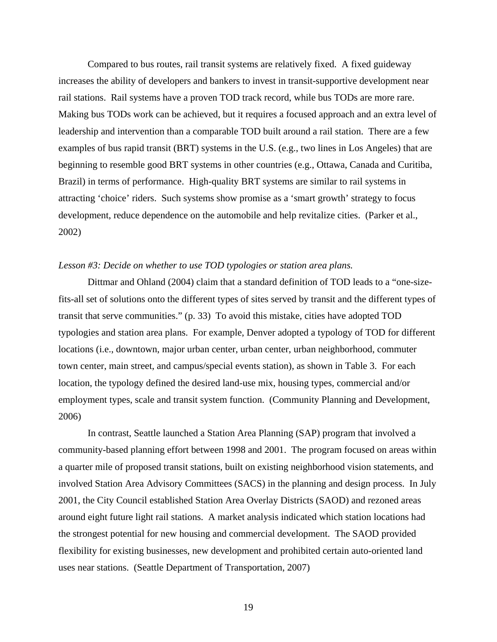Compared to bus routes, rail transit systems are relatively fixed. A fixed guideway increases the ability of developers and bankers to invest in transit-supportive development near rail stations. Rail systems have a proven TOD track record, while bus TODs are more rare. Making bus TODs work can be achieved, but it requires a focused approach and an extra level of leadership and intervention than a comparable TOD built around a rail station. There are a few examples of bus rapid transit (BRT) systems in the U.S. (e.g., two lines in Los Angeles) that are beginning to resemble good BRT systems in other countries (e.g., Ottawa, Canada and Curitiba, Brazil) in terms of performance. High-quality BRT systems are similar to rail systems in attracting 'choice' riders. Such systems show promise as a 'smart growth' strategy to focus development, reduce dependence on the automobile and help revitalize cities. (Parker et al., 2002)

#### *Lesson #3: Decide on whether to use TOD typologies or station area plans.*

Dittmar and Ohland (2004) claim that a standard definition of TOD leads to a "one-sizefits-all set of solutions onto the different types of sites served by transit and the different types of transit that serve communities." (p. 33) To avoid this mistake, cities have adopted TOD typologies and station area plans. For example, Denver adopted a typology of TOD for different locations (i.e., downtown, major urban center, urban center, urban neighborhood, commuter town center, main street, and campus/special events station), as shown in Table 3. For each location, the typology defined the desired land-use mix, housing types, commercial and/or employment types, scale and transit system function. (Community Planning and Development, 2006)

In contrast, Seattle launched a Station Area Planning (SAP) program that involved a community-based planning effort between 1998 and 2001. The program focused on areas within a quarter mile of proposed transit stations, built on existing neighborhood vision statements, and involved Station Area Advisory Committees (SACS) in the planning and design process. In July 2001, the City Council established Station Area Overlay Districts (SAOD) and rezoned areas around eight future light rail stations. A market analysis indicated which station locations had the strongest potential for new housing and commercial development. The SAOD provided flexibility for existing businesses, new development and prohibited certain auto-oriented land uses near stations. (Seattle Department of Transportation, 2007)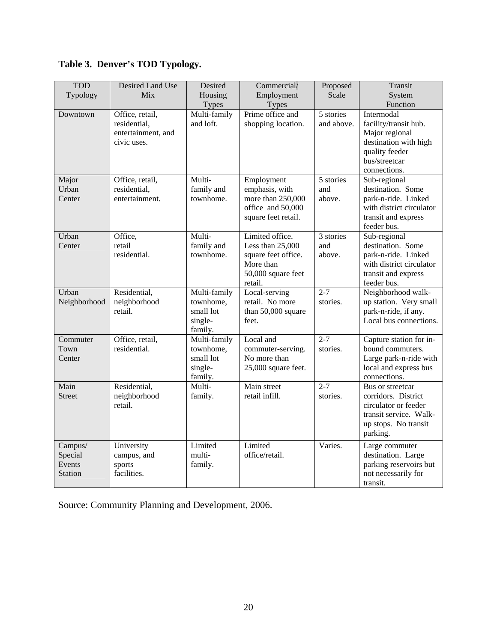| Table 3. Denver's TOD Typology. |            |                  |         |  |
|---------------------------------|------------|------------------|---------|--|
|                                 | <b>TOD</b> | Desired Land Use | Desired |  |
|                                 |            |                  |         |  |

| <b>TOD</b>    | Desired Land Use   | Desired      | Commercial/         | Proposed         | Transit                  |
|---------------|--------------------|--------------|---------------------|------------------|--------------------------|
| Typology      | Mix                | Housing      | Employment          | Scale            | System                   |
|               |                    | <b>Types</b> | <b>Types</b>        |                  | Function                 |
| Downtown      | Office, retail,    | Multi-family | Prime office and    | 5 stories        | Intermodal               |
|               | residential,       | and loft.    | shopping location.  | and above.       | facility/transit hub.    |
|               | entertainment, and |              |                     |                  | Major regional           |
|               | civic uses.        |              |                     |                  | destination with high    |
|               |                    |              |                     |                  | quality feeder           |
|               |                    |              |                     |                  | bus/streetcar            |
|               |                    |              |                     |                  | connections.             |
| Major         | Office, retail,    | Multi-       | Employment          | 5 stories        | Sub-regional             |
| Urban         | residential,       | family and   | emphasis, with      | and              | destination. Some        |
| Center        | entertainment.     | townhome.    | more than 250,000   | above.           | park-n-ride. Linked      |
|               |                    |              | office and 50,000   |                  | with district circulator |
|               |                    |              | square feet retail. |                  | transit and express      |
|               |                    |              |                     |                  | feeder bus.              |
| Urban         | Office,            | Multi-       | Limited office.     | 3 stories        | Sub-regional             |
| Center        | retail             | family and   | Less than 25,000    | and              | destination. Some        |
|               | residential.       | townhome.    | square feet office. | above.           | park-n-ride. Linked      |
|               |                    |              | More than           |                  | with district circulator |
|               |                    |              | 50,000 square feet  |                  | transit and express      |
|               |                    |              | retail.             |                  | feeder bus.              |
| Urban         | Residential,       | Multi-family | Local-serving       | $\overline{2-7}$ | Neighborhood walk-       |
| Neighborhood  | neighborhood       | townhome,    | retail. No more     | stories.         | up station. Very small   |
|               | retail.            | small lot    | than 50,000 square  |                  | park-n-ride, if any.     |
|               |                    | single-      | feet.               |                  | Local bus connections.   |
|               |                    | family.      |                     |                  |                          |
| Commuter      | Office, retail,    | Multi-family | Local and           | $2 - 7$          | Capture station for in-  |
| Town          | residential.       | townhome,    | commuter-serving.   | stories.         | bound commuters.         |
| Center        |                    | small lot    | No more than        |                  | Large park-n-ride with   |
|               |                    | single-      | 25,000 square feet. |                  | local and express bus    |
|               |                    | family.      |                     |                  | connections.             |
| Main          | Residential,       | Multi-       | Main street         | $2 - 7$          | Bus or streetcar         |
| <b>Street</b> | neighborhood       | family.      | retail infill.      | stories.         | corridors. District      |
|               | retail.            |              |                     |                  | circulator or feeder     |
|               |                    |              |                     |                  | transit service. Walk-   |
|               |                    |              |                     |                  | up stops. No transit     |
|               |                    |              |                     |                  | parking.                 |
| Campus/       | University         | Limited      | Limited             | Varies.          | Large commuter           |
| Special       | campus, and        | multi-       | office/retail.      |                  | destination. Large       |
| Events        | sports             | family.      |                     |                  | parking reservoirs but   |
| Station       | facilities.        |              |                     |                  | not necessarily for      |
|               |                    |              |                     |                  | transit.                 |

Source: Community Planning and Development, 2006.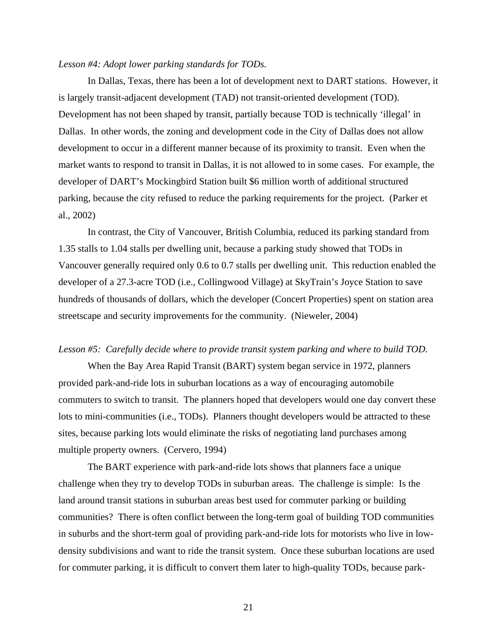#### *Lesson #4: Adopt lower parking standards for TODs.*

In Dallas, Texas, there has been a lot of development next to DART stations. However, it is largely transit-adjacent development (TAD) not transit-oriented development (TOD). Development has not been shaped by transit, partially because TOD is technically 'illegal' in Dallas. In other words, the zoning and development code in the City of Dallas does not allow development to occur in a different manner because of its proximity to transit. Even when the market wants to respond to transit in Dallas, it is not allowed to in some cases. For example, the developer of DART's Mockingbird Station built \$6 million worth of additional structured parking, because the city refused to reduce the parking requirements for the project. (Parker et al., 2002)

In contrast, the City of Vancouver, British Columbia, reduced its parking standard from 1.35 stalls to 1.04 stalls per dwelling unit, because a parking study showed that TODs in Vancouver generally required only 0.6 to 0.7 stalls per dwelling unit. This reduction enabled the developer of a 27.3-acre TOD (i.e., Collingwood Village) at SkyTrain's Joyce Station to save hundreds of thousands of dollars, which the developer (Concert Properties) spent on station area streetscape and security improvements for the community. (Nieweler, 2004)

#### *Lesson #5: Carefully decide where to provide transit system parking and where to build TOD.*

When the Bay Area Rapid Transit (BART) system began service in 1972, planners provided park-and-ride lots in suburban locations as a way of encouraging automobile commuters to switch to transit. The planners hoped that developers would one day convert these lots to mini-communities (i.e., TODs). Planners thought developers would be attracted to these sites, because parking lots would eliminate the risks of negotiating land purchases among multiple property owners. (Cervero, 1994)

The BART experience with park-and-ride lots shows that planners face a unique challenge when they try to develop TODs in suburban areas. The challenge is simple: Is the land around transit stations in suburban areas best used for commuter parking or building communities? There is often conflict between the long-term goal of building TOD communities in suburbs and the short-term goal of providing park-and-ride lots for motorists who live in lowdensity subdivisions and want to ride the transit system. Once these suburban locations are used for commuter parking, it is difficult to convert them later to high-quality TODs, because park-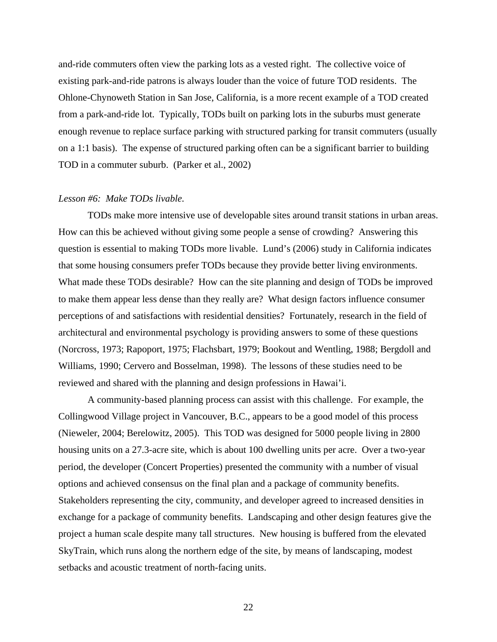and-ride commuters often view the parking lots as a vested right. The collective voice of existing park-and-ride patrons is always louder than the voice of future TOD residents. The Ohlone-Chynoweth Station in San Jose, California, is a more recent example of a TOD created from a park-and-ride lot. Typically, TODs built on parking lots in the suburbs must generate enough revenue to replace surface parking with structured parking for transit commuters (usually on a 1:1 basis). The expense of structured parking often can be a significant barrier to building TOD in a commuter suburb. (Parker et al., 2002)

#### *Lesson #6: Make TODs livable.*

 TODs make more intensive use of developable sites around transit stations in urban areas. How can this be achieved without giving some people a sense of crowding? Answering this question is essential to making TODs more livable. Lund's (2006) study in California indicates that some housing consumers prefer TODs because they provide better living environments. What made these TODs desirable? How can the site planning and design of TODs be improved to make them appear less dense than they really are? What design factors influence consumer perceptions of and satisfactions with residential densities? Fortunately, research in the field of architectural and environmental psychology is providing answers to some of these questions (Norcross, 1973; Rapoport, 1975; Flachsbart, 1979; Bookout and Wentling, 1988; Bergdoll and Williams, 1990; Cervero and Bosselman, 1998). The lessons of these studies need to be reviewed and shared with the planning and design professions in Hawai'i.

 A community-based planning process can assist with this challenge. For example, the Collingwood Village project in Vancouver, B.C., appears to be a good model of this process (Nieweler, 2004; Berelowitz, 2005). This TOD was designed for 5000 people living in 2800 housing units on a 27.3-acre site, which is about 100 dwelling units per acre. Over a two-year period, the developer (Concert Properties) presented the community with a number of visual options and achieved consensus on the final plan and a package of community benefits. Stakeholders representing the city, community, and developer agreed to increased densities in exchange for a package of community benefits. Landscaping and other design features give the project a human scale despite many tall structures. New housing is buffered from the elevated SkyTrain, which runs along the northern edge of the site, by means of landscaping, modest setbacks and acoustic treatment of north-facing units.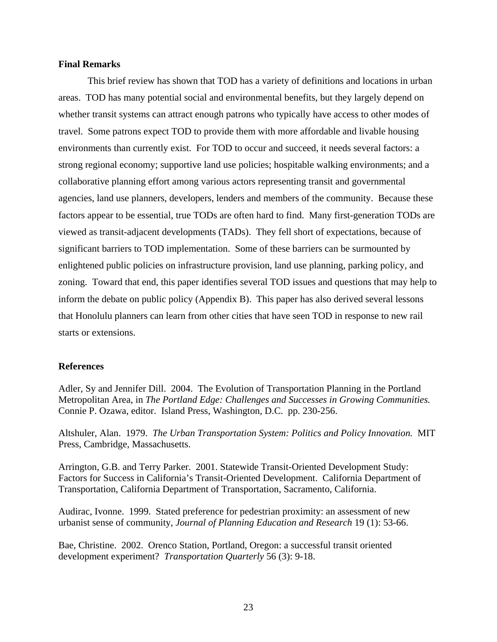#### **Final Remarks**

 This brief review has shown that TOD has a variety of definitions and locations in urban areas. TOD has many potential social and environmental benefits, but they largely depend on whether transit systems can attract enough patrons who typically have access to other modes of travel. Some patrons expect TOD to provide them with more affordable and livable housing environments than currently exist. For TOD to occur and succeed, it needs several factors: a strong regional economy; supportive land use policies; hospitable walking environments; and a collaborative planning effort among various actors representing transit and governmental agencies, land use planners, developers, lenders and members of the community. Because these factors appear to be essential, true TODs are often hard to find. Many first-generation TODs are viewed as transit-adjacent developments (TADs). They fell short of expectations, because of significant barriers to TOD implementation. Some of these barriers can be surmounted by enlightened public policies on infrastructure provision, land use planning, parking policy, and zoning. Toward that end, this paper identifies several TOD issues and questions that may help to inform the debate on public policy (Appendix B). This paper has also derived several lessons that Honolulu planners can learn from other cities that have seen TOD in response to new rail starts or extensions.

#### **References**

Adler, Sy and Jennifer Dill. 2004. The Evolution of Transportation Planning in the Portland Metropolitan Area, in *The Portland Edge: Challenges and Successes in Growing Communities.* Connie P. Ozawa, editor. Island Press, Washington, D.C. pp. 230-256.

Altshuler, Alan. 1979. *The Urban Transportation System: Politics and Policy Innovation.* MIT Press, Cambridge, Massachusetts.

Arrington, G.B. and Terry Parker. 2001. Statewide Transit-Oriented Development Study: Factors for Success in California's Transit-Oriented Development. California Department of Transportation, California Department of Transportation, Sacramento, California.

Audirac, Ivonne. 1999. Stated preference for pedestrian proximity: an assessment of new urbanist sense of community, *Journal of Planning Education and Research* 19 (1): 53-66.

Bae, Christine. 2002. Orenco Station, Portland, Oregon: a successful transit oriented development experiment? *Transportation Quarterly* 56 (3): 9-18.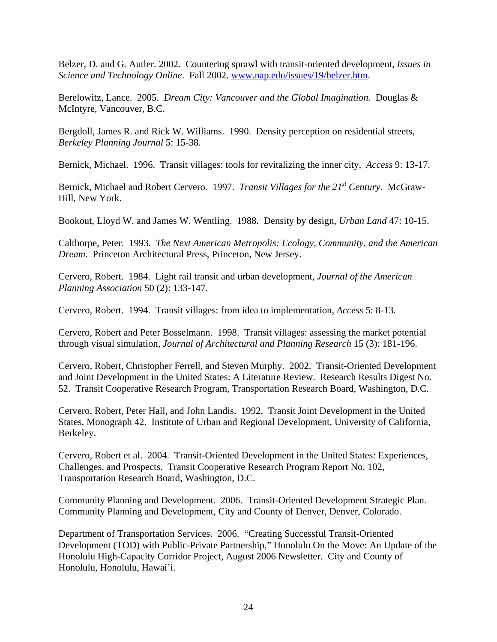Belzer, D. and G. Autler. 2002. Countering sprawl with transit-oriented development, *Issues in Science and Technology Online*. Fall 2002. [www.nap.edu/issues/19/belzer.htm](http://www.nap.edu/issues/19/belzer.htm).

Berelowitz, Lance. 2005. *Dream City: Vancouver and the Global Imagination.* Douglas & McIntyre, Vancouver, B.C.

Bergdoll, James R. and Rick W. Williams. 1990. Density perception on residential streets, *Berkeley Planning Journal* 5: 15-38.

Bernick, Michael. 1996. Transit villages: tools for revitalizing the inner city, *Access* 9: 13-17.

Bernick, Michael and Robert Cervero. 1997. *Transit Villages for the 21st Century*. McGraw-Hill, New York.

Bookout, Lloyd W. and James W. Wentling. 1988. Density by design, *Urban Land* 47: 10-15.

Calthorpe, Peter. 1993. *The Next American Metropolis: Ecology, Community, and the American Dream.* Princeton Architectural Press, Princeton, New Jersey.

Cervero, Robert. 1984. Light rail transit and urban development, *Journal of the American Planning Association* 50 (2): 133-147.

Cervero, Robert. 1994. Transit villages: from idea to implementation, *Access* 5: 8-13.

Cervero, Robert and Peter Bosselmann. 1998. Transit villages: assessing the market potential through visual simulation, *Journal of Architectural and Planning Research* 15 (3): 181-196.

Cervero, Robert, Christopher Ferrell, and Steven Murphy. 2002. Transit-Oriented Development and Joint Development in the United States: A Literature Review. Research Results Digest No. 52. Transit Cooperative Research Program, Transportation Research Board, Washington, D.C.

Cervero, Robert, Peter Hall, and John Landis. 1992. Transit Joint Development in the United States, Monograph 42. Institute of Urban and Regional Development, University of California, Berkeley.

Cervero, Robert et al. 2004. Transit-Oriented Development in the United States: Experiences, Challenges, and Prospects. Transit Cooperative Research Program Report No. 102, Transportation Research Board, Washington, D.C.

Community Planning and Development. 2006. Transit-Oriented Development Strategic Plan. Community Planning and Development, City and County of Denver, Denver, Colorado.

Department of Transportation Services. 2006. "Creating Successful Transit-Oriented Development (TOD) with Public-Private Partnership," Honolulu On the Move: An Update of the Honolulu High-Capacity Corridor Project, August 2006 Newsletter. City and County of Honolulu, Honolulu, Hawai'i.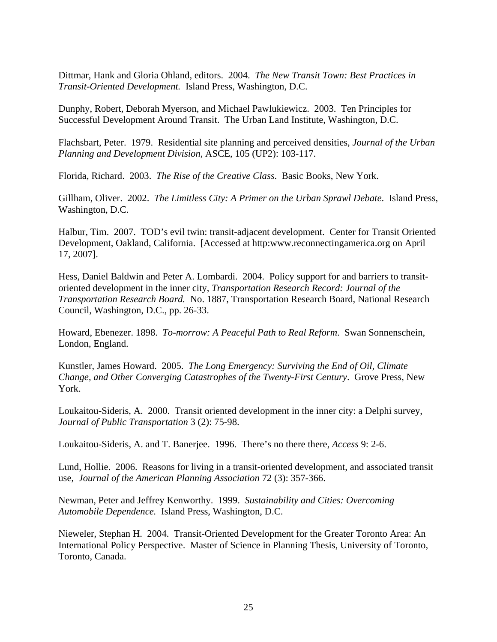Dittmar, Hank and Gloria Ohland, editors. 2004. *The New Transit Town: Best Practices in Transit-Oriented Development.* Island Press, Washington, D.C.

Dunphy, Robert, Deborah Myerson, and Michael Pawlukiewicz. 2003. Ten Principles for Successful Development Around Transit. The Urban Land Institute, Washington, D.C.

Flachsbart, Peter. 1979. Residential site planning and perceived densities, *Journal of the Urban Planning and Development Division,* ASCE, 105 (UP2): 103-117.

Florida, Richard. 2003. *The Rise of the Creative Class*. Basic Books, New York.

Gillham, Oliver. 2002. *The Limitless City: A Primer on the Urban Sprawl Debate*. Island Press, Washington, D.C.

Halbur, Tim. 2007. TOD's evil twin: transit-adjacent development. Center for Transit Oriented Development, Oakland, California. [Accessed at http:www.reconnectingamerica.org on April 17, 2007].

Hess, Daniel Baldwin and Peter A. Lombardi. 2004. Policy support for and barriers to transitoriented development in the inner city, *Transportation Research Record: Journal of the Transportation Research Board.* No. 1887, Transportation Research Board, National Research Council, Washington, D.C., pp. 26-33.

Howard, Ebenezer. 1898. *To-morrow: A Peaceful Path to Real Reform*. Swan Sonnenschein, London, England.

Kunstler, James Howard. 2005. *The Long Emergency: Surviving the End of Oil, Climate Change, and Other Converging Catastrophes of the Twenty-First Century*. Grove Press, New York.

Loukaitou-Sideris, A. 2000. Transit oriented development in the inner city: a Delphi survey, *Journal of Public Transportation* 3 (2): 75-98.

Loukaitou-Sideris, A. and T. Banerjee. 1996. There's no there there, *Access* 9: 2-6.

Lund, Hollie. 2006. Reasons for living in a transit-oriented development, and associated transit use, *Journal of the American Planning Association* 72 (3): 357-366.

Newman, Peter and Jeffrey Kenworthy. 1999. *Sustainability and Cities: Overcoming Automobile Dependence.* Island Press, Washington, D.C.

Nieweler, Stephan H. 2004. Transit-Oriented Development for the Greater Toronto Area: An International Policy Perspective. Master of Science in Planning Thesis, University of Toronto, Toronto, Canada.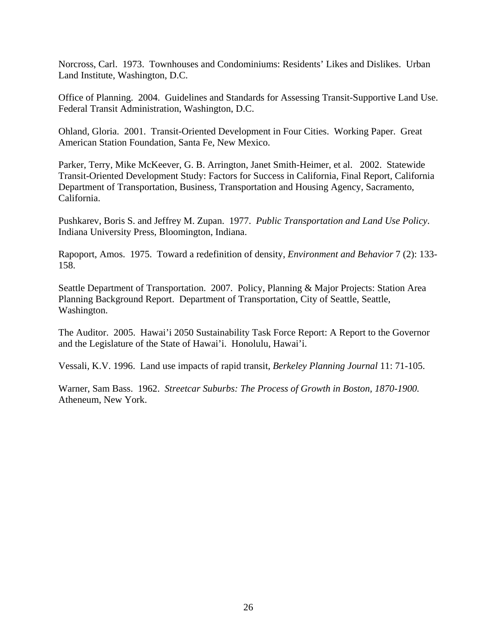Norcross, Carl. 1973. Townhouses and Condominiums: Residents' Likes and Dislikes. Urban Land Institute, Washington, D.C.

Office of Planning. 2004. Guidelines and Standards for Assessing Transit-Supportive Land Use. Federal Transit Administration, Washington, D.C.

Ohland, Gloria. 2001. Transit-Oriented Development in Four Cities. Working Paper. Great American Station Foundation, Santa Fe, New Mexico.

Parker, Terry, Mike McKeever, G. B. Arrington, Janet Smith-Heimer, et al. 2002. Statewide Transit-Oriented Development Study: Factors for Success in California, Final Report, California Department of Transportation, Business, Transportation and Housing Agency, Sacramento, California.

Pushkarev, Boris S. and Jeffrey M. Zupan. 1977. *Public Transportation and Land Use Policy*. Indiana University Press, Bloomington, Indiana.

Rapoport, Amos. 1975. Toward a redefinition of density, *Environment and Behavior* 7 (2): 133- 158.

Seattle Department of Transportation. 2007. Policy, Planning & Major Projects: Station Area Planning Background Report. Department of Transportation, City of Seattle, Seattle, Washington.

The Auditor. 2005. Hawai'i 2050 Sustainability Task Force Report: A Report to the Governor and the Legislature of the State of Hawai'i. Honolulu, Hawai'i.

Vessali, K.V. 1996. Land use impacts of rapid transit, *Berkeley Planning Journal* 11: 71-105.

Warner, Sam Bass. 1962. *Streetcar Suburbs: The Process of Growth in Boston, 1870-1900.* Atheneum, New York.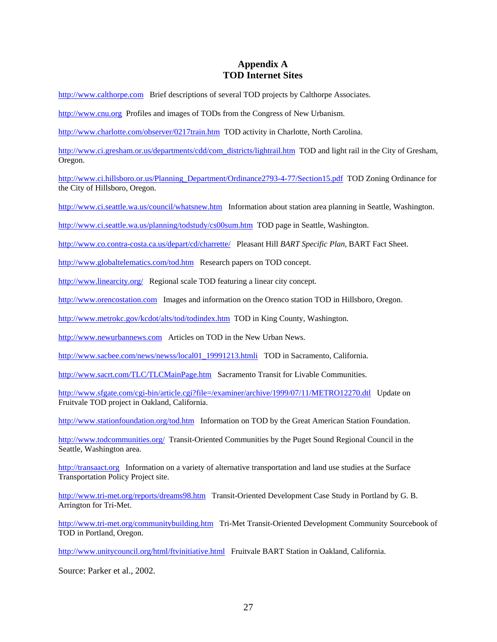## **Appendix A TOD Internet Sites**

[http://www.calthorpe.com](http://www.calthorpe.com/) Brief descriptions of several TOD projects by Calthorpe Associates.

[http://www.cnu.org](http://www.cnu.org/) Profiles and images of TODs from the Congress of New Urbanism.

<http://www.charlotte.com/observer/0217train.htm> TOD activity in Charlotte, North Carolina.

[http://www.ci.gresham.or.us/departments/cdd/com\\_districts/lightrail.htm](http://www.ci.gresham.or.us/departments/cdd/com_districts/lightrail.htm) TOD and light rail in the City of Gresham, Oregon.

[http://www.ci.hillsboro.or.us/Planning\\_Department/Ordinance2793-4-77/Section15.pdf](http://www.ci.hillsboro.or.us/Planning_Department/Ordinance2793-4-77/Section15.pdf) TOD Zoning Ordinance for the City of Hillsboro, Oregon.

<http://www.ci.seattle.wa.us/council/whatsnew.htm>Information about station area planning in Seattle, Washington.

<http://www.ci.seattle.wa.us/planning/todstudy/cs00sum.htm>TOD page in Seattle, Washington.

<http://www.co.contra-costa.ca.us/depart/cd/charrette/> Pleasant Hill *BART Specific Plan*, BART Fact Sheet.

<http://www.globaltelematics.com/tod.htm>Research papers on TOD concept.

<http://www.linearcity.org/> Regional scale TOD featuring a linear city concept.

[http://www.orencostation.com](http://www.orencostation.com/) Images and information on the Orenco station TOD in Hillsboro, Oregon.

<http://www.metrokc.gov/kcdot/alts/tod/todindex.htm> TOD in King County, Washington.

[http://www.newurbannews.com](http://www.newurbannews.com/) Articles on TOD in the New Urban News.

[http://www.sacbee.com/news/newss/local01\\_19991213.htmli](http://www.sacbee.com/news/newss/local01_19991213.htmli) TOD in Sacramento, California.

<http://www.sacrt.com/TLC/TLCMainPage.htm>Sacramento Transit for Livable Communities.

[http://www.sfgate.com/cgi-bin/article.cgi?file=/examiner/archive/1999/07/11/METRO12270.dtl](http://www.sfgate.com/cgibin/article.cgi?file=examiner/archive/1999/07/11/METRO12270.dtl) Update on Fruitvale TOD project in Oakland, California.

<http://www.stationfoundation.org/tod.htm> Information on TOD by the Great American Station Foundation.

<http://www.todcommunities.org/> Transit-Oriented Communities by the Puget Sound Regional Council in the Seattle, Washington area.

[http://transaact.org](http://transaact.org/) Information on a variety of alternative transportation and land use studies at the Surface Transportation Policy Project site.

<http://www.tri-met.org/reports/dreams98.htm> Transit-Oriented Development Case Study in Portland by G. B. Arrington for Tri-Met.

<http://www.tri-met.org/communitybuilding.htm>Tri-Met Transit-Oriented Development Community Sourcebook of TOD in Portland, Oregon.

<http://www.unitycouncil.org/html/ftvinitiative.html> Fruitvale BART Station in Oakland, California.

Source: Parker et al., 2002.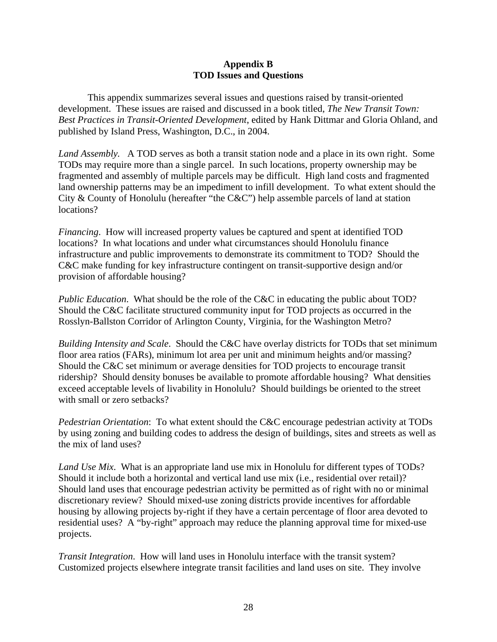### **Appendix B TOD Issues and Questions**

This appendix summarizes several issues and questions raised by transit-oriented development. These issues are raised and discussed in a book titled, *The New Transit Town: Best Practices in Transit-Oriented Development*, edited by Hank Dittmar and Gloria Ohland, and published by Island Press, Washington, D.C., in 2004.

*Land Assembly.* A TOD serves as both a transit station node and a place in its own right. Some TODs may require more than a single parcel. In such locations, property ownership may be fragmented and assembly of multiple parcels may be difficult. High land costs and fragmented land ownership patterns may be an impediment to infill development. To what extent should the City & County of Honolulu (hereafter "the C&C") help assemble parcels of land at station locations?

*Financing*. How will increased property values be captured and spent at identified TOD locations? In what locations and under what circumstances should Honolulu finance infrastructure and public improvements to demonstrate its commitment to TOD? Should the C&C make funding for key infrastructure contingent on transit-supportive design and/or provision of affordable housing?

*Public Education*. What should be the role of the C&C in educating the public about TOD? Should the C&C facilitate structured community input for TOD projects as occurred in the Rosslyn-Ballston Corridor of Arlington County, Virginia, for the Washington Metro?

*Building Intensity and Scale*. Should the C&C have overlay districts for TODs that set minimum floor area ratios (FARs), minimum lot area per unit and minimum heights and/or massing? Should the C&C set minimum or average densities for TOD projects to encourage transit ridership? Should density bonuses be available to promote affordable housing? What densities exceed acceptable levels of livability in Honolulu? Should buildings be oriented to the street with small or zero setbacks?

*Pedestrian Orientation*: To what extent should the C&C encourage pedestrian activity at TODs by using zoning and building codes to address the design of buildings, sites and streets as well as the mix of land uses?

*Land Use Mix*. What is an appropriate land use mix in Honolulu for different types of TODs? Should it include both a horizontal and vertical land use mix (i.e., residential over retail)? Should land uses that encourage pedestrian activity be permitted as of right with no or minimal discretionary review? Should mixed-use zoning districts provide incentives for affordable housing by allowing projects by-right if they have a certain percentage of floor area devoted to residential uses? A "by-right" approach may reduce the planning approval time for mixed-use projects.

*Transit Integration*. How will land uses in Honolulu interface with the transit system? Customized projects elsewhere integrate transit facilities and land uses on site. They involve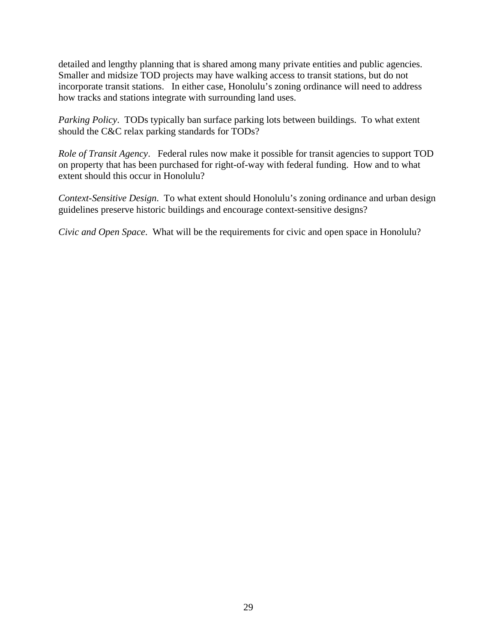detailed and lengthy planning that is shared among many private entities and public agencies. Smaller and midsize TOD projects may have walking access to transit stations, but do not incorporate transit stations. In either case, Honolulu's zoning ordinance will need to address how tracks and stations integrate with surrounding land uses.

*Parking Policy*. TODs typically ban surface parking lots between buildings. To what extent should the C&C relax parking standards for TODs?

*Role of Transit Agency*. Federal rules now make it possible for transit agencies to support TOD on property that has been purchased for right-of-way with federal funding. How and to what extent should this occur in Honolulu?

*Context-Sensitive Design*. To what extent should Honolulu's zoning ordinance and urban design guidelines preserve historic buildings and encourage context-sensitive designs?

*Civic and Open Space*. What will be the requirements for civic and open space in Honolulu?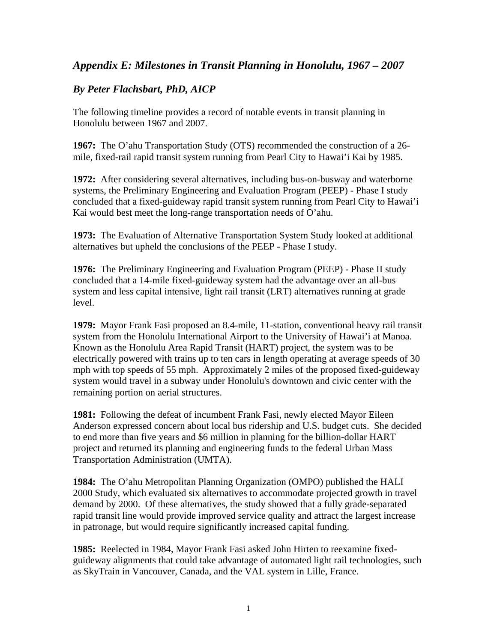# *Appendix E: Milestones in Transit Planning in Honolulu, 1967 – 2007*

## *By Peter Flachsbart, PhD, AICP*

The following timeline provides a record of notable events in transit planning in Honolulu between 1967 and 2007.

**1967:** The O'ahu Transportation Study (OTS) recommended the construction of a 26 mile, fixed-rail rapid transit system running from Pearl City to Hawai'i Kai by 1985.

**1972:** After considering several alternatives, including bus-on-busway and waterborne systems, the Preliminary Engineering and Evaluation Program (PEEP) - Phase I study concluded that a fixed-guideway rapid transit system running from Pearl City to Hawai'i Kai would best meet the long-range transportation needs of O'ahu.

**1973:** The Evaluation of Alternative Transportation System Study looked at additional alternatives but upheld the conclusions of the PEEP - Phase I study.

**1976:** The Preliminary Engineering and Evaluation Program (PEEP) - Phase II study concluded that a 14-mile fixed-guideway system had the advantage over an all-bus system and less capital intensive, light rail transit (LRT) alternatives running at grade level.

**1979:** Mayor Frank Fasi proposed an 8.4-mile, 11-station, conventional heavy rail transit system from the Honolulu International Airport to the University of Hawai'i at Manoa. Known as the Honolulu Area Rapid Transit (HART) project, the system was to be electrically powered with trains up to ten cars in length operating at average speeds of 30 mph with top speeds of 55 mph. Approximately 2 miles of the proposed fixed-guideway system would travel in a subway under Honolulu's downtown and civic center with the remaining portion on aerial structures.

**1981:** Following the defeat of incumbent Frank Fasi, newly elected Mayor Eileen Anderson expressed concern about local bus ridership and U.S. budget cuts. She decided to end more than five years and \$6 million in planning for the billion-dollar HART project and returned its planning and engineering funds to the federal Urban Mass Transportation Administration (UMTA).

**1984:** The O'ahu Metropolitan Planning Organization (OMPO) published the HALI 2000 Study, which evaluated six alternatives to accommodate projected growth in travel demand by 2000. Of these alternatives, the study showed that a fully grade-separated rapid transit line would provide improved service quality and attract the largest increase in patronage, but would require significantly increased capital funding.

**1985:** Reelected in 1984, Mayor Frank Fasi asked John Hirten to reexamine fixedguideway alignments that could take advantage of automated light rail technologies, such as SkyTrain in Vancouver, Canada, and the VAL system in Lille, France.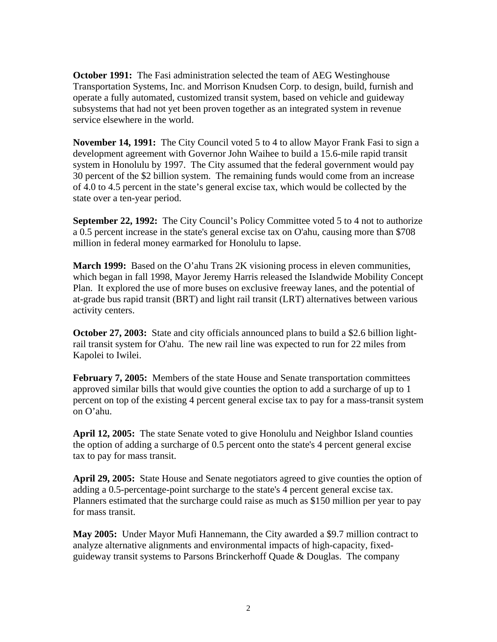**October 1991:** The Fasi administration selected the team of AEG Westinghouse Transportation Systems, Inc. and Morrison Knudsen Corp. to design, build, furnish and operate a fully automated, customized transit system, based on vehicle and guideway subsystems that had not yet been proven together as an integrated system in revenue service elsewhere in the world.

**November 14, 1991:** The City Council voted 5 to 4 to allow Mayor Frank Fasi to sign a development agreement with Governor John Waihee to build a 15.6-mile rapid transit system in Honolulu by 1997. The City assumed that the federal government would pay 30 percent of the \$2 billion system. The remaining funds would come from an increase of 4.0 to 4.5 percent in the state's general excise tax, which would be collected by the state over a ten-year period.

**September 22, 1992:** The City Council's Policy Committee voted 5 to 4 not to authorize a 0.5 percent increase in the state's general excise tax on O'ahu, causing more than \$708 million in federal money earmarked for Honolulu to lapse.

**March 1999:** Based on the O'ahu Trans 2K visioning process in eleven communities, which began in fall 1998, Mayor Jeremy Harris released the Islandwide Mobility Concept Plan. It explored the use of more buses on exclusive freeway lanes, and the potential of at-grade bus rapid transit (BRT) and light rail transit (LRT) alternatives between various activity centers.

**October 27, 2003:** State and city officials announced plans to build a \$2.6 billion lightrail transit system for O'ahu. The new rail line was expected to run for 22 miles from Kapolei to Iwilei.

**February 7, 2005:** Members of the state House and Senate transportation committees approved similar bills that would give counties the option to add a surcharge of up to 1 percent on top of the existing 4 percent general excise tax to pay for a mass-transit system on O'ahu.

**April 12, 2005:** The state Senate voted to give Honolulu and Neighbor Island counties the option of adding a surcharge of 0.5 percent onto the state's 4 percent general excise tax to pay for mass transit.

**April 29, 2005:** State House and Senate negotiators agreed to give counties the option of adding a 0.5-percentage-point surcharge to the state's 4 percent general excise tax. Planners estimated that the surcharge could raise as much as \$150 million per year to pay for mass transit.

**May 2005:** Under Mayor Mufi Hannemann, the City awarded a \$9.7 million contract to analyze alternative alignments and environmental impacts of high-capacity, fixedguideway transit systems to Parsons Brinckerhoff Quade & Douglas. The company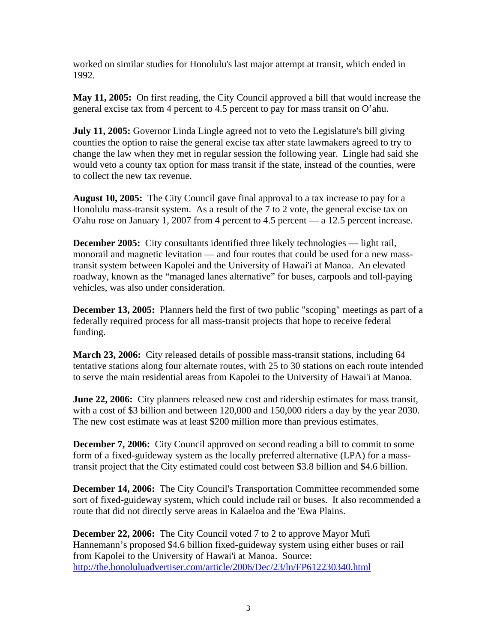worked on similar studies for Honolulu's last major attempt at transit, which ended in 1992.

**May 11, 2005:** On first reading, the City Council approved a bill that would increase the general excise tax from 4 percent to 4.5 percent to pay for mass transit on O'ahu.

**July 11, 2005:** Governor Linda Lingle agreed not to veto the Legislature's bill giving counties the option to raise the general excise tax after state lawmakers agreed to try to change the law when they met in regular session the following year. Lingle had said she would veto a county tax option for mass transit if the state, instead of the counties, were to collect the new tax revenue.

**August 10, 2005:** The City Council gave final approval to a tax increase to pay for a Honolulu mass-transit system. As a result of the 7 to 2 vote, the general excise tax on O'ahu rose on January 1, 2007 from 4 percent to 4.5 percent — a 12.5 percent increase.

**December 2005:** City consultants identified three likely technologies — light rail, monorail and magnetic levitation — and four routes that could be used for a new masstransit system between Kapolei and the University of Hawai'i at Manoa. An elevated roadway, known as the "managed lanes alternative" for buses, carpools and toll-paying vehicles, was also under consideration.

**December 13, 2005:** Planners held the first of two public "scoping" meetings as part of a federally required process for all mass-transit projects that hope to receive federal funding.

**March 23, 2006:** City released details of possible mass-transit stations, including 64 tentative stations along four alternate routes, with 25 to 30 stations on each route intended to serve the main residential areas from Kapolei to the University of Hawai'i at Manoa.

**June 22, 2006:** City planners released new cost and ridership estimates for mass transit, with a cost of \$3 billion and between 120,000 and 150,000 riders a day by the year 2030. The new cost estimate was at least \$200 million more than previous estimates.

**December 7, 2006:** City Council approved on second reading a bill to commit to some form of a fixed-guideway system as the locally preferred alternative (LPA) for a masstransit project that the City estimated could cost between \$3.8 billion and \$4.6 billion.

**December 14, 2006:** The City Council's Transportation Committee recommended some sort of fixed-guideway system, which could include rail or buses. It also recommended a route that did not directly serve areas in Kalaeloa and the 'Ewa Plains.

**December 22, 2006:** The City Council voted 7 to 2 to approve Mayor Mufi Hannemann's proposed \$4.6 billion fixed-guideway system using either buses or rail from Kapolei to the University of Hawai'i at Manoa. Source: <http://the.honoluluadvertiser.com/article/2006/Dec/23/ln/FP612230340.html>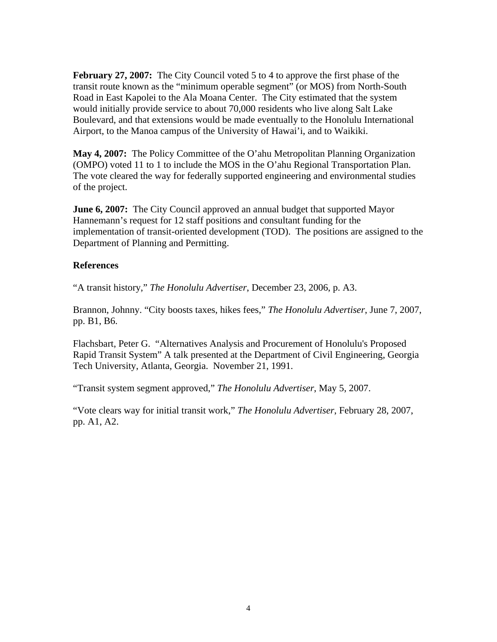**February 27, 2007:** The City Council voted 5 to 4 to approve the first phase of the transit route known as the "minimum operable segment" (or MOS) from North-South Road in East Kapolei to the Ala Moana Center. The City estimated that the system would initially provide service to about 70,000 residents who live along Salt Lake Boulevard, and that extensions would be made eventually to the Honolulu International Airport, to the Manoa campus of the University of Hawai'i, and to Waikiki.

**May 4, 2007:** The Policy Committee of the O'ahu Metropolitan Planning Organization (OMPO) voted 11 to 1 to include the MOS in the O'ahu Regional Transportation Plan. The vote cleared the way for federally supported engineering and environmental studies of the project.

**June 6, 2007:** The City Council approved an annual budget that supported Mayor Hannemann's request for 12 staff positions and consultant funding for the implementation of transit-oriented development (TOD). The positions are assigned to the Department of Planning and Permitting.

### **References**

"A transit history," *The Honolulu Advertiser*, December 23, 2006, p. A3.

Brannon, Johnny. "City boosts taxes, hikes fees," *The Honolulu Advertiser*, June 7, 2007, pp. B1, B6.

Flachsbart, Peter G. "Alternatives Analysis and Procurement of Honolulu's Proposed Rapid Transit System" A talk presented at the Department of Civil Engineering, Georgia Tech University, Atlanta, Georgia. November 21, 1991.

"Transit system segment approved," *The Honolulu Advertiser*, May 5, 2007.

"Vote clears way for initial transit work," *The Honolulu Advertiser*, February 28, 2007, pp. A1, A2.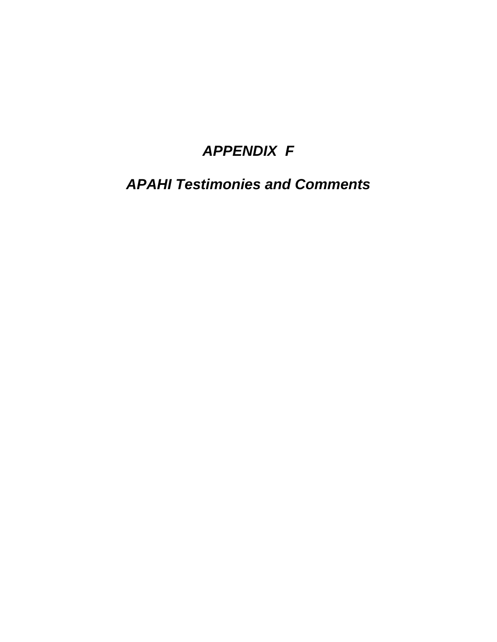# *APPENDIX F*

*APAHI Testimonies and Comments*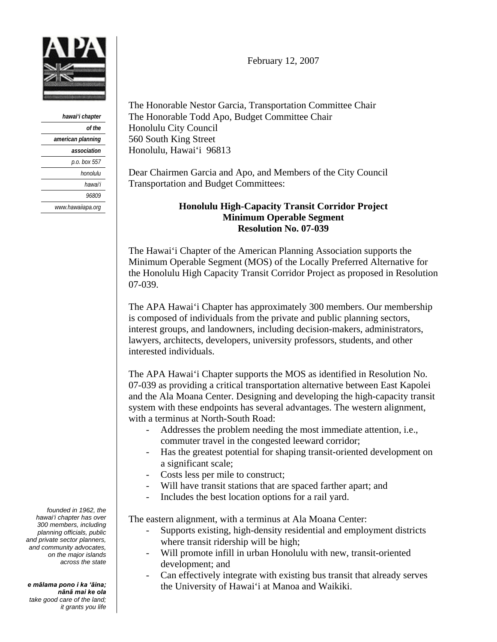

| hawai'i chapter   |
|-------------------|
| of the            |
| american planning |
| association       |
| p.o. box 557      |
| honolulu          |
| hawai'i           |
| <i>96809</i>      |
| www.hawaiiapa.org |

February 12, 2007

The Honorable Nestor Garcia, Transportation Committee Chair The Honorable Todd Apo, Budget Committee Chair Honolulu City Council 560 South King Street Honolulu, Hawai'i 96813

Dear Chairmen Garcia and Apo, and Members of the City Council Transportation and Budget Committees:

### **Honolulu High-Capacity Transit Corridor Project Minimum Operable Segment Resolution No. 07-039**

The Hawai'i Chapter of the American Planning Association supports the Minimum Operable Segment (MOS) of the Locally Preferred Alternative for the Honolulu High Capacity Transit Corridor Project as proposed in Resolution 07-039.

The APA Hawai'i Chapter has approximately 300 members. Our membership is composed of individuals from the private and public planning sectors, interest groups, and landowners, including decision-makers, administrators, lawyers, architects, developers, university professors, students, and other interested individuals.

The APA Hawai'i Chapter supports the MOS as identified in Resolution No. 07-039 as providing a critical transportation alternative between East Kapolei and the Ala Moana Center. Designing and developing the high-capacity transit system with these endpoints has several advantages. The western alignment, with a terminus at North-South Road:

- Addresses the problem needing the most immediate attention, i.e., commuter travel in the congested leeward corridor;
- Has the greatest potential for shaping transit-oriented development on a significant scale;
- Costs less per mile to construct;
- Will have transit stations that are spaced farther apart; and
- Includes the best location options for a rail yard.

The eastern alignment, with a terminus at Ala Moana Center:

- Supports existing, high-density residential and employment districts where transit ridership will be high;
- Will promote infill in urban Honolulu with new, transit-oriented development; and
- Can effectively integrate with existing bus transit that already serves the University of Hawai'i at Manoa and Waikiki.

*founded in 1962, the hawai'i chapter has over 300 members, including planning officials, public and private sector planners, and community advocates, on the major islands across the state*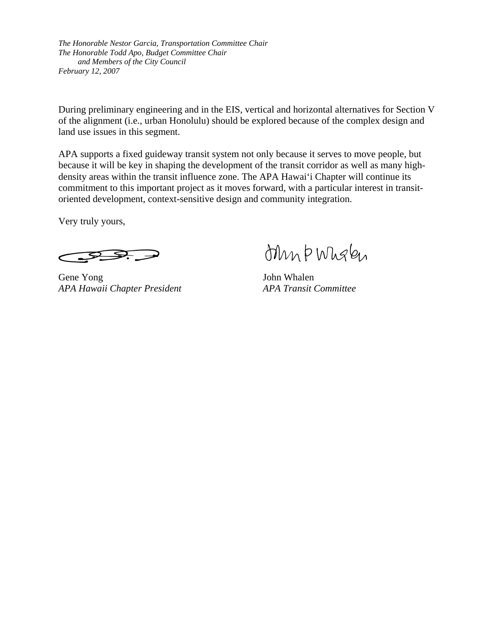*The Honorable Nestor Garcia, Transportation Committee Chair The Honorable Todd Apo, Budget Committee Chair and Members of the City Council February 12, 2007* 

During preliminary engineering and in the EIS, vertical and horizontal alternatives for Section V of the alignment (i.e., urban Honolulu) should be explored because of the complex design and land use issues in this segment.

APA supports a fixed guideway transit system not only because it serves to move people, but because it will be key in shaping the development of the transit corridor as well as many highdensity areas within the transit influence zone. The APA Hawai'i Chapter will continue its commitment to this important project as it moves forward, with a particular interest in transitoriented development, context-sensitive design and community integration.

Very truly yours,

Gene Yong John Whalen *APA Hawaii Chapter President APA Transit Committee* 

ohn b Wholen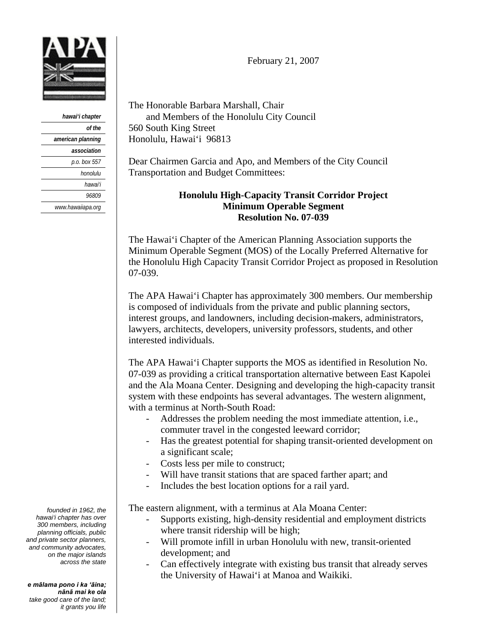

*hawai'i chapter of the american planning association p.o. box 557 honolulu hawai'i 96809 www.hawaiiapa.org* 

*founded in 1962, the hawai'i chapter has over 300 members, including planning officials, public and private sector planners, and community advocates, on the major islands across the state* 

*e mālama pono i ka 'āina; nānā mai ke ola take good care of the land; it grants you life*  February 21, 2007

The Honorable Barbara Marshall, Chair and Members of the Honolulu City Council 560 South King Street Honolulu, Hawai'i 96813

Dear Chairmen Garcia and Apo, and Members of the City Council Transportation and Budget Committees:

### **Honolulu High-Capacity Transit Corridor Project Minimum Operable Segment Resolution No. 07-039**

The Hawai'i Chapter of the American Planning Association supports the Minimum Operable Segment (MOS) of the Locally Preferred Alternative for the Honolulu High Capacity Transit Corridor Project as proposed in Resolution 07-039.

The APA Hawai'i Chapter has approximately 300 members. Our membership is composed of individuals from the private and public planning sectors, interest groups, and landowners, including decision-makers, administrators, lawyers, architects, developers, university professors, students, and other interested individuals.

The APA Hawai'i Chapter supports the MOS as identified in Resolution No. 07-039 as providing a critical transportation alternative between East Kapolei and the Ala Moana Center. Designing and developing the high-capacity transit system with these endpoints has several advantages. The western alignment, with a terminus at North-South Road:

- Addresses the problem needing the most immediate attention, *i.e.*, commuter travel in the congested leeward corridor;
- Has the greatest potential for shaping transit-oriented development on a significant scale;
- Costs less per mile to construct;
- Will have transit stations that are spaced farther apart; and
- Includes the best location options for a rail yard.

The eastern alignment, with a terminus at Ala Moana Center:

- Supports existing, high-density residential and employment districts where transit ridership will be high;
- Will promote infill in urban Honolulu with new, transit-oriented development; and
- Can effectively integrate with existing bus transit that already serves the University of Hawai'i at Manoa and Waikiki.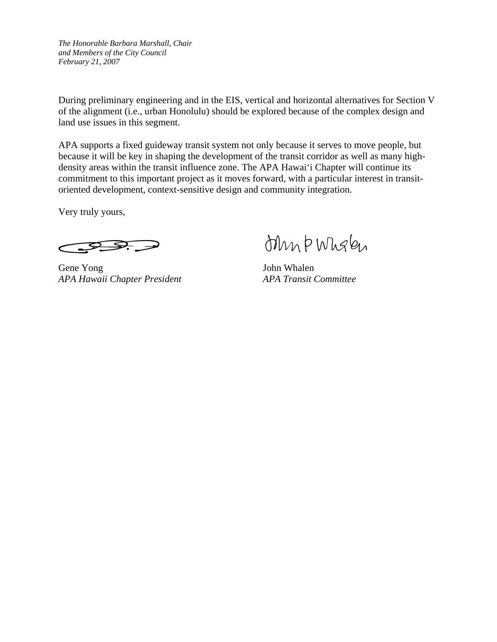*The Honorable Barbara Marshall, Chair and Members of the City Council February 21, 2007* 

During preliminary engineering and in the EIS, vertical and horizontal alternatives for Section V of the alignment (i.e., urban Honolulu) should be explored because of the complex design and land use issues in this segment.

APA supports a fixed guideway transit system not only because it serves to move people, but because it will be key in shaping the development of the transit corridor as well as many highdensity areas within the transit influence zone. The APA Hawai'i Chapter will continue its commitment to this important project as it moves forward, with a particular interest in transitoriented development, context-sensitive design and community integration.

Very truly yours,

 $\sum_{i=1}^n$ 

Gene Yong John Whalen *APA Hawaii Chapter President APA Transit Committee* 

ohn b Wholen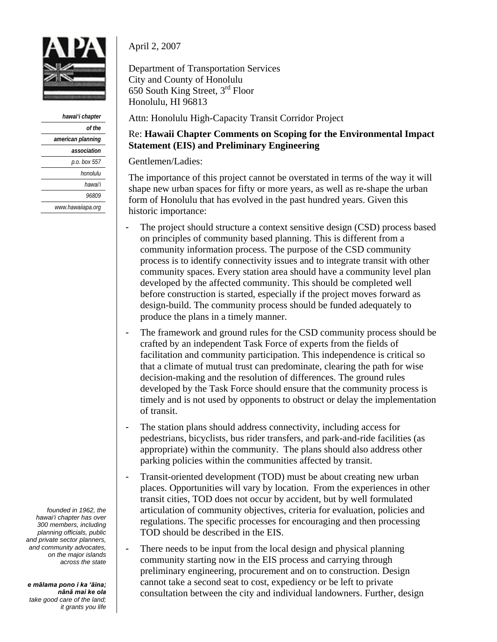

*hawai'i chapter of the american planning association p.o. box 557 honolulu hawai'i 96809 www.hawaiiapa.org*  April 2, 2007

Department of Transportation Services City and County of Honolulu 650 South King Street, 3rd Floor Honolulu, HI 96813

Attn: Honolulu High-Capacity Transit Corridor Project

### Re: **Hawaii Chapter Comments on Scoping for the Environmental Impact Statement (EIS) and Preliminary Engineering**

Gentlemen/Ladies:

The importance of this project cannot be overstated in terms of the way it will shape new urban spaces for fifty or more years, as well as re-shape the urban form of Honolulu that has evolved in the past hundred years. Given this historic importance:

- The project should structure a context sensitive design (CSD) process based on principles of community based planning. This is different from a community information process. The purpose of the CSD community process is to identify connectivity issues and to integrate transit with other community spaces. Every station area should have a community level plan developed by the affected community. This should be completed well before construction is started, especially if the project moves forward as design-build. The community process should be funded adequately to produce the plans in a timely manner.
- The framework and ground rules for the CSD community process should be crafted by an independent Task Force of experts from the fields of facilitation and community participation. This independence is critical so that a climate of mutual trust can predominate, clearing the path for wise decision-making and the resolution of differences. The ground rules developed by the Task Force should ensure that the community process is timely and is not used by opponents to obstruct or delay the implementation of transit.
- The station plans should address connectivity, including access for pedestrians, bicyclists, bus rider transfers, and park-and-ride facilities (as appropriate) within the community. The plans should also address other parking policies within the communities affected by transit.
- Transit-oriented development (TOD) must be about creating new urban places. Opportunities will vary by location. From the experiences in other transit cities, TOD does not occur by accident, but by well formulated articulation of community objectives, criteria for evaluation, policies and regulations. The specific processes for encouraging and then processing TOD should be described in the EIS.
- There needs to be input from the local design and physical planning community starting now in the EIS process and carrying through preliminary engineering, procurement and on to construction. Design cannot take a second seat to cost, expediency or be left to private consultation between the city and individual landowners. Further, design

*founded in 1962, the hawai'i chapter has over 300 members, including planning officials, public and private sector planners, and community advocates, on the major islands across the state*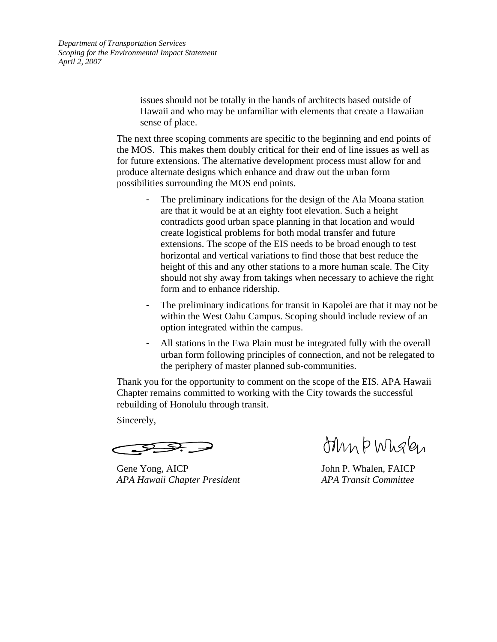*Department of Transportation Services Scoping for the Environmental Impact Statement April 2, 2007* 

> issues should not be totally in the hands of architects based outside of Hawaii and who may be unfamiliar with elements that create a Hawaiian sense of place.

The next three scoping comments are specific to the beginning and end points of the MOS. This makes them doubly critical for their end of line issues as well as for future extensions. The alternative development process must allow for and produce alternate designs which enhance and draw out the urban form possibilities surrounding the MOS end points.

- The preliminary indications for the design of the Ala Moana station are that it would be at an eighty foot elevation. Such a height contradicts good urban space planning in that location and would create logistical problems for both modal transfer and future extensions. The scope of the EIS needs to be broad enough to test horizontal and vertical variations to find those that best reduce the height of this and any other stations to a more human scale. The City should not shy away from takings when necessary to achieve the right form and to enhance ridership.
- The preliminary indications for transit in Kapolei are that it may not be within the West Oahu Campus. Scoping should include review of an option integrated within the campus.
- All stations in the Ewa Plain must be integrated fully with the overall urban form following principles of connection, and not be relegated to the periphery of master planned sub-communities.

Thank you for the opportunity to comment on the scope of the EIS. APA Hawaii Chapter remains committed to working with the City towards the successful rebuilding of Honolulu through transit.

Sincerely,

Gene Yong, AICP John P. Whalen, FAICP *APA Hawaii Chapter President APA Transit Committee* 

Min PWhalen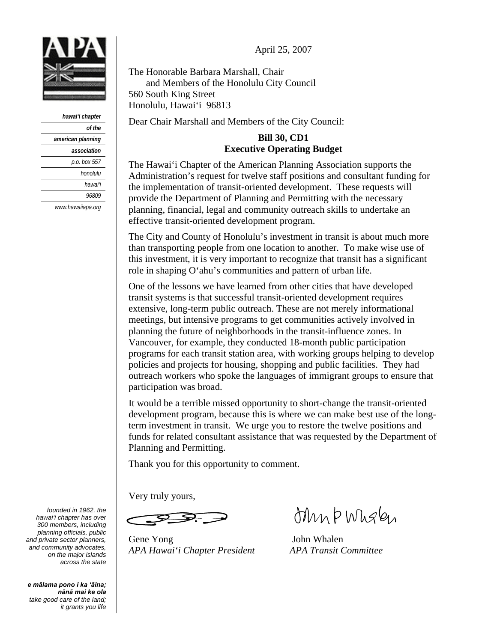April 25, 2007



| hawai'i chapter   |
|-------------------|
| of the            |
| american planning |
| association       |
| p.o. box 557      |
| honolulu          |
| hawai'i           |
| <i>96809</i>      |
| www.hawaiiapa.org |

The Honorable Barbara Marshall, Chair and Members of the Honolulu City Council 560 South King Street Honolulu, Hawai'i 96813

Dear Chair Marshall and Members of the City Council:

### **Bill 30, CD1 Executive Operating Budget**

The Hawai'i Chapter of the American Planning Association supports the Administration's request for twelve staff positions and consultant funding for the implementation of transit-oriented development. These requests will provide the Department of Planning and Permitting with the necessary planning, financial, legal and community outreach skills to undertake an effective transit-oriented development program.

The City and County of Honolulu's investment in transit is about much more than transporting people from one location to another. To make wise use of this investment, it is very important to recognize that transit has a significant role in shaping O'ahu's communities and pattern of urban life.

One of the lessons we have learned from other cities that have developed transit systems is that successful transit-oriented development requires extensive, long-term public outreach. These are not merely informational meetings, but intensive programs to get communities actively involved in planning the future of neighborhoods in the transit-influence zones. In Vancouver, for example, they conducted 18-month public participation programs for each transit station area, with working groups helping to develop policies and projects for housing, shopping and public facilities. They had outreach workers who spoke the languages of immigrant groups to ensure that participation was broad.

It would be a terrible missed opportunity to short-change the transit-oriented development program, because this is where we can make best use of the longterm investment in transit. We urge you to restore the twelve positions and funds for related consultant assistance that was requested by the Department of Planning and Permitting.

Thank you for this opportunity to comment.

Very truly yours,

Gene Yong John Whalen *APA Hawai'i Chapter President APA Transit Committee* 

ohn b Wholen

*founded in 1962, the hawai'i chapter has over 300 members, including planning officials, public and private sector planners, and community advocates, on the major islands across the state*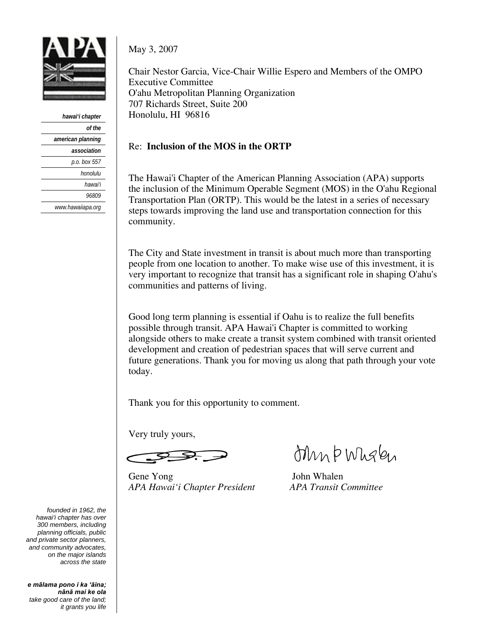

| hawai'i chapter   |
|-------------------|
| of the            |
| american planning |
| association       |
| p.o. box 557      |
| honolulu          |
| hawai'i           |
| <i>96809</i>      |
| www.hawaiiapa.org |

May 3, 2007

Chair Nestor Garcia, Vice-Chair Willie Espero and Members of the OMPO Executive Committee O'ahu Metropolitan Planning Organization 707 Richards Street, Suite 200 Honolulu, HI 96816

### Re: **Inclusion of the MOS in the ORTP**

The Hawai'i Chapter of the American Planning Association (APA) supports the inclusion of the Minimum Operable Segment (MOS) in the O'ahu Regional Transportation Plan (ORTP). This would be the latest in a series of necessary steps towards improving the land use and transportation connection for this community.

The City and State investment in transit is about much more than transporting people from one location to another. To make wise use of this investment, it is very important to recognize that transit has a significant role in shaping O'ahu's communities and patterns of living.

Good long term planning is essential if Oahu is to realize the full benefits possible through transit. APA Hawai'i Chapter is committed to working alongside others to make create a transit system combined with transit oriented development and creation of pedestrian spaces that will serve current and future generations. Thank you for moving us along that path through your vote today.

Thank you for this opportunity to comment.

Very truly yours,

Gene Yong John Whalen *APA Hawai'i Chapter President APA Transit Committee* 

Min PWhalen

*founded in 1962, the hawai'i chapter has over 300 members, including planning officials, public and private sector planners, and community advocates, on the major islands across the state*